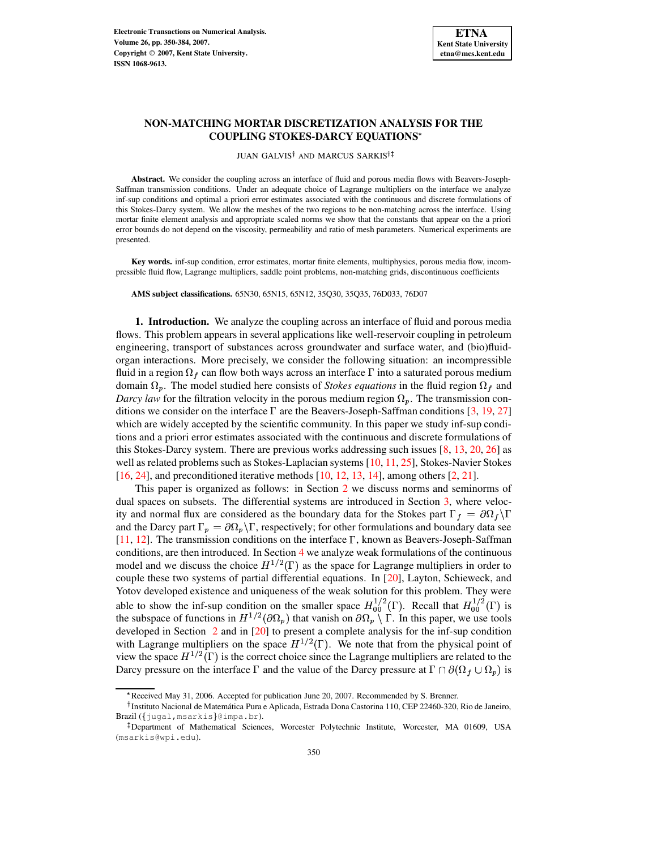

# **NON-MATCHING MORTAR DISCRETIZATION ANALYSIS FOR THE COUPLING STOKES-DARCY EQUATIONS**

JUAN GALVIS<sup>†</sup> AND MARCUS SARKIS<sup>†</sup>

**Abstract.** We consider the coupling across an interface of fluid and porous media flows with Beavers-Joseph-Saffman transmission conditions. Under an adequate choice of Lagrange multipliers on the interface we analyze inf-sup conditions and optimal a priori error estimates associated with the continuous and discrete formulations of this Stokes-Darcy system. We allow the meshes of the two regions to be non-matching across the interface. Using mortar finite element analysis and appropriate scaled norms we show that the constants that appear on the a priori error bounds do not depend on the viscosity, permeability and ratio of mesh parameters. Numerical experiments are presented.

**Key words.** inf-sup condition, error estimates, mortar finite elements, multiphysics, porous media flow, incompressible fluid flow, Lagrange multipliers, saddle point problems, non-matching grids, discontinuous coefficients

**AMS subject classifications.** 65N30, 65N15, 65N12, 35Q30, 35Q35, 76D033, 76D07

**1. Introduction.** We analyze the coupling across an interface of fluid and porous media flows. This problem appears in several applications like well-reservoir coupling in petroleum engineering, transport of substances across groundwater and surface water, and (bio)fluidorgan interactions. More precisely, we consider the following situation: an incompressible fluid in a region  $\Omega_f$  can flow both ways across an interface  $\Gamma$  into a saturated porous medium domain  $\Omega_p$ . The model studied here consists of *Stokes equations* in the fluid region  $\Omega_f$  and *Darcy law* for the filtration velocity in the porous medium region  $\Omega_p$ . The transmission conditions we consider on the interface  $\Gamma$  are the Beavers-Joseph-Saffman conditions [\[3,](#page-28-0) [19,](#page-29-0) [27\]](#page-29-1) which are widely accepted by the scientific community. In this paper we study inf-sup conditions and a priori error estimates associated with the continuous and discrete formulations of this Stokes-Darcy system. There are previous works addressing such issues [\[8,](#page-29-2) [13,](#page-29-3) [20,](#page-29-4) [26\]](#page-29-5) as well as related problems such as Stokes-Laplacian systems  $[10, 11, 25]$  $[10, 11, 25]$  $[10, 11, 25]$  $[10, 11, 25]$  $[10, 11, 25]$ , Stokes-Navier Stokes [\[16,](#page-29-9) [24\]](#page-29-10), and preconditioned iterative methods [\[10,](#page-29-6) [12,](#page-29-11) [13,](#page-29-3) [14\]](#page-29-12), among others [\[2,](#page-28-1) [21\]](#page-29-13).

This paper is organized as follows: in Section [2](#page-1-0) we discuss norms and seminorms of dual spaces on subsets. The differential systems are introduced in Section [3,](#page-3-0) where velocity and normal flux are considered as the boundary data for the Stokes part  $\Gamma_f = \partial \Omega_f \setminus \Gamma$ and the Darcy part  $\Gamma_p = \partial \Omega_p \backslash \Gamma$ , respectively; for other formulations and boundary data see [\[11,](#page-29-7) [12\]](#page-29-11). The transmission conditions on the interface  $\Gamma$ , known as Beavers-Joseph-Saffman conditions, are then introduced. In Section [4](#page-5-0) we analyze weak formulations of the continuous model and we discuss the choice  $H^{1/2}(\Gamma)$  as the space for Lagrange multipliers in order to couple these two systems of partial differential equations. In [\[20\]](#page-29-4), Layton, Schieweck, and Yotov developed existence and uniqueness of the weak solution for this problem. They were able to show the inf-sup condition on the smaller space  $H_{00}^{1/2}(\Gamma)$ . Recall that  $H_{00}^{1/2}(\Gamma)$  is the subspace of functions in  $H^{1/2}(\partial\Omega_p)$  that vanish on  $\partial\Omega_p\setminus\Gamma$ . In this paper, we use tools developed in Section [2](#page-1-0) and in [\[20\]](#page-29-4) to present a complete analysis for the inf-sup condition with Lagrange multipliers on the space  $H^{1/2}(\Gamma)$ . We note that from the physical point of view the space  $H^{1/2}(\Gamma)$  is the correct choice since the Lagrange multipliers are related to the Darcy pressure on the interface  $\Gamma$  and the value of the Darcy pressure at  $\Gamma \cap \partial (\Omega_f \cup \Omega_n)$  is

<sup>\*</sup> Received May 31, 2006. Accepted for publication June 20, 2007. Recommended by S. Brenner.

<sup>&</sup>lt;sup>†</sup> Instituto Nacional de Matemática Pura e Aplicada, Estrada Dona Castorina 110, CEP 22460-320, Rio de Janeiro, Brazil ({jugal, msarkis}@impa.br).

<sup>-</sup> Department of Mathematical Sciences, Worcester Polytechnic Institute, Worcester, MA 01609, USA (msarkis@wpi.edu).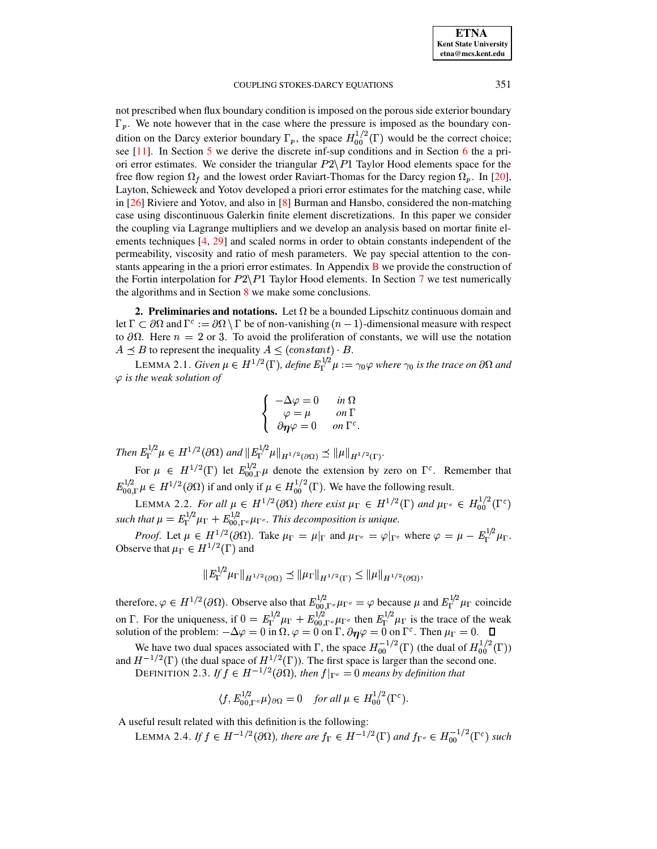not prescribed when flux boundary condition is imposed on the porous side exterior boundary  $\Gamma_p$ . We note however that in the case where the pressure is imposed as the boundary condition on the Darcy exterior boundary  $\Gamma_p$ , the space  $H_{00}^{1/2}(\Gamma)$  would be the correct choice; see [\[11\]](#page-29-7). In Section [5](#page-15-0) we derive the discrete inf-sup conditions and in Section [6](#page-21-0) the a priori error estimates. We consider the triangular  $P2\P1$  Taylor Hood elements space for the free flow region  $\Omega_f$  and the lowest order Raviart-Thomas for the Darcy region  $\Omega_p$ . In [\[20\]](#page-29-4), Layton, Schieweck and Yotov developed a priori error estimates for the matching case, while in [\[26\]](#page-29-5) Riviere and Yotov, and also in [\[8\]](#page-29-2) Burman and Hansbo, considered the non-matching case using discontinuous Galerkin finite element discretizations. In this paper we consider the coupling via Lagrange multipliers and we develop an analysis based on mortar finite elements techniques [\[4,](#page-28-2) [29\]](#page-29-14) and scaled norms in order to obtain constants independent of the permeability, viscosity and ratio of mesh parameters. We pay special attention to the constants appearing in the a priori error estimates. In Appendix [B](#page-30-0) we provide the construction of the Fortin interpolation for  $P2\$ P1 Taylor Hood elements. In Section [7](#page-27-0) we test numerically the algorithms and in Section [8](#page-27-1) we make some conclusions.

<span id="page-1-0"></span>**2. Preliminaries and notations.** Let  $\Omega$  be a bounded Lipschitz continuous domain and let  $\Gamma \subset \partial\Omega$  and  $\Gamma^c := \partial\Omega \setminus \Gamma$  be of non-vanishing  $(n-1)$ -dimensional measure with respect to  $\partial\Omega$ . Here  $n = 2$  or 3. To avoid the proliferation of constants, we will use the notation  $A \preceq B$  to represent the inequality  $A \leq (constant) \cdot B$ .

<span id="page-1-4"></span>LEMMA 2.1. *Given*  $\mu \in H^{1/2}(\Gamma)$ , *define*  $E_{\Gamma}^{1/2}\mu := \gamma_0 \varphi$  where  $\gamma_0$  is the trace on  $\partial \Omega$  and <sup>Y</sup> *is the weak solution of*

$$
\left\{\begin{array}{ccc} -\Delta\varphi=0 & \text{ in } \Omega \\ \varphi=\mu & \text{ on } \Gamma \\ \partial\eta\varphi=0 & \text{ on } \Gamma^c. \end{array}\right.
$$

Then  $E_{\Gamma}^{1/2}\mu \in H^{1/2}(\partial\Omega)$  and  $||E_{\Gamma}^{1/2}\mu||_{H^{1/2}(\partial\Omega)} \preceq ||\mu||_{H^{1/2}(\Gamma)}$ .

For  $\mu \in H^{1/2}(\Gamma)$  let  $E_{00,\Gamma}^{1/2}\mu$  denote the extension by zero on  $\Gamma^c$ . Remember that  $E_{00}^{1/2}$   $\Gamma \mu \in H^{1/2}(\partial \Omega)$  if and only if  $\mu \in H^{1/2}_{00}(\Gamma)$ . We have the following result.

<span id="page-1-1"></span>LEMMA 2.2. *For all*  $\mu \in H^{1/2}(\partial \Omega)$  there exist  $\mu_{\Gamma} \in H^{1/2}(\Gamma)$  and  $\mu_{\Gamma^c} \in H^{1/2}_{00}(\Gamma^c)$ such that  $\mu = E_T^{1/2} \mu_{\Gamma} + E_{00}^{1/2} F_{0} \mu_{\Gamma}$ . This decomposition is unique.

*Proof.* Let  $\mu \in H^{1/2}(\partial \Omega)$ . Take  $\mu_{\Gamma} = \mu|_{\Gamma}$  and  $\mu_{\Gamma^c} = \varphi|_{\Gamma^c}$  where  $\varphi = \mu - E_{\Gamma}^{1/2} \mu_{\Gamma}$ . Observe that  $\mu_{\Gamma} \in H^{1/2}(\Gamma)$  and

$$
||E_{\Gamma}^{1/2} \mu_{\Gamma}||_{H^{1/2}(\partial \Omega)} \preceq ||\mu_{\Gamma}||_{H^{1/2}(\Gamma)} \leq ||\mu||_{H^{1/2}(\partial \Omega)},
$$

therefore,  $\varphi \in H^{1/2}(\partial \Omega)$ . Observe also that  $E_{00 \Gamma c}^{1/2} \mu_{\Gamma} c = \varphi$  because  $\mu$  and  $E_{\Gamma}^{1/2} \mu_{\Gamma}$  coincide on  $\Gamma$ . For the uniqueness, if  $0 = E_{\Gamma}^{1/2} \mu_{\Gamma} + E_{00}^{1/2} E_{\Gamma} \nu_{\Gamma}$  then  $E_{\Gamma}^{1/2} \mu_{\Gamma}$  is the trace of the weak solution of the problem:  $-\Delta \varphi = 0$  in  $\Omega$ ,  $\varphi = 0$  on  $\Gamma$ ,  $\partial \eta \varphi = 0$  on  $\Gamma^c$ . Then  $\mu_{\Gamma} = 0$ .

<span id="page-1-2"></span>We have two dual spaces associated with  $\Gamma$ , the space  $H_{00}^{-1/2}(\Gamma)$  (the dual of  $H_{00}^{1/2}(\Gamma)$ ) and  $H^{-1/2}(\Gamma)$  (the dual space of  $H^{1/2}(\Gamma)$ ). The first space is larger than the second one.

DEFINITION 2.3. If  $\dot{f} \in H^{-1/2}(\partial\Omega)$ , then  $f|_{\Gamma_c} = 0$  means by definition that

$$
\langle f, E_{00,\Gamma^c}^{1/2} \mu \rangle_{\partial \Omega} = 0 \quad \text{for all } \mu \in H_{00}^{1/2}(\Gamma^c).
$$

<span id="page-1-3"></span>A useful result related with this definition is the following:

LEMMA 2.4. If  $f \in H^{-1/2}(\partial\Omega)$ , there are  $f_{\Gamma} \in H^{-1/2}(\Gamma)$  and  $f_{\Gamma^c} \in H_{00}^{-1/2}(\Gamma^c)$  such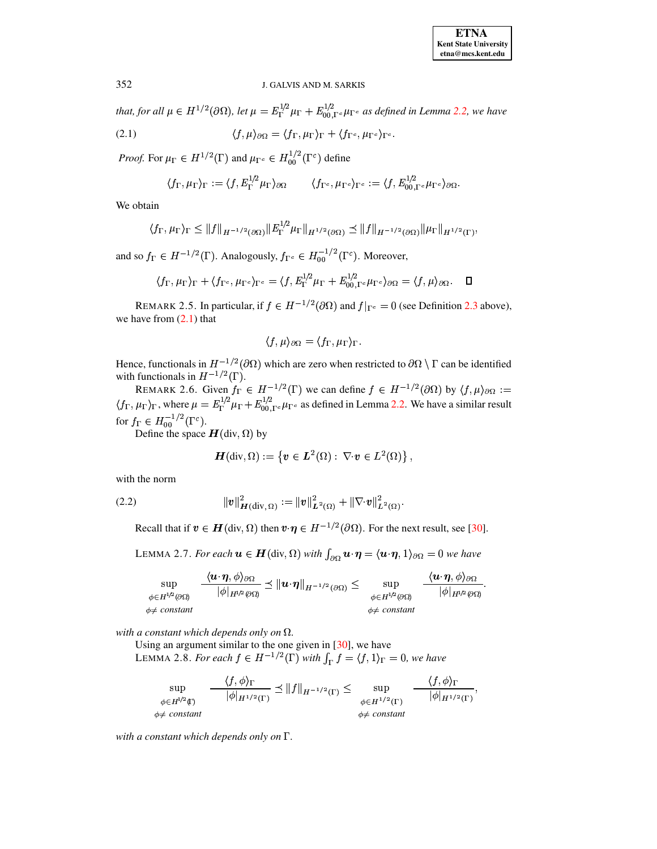*that, for all*  $\mu \in H^{1/2}(\partial\Omega)$ *, let*  $\mu = E_{\Gamma}^{1/2} \mu_{\Gamma} + E_{00,\Gamma^c}^{1/2} \mu_{\Gamma^c}$  *as defined in Lemma [2.2,](#page-1-1) we have* 

<span id="page-2-0"></span>(2.1) 
$$
\langle f, \mu \rangle_{\partial \Omega} = \langle f_{\Gamma}, \mu_{\Gamma} \rangle_{\Gamma} + \langle f_{\Gamma^c}, \mu_{\Gamma^c} \rangle_{\Gamma^c}.
$$

*Proof.* For  $\mu_{\Gamma} \in H^{1/2}(\Gamma)$  and  $\mu_{\Gamma^c} \in H^{1/2}_{00}(\Gamma^c)$  define

$$
\langle f_{\Gamma}, \mu_{\Gamma}\rangle_{\Gamma}:=\langle f, E_{\Gamma}^{1/2}\mu_{\Gamma}\rangle_{\partial\Omega} \qquad \langle f_{\Gamma^c}, \mu_{\Gamma^c}\rangle_{\Gamma^c}:=\langle f, E_{00,\Gamma^c}^{1/2}\mu_{\Gamma^c}\rangle_{\partial\Omega}.
$$

We obtain

$$
\langle f_{\Gamma}, \mu_{\Gamma} \rangle_{\Gamma} \leq ||f||_{H^{-1/2}(\partial \Omega)} ||E_{\Gamma}^{1/2} \mu_{\Gamma}||_{H^{1/2}(\partial \Omega)} \preceq ||f||_{H^{-1/2}(\partial \Omega)} ||\mu_{\Gamma}||_{H^{1/2}(\Gamma)},
$$

and so  $f_{\Gamma} \in H^{-1/2}(\Gamma)$ . Analogously,  $f_{\Gamma^c} \in H_{00}^{-1/2}(\Gamma^c)$ . Moreover,

$$
\langle f_{\Gamma}, \mu_{\Gamma} \rangle_{\Gamma} + \langle f_{\Gamma^c}, \mu_{\Gamma^c} \rangle_{\Gamma^c} = \langle f, E_{\Gamma}^{1/2} \mu_{\Gamma} + E_{00,\Gamma^c}^{1/2} \mu_{\Gamma^c} \rangle_{\partial \Omega} = \langle f, \mu \rangle_{\partial \Omega}. \quad \Box
$$

<span id="page-2-2"></span>REMARK 2.5. In particular, if  $f \in H^{-1/2}(\partial \Omega)$  and  $f|_{\Gamma^c} = 0$  (see Definition [2.3](#page-1-2) above), we have from  $(2.1)$  that

$$
\langle f, \mu \rangle_{\partial \Omega} = \langle f_{\Gamma}, \mu_{\Gamma} \rangle_{\Gamma}.
$$

Hence, functionals in  $H^{-1/2}(\partial\Omega)$  which are zero when restricted to  $\partial\Omega \setminus \Gamma$  can be identified with functionals in  $H^{-1/2}(\Gamma)$ .

<span id="page-2-3"></span>REMARK 2.6. Given  $f_{\Gamma} \in H^{-1/2}(\Gamma)$  we can define  $f \in H^{-1/2}(\partial \Omega)$  by  $\langle f, \mu \rangle_{\partial \Omega} := \langle f_{\Gamma}, \mu_{\Gamma} \rangle_{\Gamma}$ , where  $\mu = E_{\Gamma}^{1/2} \mu_{\Gamma} + E_{00}^{1/2} E_{\Gamma} \mu_{\Gamma}$  as defined in Lemma [2.2.](#page-1-1) We have a similar result for  $f_{\Gamma} \in H_{00}^{-1/2}(\Gamma^c)$ .

Define the space  $\boldsymbol{H}$ (div,  $\Omega$ ) by

$$
\boldsymbol{H}(\text{div},\Omega):=\left\{\boldsymbol{v}\in\boldsymbol{L}^2(\Omega):\ \nabla\!\cdot\!\boldsymbol{v}\in L^2(\Omega)\right\},
$$

with the norm

 $\phi\neq$ 

(2.2) 
$$
\|v\|_{\mathbf{H}(\text{div}, \Omega)}^2 := \|v\|_{\mathbf{L}^2(\Omega)}^2 + \|\nabla \cdot v\|_{\mathbf{L}^2(\Omega)}^2.
$$

<span id="page-2-1"></span>Recall that if  $v \in H(\text{div}, \Omega)$  then  $v \cdot \eta \in H^{-1/2}(\partial \Omega)$ . For the next result, see [\[30\]](#page-29-15).

LEMMA 2.7. *For each*  $u \in H(\text{div}, \Omega)$  with  $\int_{\partial \Omega} u \cdot \eta = \langle u \cdot \eta, 1 \rangle_{\partial \Omega} = 0$  we have

$$
\sup_{\substack{\phi \in H^{1/2}(\partial \Omega) \\ \phi \neq \text{ constant}}} \frac{\langle \boldsymbol{u} \cdot \boldsymbol{\eta}, \phi \rangle_{\partial \Omega}}{|\phi|_{H^{1/2}(\partial \Omega)}} \preceq \|\boldsymbol{u} \cdot \boldsymbol{\eta}\|_{H^{-1/2}(\partial \Omega)} \leq \sup_{\substack{\phi \in H^{1/2}(\partial \Omega) \\ \phi \neq \text{ constant}}} \frac{\langle \boldsymbol{u} \cdot \boldsymbol{\eta}, \phi \rangle_{\partial \Omega}}{|\phi|_{H^{1/2}(\partial \Omega)}}.
$$

*with a constant which depends only on*  $\Omega$ *.* 

Using an argument similar to the one given in [\[30\]](#page-29-15), we have LEMMA 2.8. *For each*  $f \in H^{-1/2}(\Gamma)$  *with*  $\int_{\Gamma} f = \langle f, 1 \rangle_{\Gamma} = 0$ *, we have* 

$$
\sup_{\substack{\phi \in H^{1/2}(\Gamma) \\ \phi \neq \text{ constant}}} \frac{\langle f, \phi \rangle_{\Gamma}}{|\phi|_{H^{1/2}(\Gamma)}} \preceq ||f||_{H^{-1/2}(\Gamma)} \leq \sup_{\substack{\phi \in H^{1/2}(\Gamma) \\ \phi \neq \text{ constant}}} \frac{\langle f, \phi \rangle_{\Gamma}}{|\phi|_{H^{1/2}(\Gamma)}},
$$

*with a constant which depends only on .*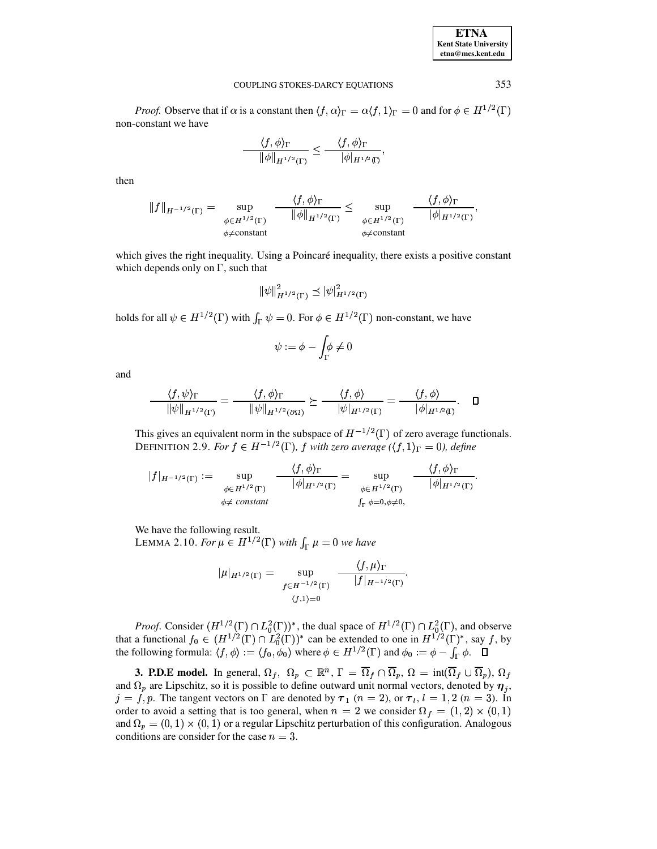| <b>ETNA</b>                  |
|------------------------------|
| <b>Kent State University</b> |
| etna@mcs.kent.edu            |

*Proof.* Observe that if  $\alpha$  is a constant then  $\langle f, \alpha \rangle_{\Gamma} = \alpha \langle f, 1 \rangle_{\Gamma} = 0$  and for  $\phi \in H^{1/2}(\Gamma)$ non-constant we have

$$
\frac{\langle f, \phi \rangle_{\Gamma}}{\|\phi\|_{H^{1/2}(\Gamma)}} \le \frac{\langle f, \phi \rangle_{\Gamma}}{|\phi|_{H^{1/2}(\Gamma)}}
$$

then

$$
||f||_{H^{-1/2}(\Gamma)} = \sup_{\substack{\phi \in H^{1/2}(\Gamma) \\ \phi \neq \text{constant}}} \frac{\langle f, \phi \rangle_{\Gamma}}{||\phi||_{H^{1/2}(\Gamma)}} \leq \sup_{\substack{\phi \in H^{1/2}(\Gamma) \\ \phi \neq \text{constant}}} \frac{\langle f, \phi \rangle_{\Gamma}}{|\phi|_{H^{1/2}(\Gamma)}}
$$

which gives the right inequality. Using a Poincaré inequality, there exists a positive constant which depends only on  $\Gamma$ , such that

$$
\|\psi\|_{H^{1/2}(\Gamma)}^2 \preceq |\psi|_{H^{1/2}(\Gamma)}^2
$$

holds for all  $\psi \in H^{1/2}(\Gamma)$  with  $\int_{\Gamma} \psi = 0$ . For  $\phi \in H^{1/2}(\Gamma)$  non-constant, we have

$$
\psi := \phi - \int_{\Gamma} \phi \neq 0
$$

and

$$
\frac{\langle f, \psi \rangle_{\Gamma}}{\|\psi\|_{H^{1/2}(\Gamma)}} = \frac{\langle f, \phi \rangle_{\Gamma}}{\|\psi\|_{H^{1/2}(\partial \Omega)}} \succeq \frac{\langle f, \phi \rangle}{\|\psi\|_{H^{1/2}(\Gamma)}} = \frac{\langle f, \phi \rangle}{\|\phi\|_{H^{1/2}(\Gamma)}}. \quad \Box
$$

This gives an equivalent norm in the subspace of  $H^{-1/2}(\Gamma)$  of zero average functionals. DEFINITION 2.9. For  $f \in H^{-1/2}(\Gamma)$ , f with zero average  $(\langle f, 1 \rangle_{\Gamma} = 0)$ , define

$$
|f|_{H^{-1/2}(\Gamma)} := \sup_{\substack{\phi \in H^{1/2}(\Gamma) \\ \phi \neq \text{ constant}}} \frac{\langle f, \phi \rangle_{\Gamma}}{|\phi|_{H^{1/2}(\Gamma)}} = \sup_{\substack{\phi \in H^{1/2}(\Gamma) \\ \int_{\Gamma} \phi = 0, \phi \neq 0}} \frac{\langle f, \phi \rangle_{\Gamma}}{|\phi|_{H^{1/2}(\Gamma)}}.
$$

<span id="page-3-1"></span>We have the following result.

LEMMA 2.10. For  $\mu \in H^{1/2}(\Gamma)$  with  $\int_{\Gamma} \mu = 0$  we have

$$
\mu|_{H^{1/2}(\Gamma)} = \sup_{\substack{f \in H^{-1/2}(\Gamma) \\ \langle f, 1 \rangle = 0}} \frac{\langle f, \mu \rangle_{\Gamma}}{|f|_{H^{-1/2}(\Gamma)}}
$$

*Proof.* Consider  $(H^{1/2}(\Gamma) \cap L_0^2(\Gamma))^*$ , the dual space of  $H^{1/2}(\Gamma) \cap L_0^2(\Gamma)$ , and observe that a functional  $f_0 \in (H^{1/2}(\Gamma) \cap L_0^2(\Gamma))^*$  can be extended to one in  $H^{1/2}(\Gamma)^*$ , say  $f$ , by the following formula:  $\langle f$ 

<span id="page-3-0"></span>**3. P.D.E model.** In general,  $\Omega_f$ ,  $\Omega_p \subset \mathbb{R}^n$ ,  $\Gamma = \overline{\Omega}_f \cap \overline{\Omega}_p$ ,  $\Omega = \text{int}(\overline{\Omega}_f \cup \overline{\Omega}_p)$ ,  $\Omega_f$ and  $\Omega_p$  are Lipschitz, so it is possible to define outward unit normal vectors, denoted by  $\eta_i$ ,  $j = f, p$ . The tangent vectors on  $\Gamma$  are denoted by  $\tau_1$   $(n = 2)$ , or  $\tau_i$ ,  $l = 1, 2$   $(n = 3)$ . In order to avoid a setting that is too general, when  $n = 2$  we consider  $\Omega_f = (1, 2) \times (0, 1)$ and  $\Omega_p = (0, 1) \times (0, 1)$  or a regular Lipschitz perturbation of this configuration. Analogous conditions are consider for the case  $n = 3$ .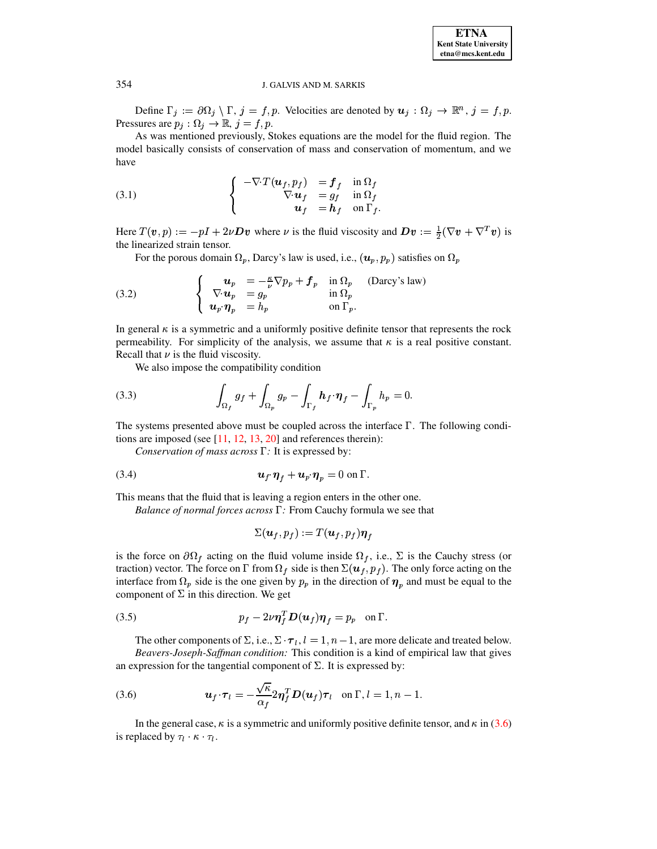Define  $\Gamma_j := \partial \Omega_j \setminus \Gamma$ ,  $j = f, p$ . Velocities are denoted by  $u_j : \Omega_j \to \mathbb{R}^n$ ,  $j = f, p$ . Pressures are  $p_j : \Omega_j \to \mathbb{R}, j = f, p$ .

As was mentioned previously, Stokes equations are the model for the fluid region. The model basically consists of conservation of mass and conservation of momentum, and we have

<span id="page-4-1"></span>(3.1) 
$$
\begin{cases}\n-\nabla \cdot T(\boldsymbol{u}_f, p_f) &= \boldsymbol{f}_f & \text{in } \Omega_f \\
\nabla \cdot \boldsymbol{u}_f &= g_f & \text{in } \Omega_f \\
\boldsymbol{u}_f &= \boldsymbol{h}_f & \text{on } \Gamma_f\n\end{cases}
$$

Here  $T(v, p) := -pI + 2\nu Dv$  where  $\nu$  is the fluid viscosity and  $Dv := \frac{1}{2}(\nabla v + \nabla^T v)$  is the linearized strain tensor.

For the porous domain  $\Omega_p$ , Darcy's law is used, i.e.,  $(u_p, p_p)$  satisfies on  $\Omega_p$ 

<span id="page-4-2"></span>(3.2) 
$$
\begin{cases}\n\mathbf{u}_p = -\frac{\kappa}{\nu} \nabla p_p + \mathbf{f}_p & \text{in } \Omega_p \\
\nabla \cdot \mathbf{u}_p = g_p & \text{in } \Omega_p \\
\mathbf{u}_p \cdot \eta_p = h_p & \text{on } \Gamma_p.\n\end{cases}
$$
 (Darcy's law)

In general  $\kappa$  is a symmetric and a uniformly positive definite tensor that represents the rock permeability. For simplicity of the analysis, we assume that  $\kappa$  is a real positive constant. Recall that  $\nu$  is the fluid viscosity.

We also impose the compatibility condition

<span id="page-4-5"></span>(3.3) 
$$
\int_{\Omega_f} g_f + \int_{\Omega_p} g_p - \int_{\Gamma_f} h_f \cdot \eta_f - \int_{\Gamma_p} h_p = 0.
$$

The systems presented above must be coupled across the interface  $\Gamma$ . The following conditions are imposed (see  $[11, 12, 13, 20]$  and references therein):

<span id="page-4-4"></span>Conservation of mass across  $\Gamma$ : It is expressed by:

(3.4) 
$$
\qquad \qquad \mathbf{u}_f \, \pmb{\eta}_f + \mathbf{u}_p \, \pmb{\eta}_p = 0 \text{ on } \Gamma.
$$

This means that the fluid that is leaving a region enters in the other one.

Balance of normal forces across  $\Gamma$ : From Cauchy formula we see that

$$
\Sigma(\boldsymbol{u}_f,p_f):=T(\boldsymbol{u}_f,p_f)\boldsymbol{\eta}_f
$$

is the force on  $\partial\Omega_f$  acting on the fluid volume inside  $\Omega_f$ , i.e.,  $\Sigma$  is the Cauchy stress (or traction) vector. The force on  $\Gamma$  from  $\Omega_f$  side is then  $\Sigma(u_f, p_f)$ . The only force acting on the interface from  $\Omega_p$  side is the one given by  $p_p$  in the direction of  $\eta_p$  and must be equal to the component of  $\Sigma$  in this direction. We get

<span id="page-4-3"></span>(3.5) 
$$
p_f - 2\nu \eta_f^T \mathbf{D}(\mathbf{u}_f) \eta_f = p_p \text{ on } \Gamma.
$$

The other components of  $\Sigma$ , i.e.,  $\Sigma \cdot \tau_l$ ,  $l = 1, n - 1$ , are more delicate and treated below. Beavers-Joseph-Saffman condition: This condition is a kind of empirical law that gives an expression for the tangential component of  $\Sigma$ . It is expressed by:

<span id="page-4-0"></span>(3.6) 
$$
\boldsymbol{u}_f \cdot \boldsymbol{\tau}_l = -\frac{\sqrt{\kappa}}{\alpha_f} 2 \boldsymbol{\eta}_f^T \boldsymbol{D}(\boldsymbol{u}_f) \boldsymbol{\tau}_l \quad \text{on } \Gamma, l = 1, n-1.
$$

In the general case,  $\kappa$  is a symmetric and uniformly positive definite tensor, and  $\kappa$  in (3.6) is replaced by  $\tau_l \cdot \kappa \cdot \tau_l$ .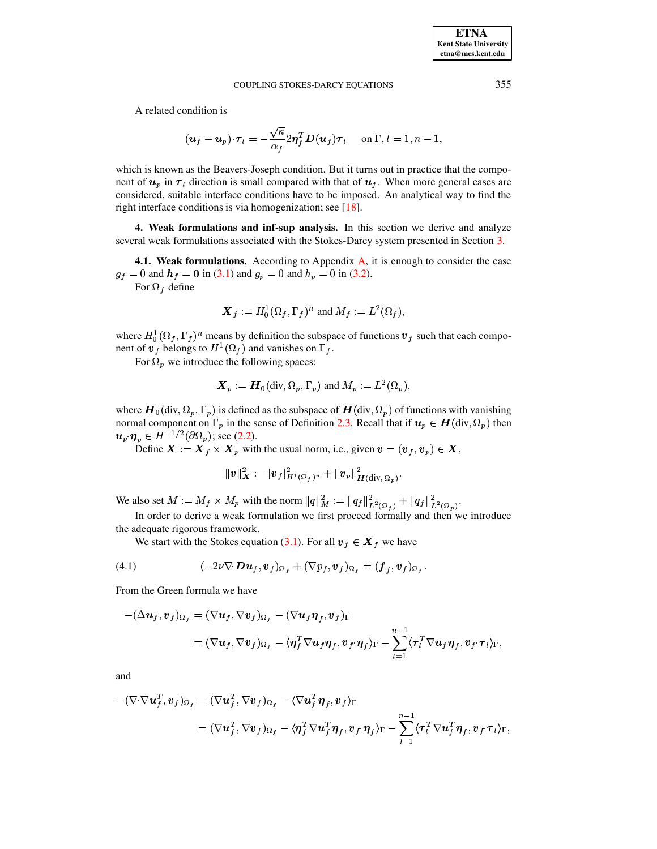A related condition is

$$
(\boldsymbol{u}_f - \boldsymbol{u}_p) \cdot \boldsymbol{\tau}_l = -\frac{\sqrt{\kappa}}{\alpha_f} 2 \boldsymbol{\eta}_f^T \boldsymbol{D}(\boldsymbol{u}_f) \boldsymbol{\tau}_l \quad \text{ on } \Gamma, l = 1, n - 1,
$$

which is known as the Beavers-Joseph condition. But it turns out in practice that the component of  $u_p$  in  $\tau_l$  direction is small compared with that of  $u_f$ . When more general cases are considered, suitable interface conditions have to be imposed. An analytical way to find the right interface conditions is via homogenization; see  $[18]$ .

<span id="page-5-0"></span>4. Weak formulations and inf-sup analysis. In this section we derive and analyze several weak formulations associated with the Stokes-Darcy system presented in Section 3.

4.1. Weak formulations. According to Appendix A, it is enough to consider the case  $g_f = 0$  and  $h_f = 0$  in (3.1) and  $g_p = 0$  and  $h_p = 0$  in (3.2).

For  $\Omega_f$  define

$$
\boldsymbol{X}_f := H_0^1(\Omega_f, \Gamma_f)^n
$$
 and 
$$
M_f := L^2(\Omega_f),
$$

where  $H_0^1(\Omega_f, \Gamma_f)^n$  means by definition the subspace of functions  $v_f$  such that each component of  $v_f$  belongs to  $H^1(\Omega_f)$  and vanishes on  $\Gamma_f$ .

For  $\Omega_p$  we introduce the following spaces:

$$
\boldsymbol{X}_p := \boldsymbol{H}_0(\text{div}, \Omega_p, \Gamma_p)
$$
 and  $M_p := L^2(\Omega_p)$ ,

where  $\mathbf{H}_0(\text{div}, \Omega_p, \Gamma_p)$  is defined as the subspace of  $\mathbf{H}(\text{div}, \Omega_p)$  of functions with vanishing normal component on  $\Gamma_p$  in the sense of Definition 2.3. Recall that if  $u_p \in H(\text{div}, \Omega_p)$  then  $u_p \eta_p \in H^{-1/2}(\partial \Omega_p)$ ; see (2.2).

Define  $\mathbf{X} := \mathbf{X}_f \times \mathbf{X}_p$  with the usual norm, i.e., given  $\mathbf{v} = (\mathbf{v}_f, \mathbf{v}_p) \in \mathbf{X}$ ,

$$
\|\pmb{v}\|^2_{\bm{X}} := |\pmb{v}_f|^2_{H^1(\Omega_f)^n} + \|\pmb{v}_p\|^2_{\bm{H}(\mathrm{div},\,\Omega_p)}
$$

We also set  $M := M_f \times M_p$  with the norm  $||q||_M^2 := ||q_f||_{L^2(\Omega_f)}^2 + ||q_f||_{L^2(\Omega_p)}^2$ .

In order to derive a weak formulation we first proceed formally and then we introduce the adequate rigorous framework.

We start with the Stokes equation (3.1). For all  $v_f \in X_f$  we have

<span id="page-5-1"></span>(4.1) 
$$
(-2\nu\nabla \cdot \mathbf{D}\mathbf{u}_f, \mathbf{v}_f)_{\Omega_f} + (\nabla p_f, \mathbf{v}_f)_{\Omega_f} = (\mathbf{f}_f, \mathbf{v}_f)_{\Omega_f}
$$

From the Green formula we have

$$
-(\Delta u_f, v_f)_{\Omega_f} = (\nabla u_f, \nabla v_f)_{\Omega_f} - (\nabla u_f \eta_f, v_f)_{\Gamma}
$$
  
= 
$$
(\nabla u_f, \nabla v_f)_{\Omega_f} - \langle \eta_f^T \nabla u_f \eta_f, v_f \cdot \eta_f \rangle_{\Gamma} - \sum_{l=1}^{n-1} \langle \tau_l^T \nabla u_f \eta_f, v_f \cdot \tau_l \rangle_{\Gamma},
$$

and

$$
-(\nabla \cdot \nabla \mathbf{u}_f^T, \mathbf{v}_f)_{\Omega_f} = (\nabla \mathbf{u}_f^T, \nabla \mathbf{v}_f)_{\Omega_f} - (\nabla \mathbf{u}_f^T \boldsymbol{\eta}_f, \mathbf{v}_f)_{\Gamma}
$$
  
= 
$$
(\nabla \mathbf{u}_f^T, \nabla \mathbf{v}_f)_{\Omega_f} - \langle \boldsymbol{\eta}_f^T \nabla \mathbf{u}_f^T \boldsymbol{\eta}_f, \mathbf{v}_f \cdot \boldsymbol{\eta}_f \rangle_{\Gamma} - \sum_{l=1}^{n-1} \langle \boldsymbol{\tau}_l^T \nabla \mathbf{u}_f^T \boldsymbol{\eta}_f, \mathbf{v}_f \cdot \boldsymbol{\tau}_l \rangle_{\Gamma}
$$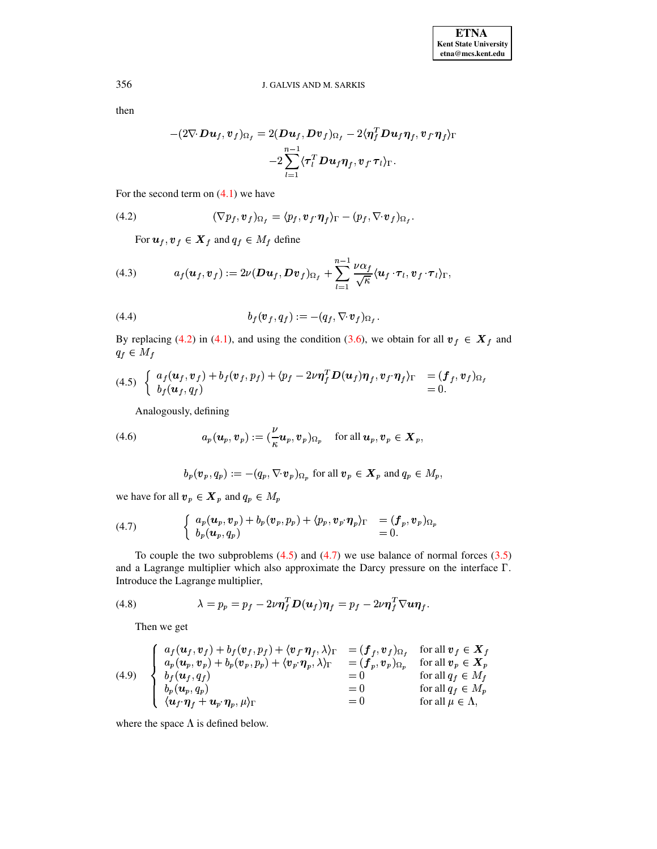then

$$
-(2\nabla \cdot \mathbf{D} \mathbf{u}_f, \mathbf{v}_f)_{\Omega_f} = 2(\mathbf{D} \mathbf{u}_f, \mathbf{D} \mathbf{v}_f)_{\Omega_f} - 2\langle \eta_f^T \mathbf{D} \mathbf{u}_f \eta_f, \mathbf{v}_f \cdot \eta_f \rangle_{\Gamma} -2\sum_{l=1}^{n-1} \langle \tau_l^T \mathbf{D} \mathbf{u}_f \eta_f, \mathbf{v}_f \cdot \tau_l \rangle_{\Gamma}.
$$

For the second term on  $(4.1)$  we have

<span id="page-6-0"></span>(4.2) 
$$
(\nabla p_f, \mathbf{v}_f)_{\Omega_f} = \langle p_f, \mathbf{v}_f \cdot \pmb{\eta}_f \rangle_{\Gamma} - (p_f, \nabla \cdot \pmb{v}_f)_{\Omega_f}
$$

For  $u_f, v_f \in X_f$  and  $q_f \in M_f$  define

<span id="page-6-5"></span>(4.3) 
$$
a_f(\boldsymbol{u}_f, \boldsymbol{v}_f) := 2\nu(\boldsymbol{D}\boldsymbol{u}_f, \boldsymbol{D}\boldsymbol{v}_f)_{\Omega_f} + \sum_{l=1}^{n-1} \frac{\nu\alpha_f}{\sqrt{\kappa}} \langle \boldsymbol{u}_f \cdot \boldsymbol{\tau}_l, \boldsymbol{v}_f \cdot \boldsymbol{\tau}_l \rangle_{\Gamma},
$$

<span id="page-6-7"></span>(4.4) 
$$
b_f(\mathbf{v}_f, q_f) := -(q_f, \nabla \cdot \mathbf{v}_f)_{\Omega_f}.
$$

By replacing (4.2) in (4.1), and using the condition (3.6), we obtain for all  $v_f \in X_f$  and  $q_f \in M_f$ 

<span id="page-6-1"></span>
$$
(4.5) \left\{ \begin{array}{ll} a_f(\boldsymbol{u}_f, \boldsymbol{v}_f) + b_f(\boldsymbol{v}_f, p_f) + \langle p_f - 2\nu\boldsymbol{\eta}_f^T \boldsymbol{D}(\boldsymbol{u}_f) \boldsymbol{\eta}_f, \boldsymbol{v}_f \cdot \boldsymbol{\eta}_f \rangle_{\Gamma} &= (\boldsymbol{f}_f, \boldsymbol{v}_f)_{\Omega_f} \\ b_f(\boldsymbol{u}_f, q_f) &= 0. \end{array} \right.
$$

Analogously, defining

<span id="page-6-6"></span>(4.6) 
$$
a_p(\boldsymbol{u}_p,\boldsymbol{v}_p):=(\frac{\nu}{\kappa}\boldsymbol{u}_p,\boldsymbol{v}_p)_{\Omega_p}\quad\text{for all }\boldsymbol{u}_p,\boldsymbol{v}_p\in\boldsymbol{X}_p,
$$

$$
b_p(\boldsymbol{v}_p, q_p) := -(q_p, \nabla \cdot \boldsymbol{v}_p)_{\Omega_p} \text{ for all } \boldsymbol{v}_p \in \boldsymbol{X}_p \text{ and } q_p \in M_p,
$$

we have for all  $v_p \in X_p$  and  $q_p \in M_p$ 

<span id="page-6-2"></span>(4.7) 
$$
\begin{cases} a_p(\boldsymbol{u}_p, \boldsymbol{v}_p) + b_p(\boldsymbol{v}_p, p_p) + \langle p_p, \boldsymbol{v}_p, \boldsymbol{\eta}_p \rangle_{\Gamma} &= (\boldsymbol{f}_p, \boldsymbol{v}_p)_{\Omega_p} \\ b_p(\boldsymbol{u}_p, q_p) &= 0. \end{cases}
$$

To couple the two subproblems  $(4.5)$  and  $(4.7)$  we use balance of normal forces  $(3.5)$ and a Lagrange multiplier which also approximate the Darcy pressure on the interface  $\Gamma$ . Introduce the Lagrange multiplier,

<span id="page-6-3"></span>(4.8) 
$$
\lambda = p_p = p_f - 2\nu \eta_f^T \mathbf{D}(\mathbf{u}_f) \eta_f = p_f - 2\nu \eta_f^T \nabla \mathbf{u} \eta_f.
$$

Then we get

<span id="page-6-4"></span>(4.9) 
$$
\begin{cases}\n a_f(\boldsymbol{u}_f, \boldsymbol{v}_f) + b_f(\boldsymbol{v}_f, p_f) + \langle \boldsymbol{v}_f \cdot \boldsymbol{\eta}_f, \lambda \rangle_{\Gamma} &= (\boldsymbol{f}_f, \boldsymbol{v}_f)_{\Omega_f} \quad \text{for all } \boldsymbol{v}_f \in \boldsymbol{X}_f \\
 a_p(\boldsymbol{u}_p, \boldsymbol{v}_p) + b_p(\boldsymbol{v}_p, p_p) + \langle \boldsymbol{v}_p \cdot \boldsymbol{\eta}_p, \lambda \rangle_{\Gamma} &= (\boldsymbol{f}_p, \boldsymbol{v}_p)_{\Omega_p} \quad \text{for all } \boldsymbol{v}_p \in \boldsymbol{X}_p \\
 b_f(\boldsymbol{u}_f, q_f) &= 0 \quad \text{for all } q_f \in M_f \\
 b_p(\boldsymbol{u}_p, q_p) &= 0 \quad \text{for all } q_f \in M_p \\
 \langle \boldsymbol{u}_f \cdot \boldsymbol{\eta}_f + \boldsymbol{u}_p \cdot \boldsymbol{\eta}_p, \mu \rangle_{\Gamma} &= 0\n\end{cases}
$$

where the space  $\Lambda$  is defined below.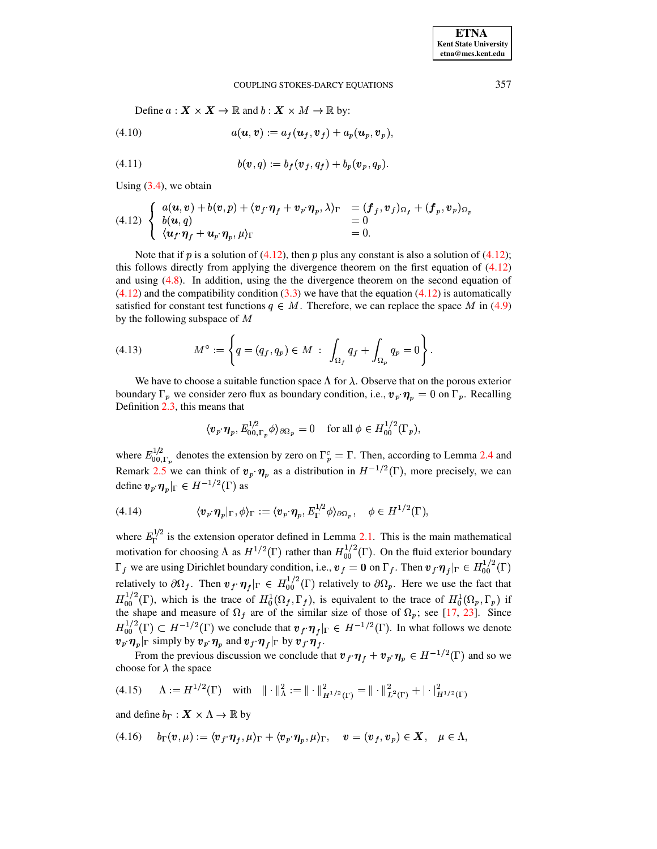<span id="page-7-3"></span>Define  $a: \mathbf{X} \times \mathbf{X} \to \mathbb{R}$  and  $b: \mathbf{X} \times M \to \mathbb{R}$  by:

$$
(4.10) \qquad \qquad a(\boldsymbol{u},\boldsymbol{v}) := a_f(\boldsymbol{u}_f,\boldsymbol{v}_f) + a_p(\boldsymbol{u}_p,\boldsymbol{v}_p),
$$

<span id="page-7-4"></span>(4.11) 
$$
b(\mathbf{v},q) := b_f(\mathbf{v}_f,q_f) + b_p(\mathbf{v}_p,q_p).
$$

Using  $(3.4)$ , we obtain

<span id="page-7-0"></span>(4.12) 
$$
\begin{cases} a(\mathbf{u}, \mathbf{v}) + b(\mathbf{v}, p) + \langle \mathbf{v}_f \cdot \pmb{\eta}_f + \mathbf{v}_p \cdot \pmb{\eta}_p, \lambda \rangle_{\Gamma} & = (\pmb{f}_f, \pmb{v}_f)_{\Omega_f} + (\pmb{f}_p, \pmb{v}_p)_{\Omega_p} \\ b(\mathbf{u}, q) & = 0 \\ \langle \mathbf{u}_f \cdot \pmb{\eta}_f + \mathbf{u}_p \cdot \pmb{\eta}_p, \mu \rangle_{\Gamma} & = 0. \end{cases}
$$

Note that if p is a solution of (4.12), then p plus any constant is also a solution of (4.12); this follows directly from applying the divergence theorem on the first equation of  $(4.12)$ and using  $(4.8)$ . In addition, using the the divergence theorem on the second equation of  $(4.12)$  and the compatibility condition (3.3) we have that the equation (4.12) is automatically satisfied for constant test functions  $q \in M$ . Therefore, we can replace the space M in (4.9) by the following subspace of  $M$ 

<span id="page-7-5"></span>
$$
(4.13) \t\t Mo := \left\{ q = (q_f, q_p) \in M : \int_{\Omega_f} q_f + \int_{\Omega_p} q_p = 0 \right\}.
$$

We have to choose a suitable function space  $\Lambda$  for  $\lambda$ . Observe that on the porous exterior boundary  $\Gamma_p$  we consider zero flux as boundary condition, i.e.,  $v_p \cdot \eta_p = 0$  on  $\Gamma_p$ . Recalling Definition  $2.3$ , this means that

$$
\langle \boldsymbol{v}_p \cdot \boldsymbol{\eta}_p, E_{00,\Gamma_p}^{1/2} \phi \rangle_{\partial \Omega_p} = 0 \quad \text{ for all } \phi \in H_{00}^{1/2}(\Gamma_p),
$$

where  $E_{00,\Gamma_n}^{1/2}$  denotes the extension by zero on  $\Gamma_p^c = \Gamma$ . Then, according to Lemma 2.4 and Remark 2.5 we can think of  $v_p \cdot \eta_p$  as a distribution in  $H^{-1/2}(\Gamma)$ , more precisely, we can define  $\mathbf{v}_p \cdot \eta_p|_{\Gamma} \in H^{-1/2}(\Gamma)$  as

<span id="page-7-1"></span>(4.14) 
$$
\langle v_p \cdot \eta_p |_{\Gamma}, \phi \rangle_{\Gamma} := \langle v_p \cdot \eta_p, E_{\Gamma}^{1/2} \phi \rangle_{\partial \Omega_p}, \quad \phi \in H^{1/2}(\Gamma),
$$

where  $E_{\Gamma}^{1/2}$  is the extension operator defined in Lemma 2.1. This is the main mathematical motivation for choosing  $\Lambda$  as  $H^{1/2}(\Gamma)$  rather than  $H_{00}^{1/2}(\Gamma)$ . On the fluid exterior boundary  $\Gamma_f$  we are using Dirichlet boundary condition, i.e.,  $v_f = 0$  on  $\Gamma_f$ . Then  $v_f \eta_f |_{\Gamma} \in H_{00}^{1/2}(\Gamma)$ relatively to  $\partial\Omega_f$ . Then  $\mathbf{v}_f \cdot \mathbf{\eta}_f|_{\Gamma} \in H_{00}^{1/2}(\Gamma)$  relatively to  $\partial\Omega_p$ . Here we use the fact that  $H_{00}^{1/2}(\Gamma)$ , which is the trace of  $H_0^1(\Omega_f, \Gamma_f)$ , is equivalent to the trace of  $H_0^1(\Omega_p, \Gamma_p)$  if the shape and measure of  $\Omega_f$  are of the similar size of those of  $\Omega_p$ ; see [17, 23]. Since  $H_{00}^{1/2}(\Gamma) \subset H^{-1/2}(\Gamma)$  we conclude that  $v_f \cdot \eta_f|_{\Gamma} \in H^{-1/2}(\Gamma)$ . In what follows we denote  $\langle v_p \cdot \eta_p |_{\Gamma}$  simply by  $v_p \cdot \eta_p$  and  $v_f \cdot \eta_f |_{\Gamma}$  by  $v_f \cdot \eta_f$ .

From the previous discussion we conclude that  $v_f \cdot \eta_f + v_p \cdot \eta_p \in H^{-1/2}(\Gamma)$  and so we choose for  $\lambda$  the space

<span id="page-7-6"></span>
$$
(4.15) \quad \Lambda := H^{1/2}(\Gamma) \quad \text{with} \quad || \cdot ||_{\Lambda}^{2} := || \cdot ||_{H^{1/2}(\Gamma)}^{2} = || \cdot ||_{L^{2}(\Gamma)}^{2} + |\cdot |_{H^{1/2}(\Gamma)}^{2}
$$

and define  $b_{\Gamma}: \mathbf{X} \times \Lambda \to \mathbb{R}$  by

<span id="page-7-2"></span>
$$
(4.16) \t b_{\Gamma}(v,\mu) := \langle v_f \cdot \eta_f, \mu \rangle_{\Gamma} + \langle v_{p} \cdot \eta_p, \mu \rangle_{\Gamma}, \quad v = (v_f, v_p) \in X, \quad \mu \in \Lambda,
$$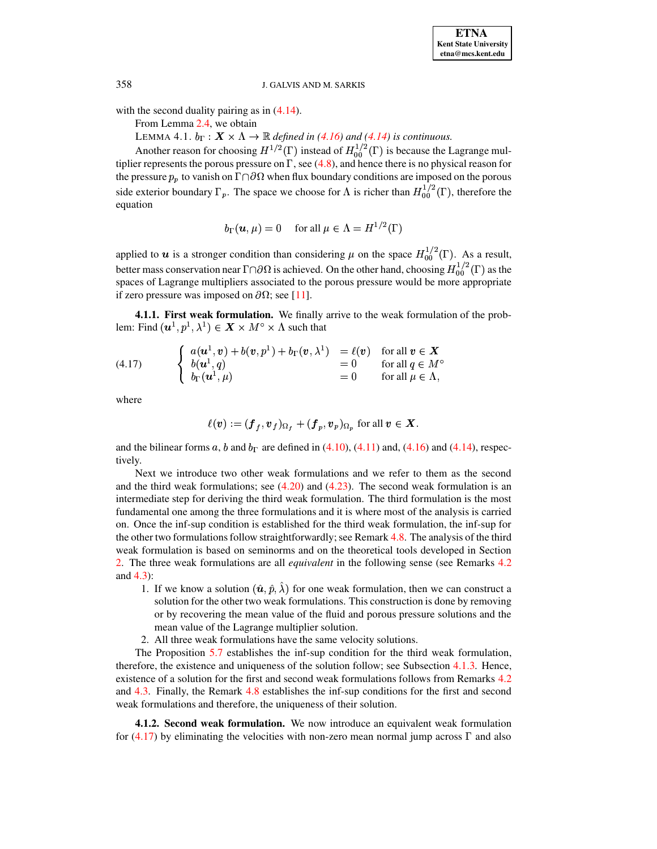with the second duality pairing as in  $(4.14)$ .

From Lemma 2.4, we obtain

LEMMA 4.1.  $b_{\Gamma}: X \times \Lambda \rightarrow \mathbb{R}$  defined in (4.16) and (4.14) is continuous.

Another reason for choosing  $H^{1/2}(\Gamma)$  instead of  $H_{00}^{1/2}(\Gamma)$  is because the Lagrange multiplier represents the porous pressure on  $\Gamma$ , see (4.8), and hence there is no physical reason for the pressure  $p_p$  to vanish on  $\Gamma \cap \partial \Omega$  when flux boundary conditions are imposed on the porous side exterior boundary  $\Gamma_p$ . The space we choose for  $\Lambda$  is richer than  $H_{00}^{1/2}(\Gamma)$ , therefore the equation

$$
b_{\Gamma}(\boldsymbol{u}, \mu) = 0
$$
 for all  $\mu \in \Lambda = H^{1/2}(\Gamma)$ 

applied to  $u$  is a stronger condition than considering  $\mu$  on the space  $H_{00}^{1/2}(\Gamma)$ . As a result, better mass conservation near  $\Gamma \cap \partial \Omega$  is achieved. On the other hand, choosing  $H_{00}^{1/2}(\Gamma)$  as the spaces of Lagrange multipliers associated to the porous pressure would be more appropriate if zero pressure was imposed on  $\partial\Omega$ ; see [11].

4.1.1. First weak formulation. We finally arrive to the weak formulation of the problem: Find  $(\mathbf{u}^1, p^1, \lambda^1) \in \mathbf{X} \times M^{\circ} \times \Lambda$  such that

<span id="page-8-0"></span>(4.17) 
$$
\begin{cases} a(\mathbf{u}^1, \mathbf{v}) + b(\mathbf{v}, p^1) + b_{\Gamma}(\mathbf{v}, \lambda^1) & = \ell(\mathbf{v}) \quad \text{for all } \mathbf{v} \in \mathbf{X} \\ b(\mathbf{u}^1, q) & = 0 \quad \text{for all } q \in M^{\circ} \\ b_{\Gamma}(\mathbf{u}^1, \mu) & = 0 \quad \text{for all } \mu \in \Lambda, \end{cases}
$$

where

$$
\ell(\boldsymbol{v}) := (\boldsymbol{f}_f, \boldsymbol{v}_f)_{\Omega_f} + (\boldsymbol{f}_p, \boldsymbol{v}_p)_{\Omega_p} \text{ for all } \boldsymbol{v} \in \boldsymbol{X}.
$$

and the bilinear forms a, b and  $b_{\Gamma}$  are defined in (4.10), (4.11) and, (4.16) and (4.14), respectively.

Next we introduce two other weak formulations and we refer to them as the second and the third weak formulations; see  $(4.20)$  and  $(4.23)$ . The second weak formulation is an intermediate step for deriving the third weak formulation. The third formulation is the most fundamental one among the three formulations and it is where most of the analysis is carried on. Once the inf-sup condition is established for the third weak formulation, the inf-sup for the other two formulations follow straightforwardly; see Remark 4.8. The analysis of the third weak formulation is based on seminorms and on the theoretical tools developed in Section 2. The three weak formulations are all *equivalent* in the following sense (see Remarks 4.2) and  $4.3$ :

- 1. If we know a solution  $(\hat{u}, \hat{p}, \hat{\lambda})$  for one weak formulation, then we can construct a solution for the other two weak formulations. This construction is done by removing or by recovering the mean value of the fluid and porous pressure solutions and the mean value of the Lagrange multiplier solution.
- 2. All three weak formulations have the same velocity solutions.

The Proposition  $5.7$  establishes the inf-sup condition for the third weak formulation, therefore, the existence and uniqueness of the solution follow; see Subsection 4.1.3. Hence, existence of a solution for the first and second weak formulations follows from Remarks 4.2 and 4.3. Finally, the Remark 4.8 establishes the inf-sup conditions for the first and second weak formulations and therefore, the uniqueness of their solution.

4.1.2. Second weak formulation. We now introduce an equivalent weak formulation for  $(4.17)$  by eliminating the velocities with non-zero mean normal jump across  $\Gamma$  and also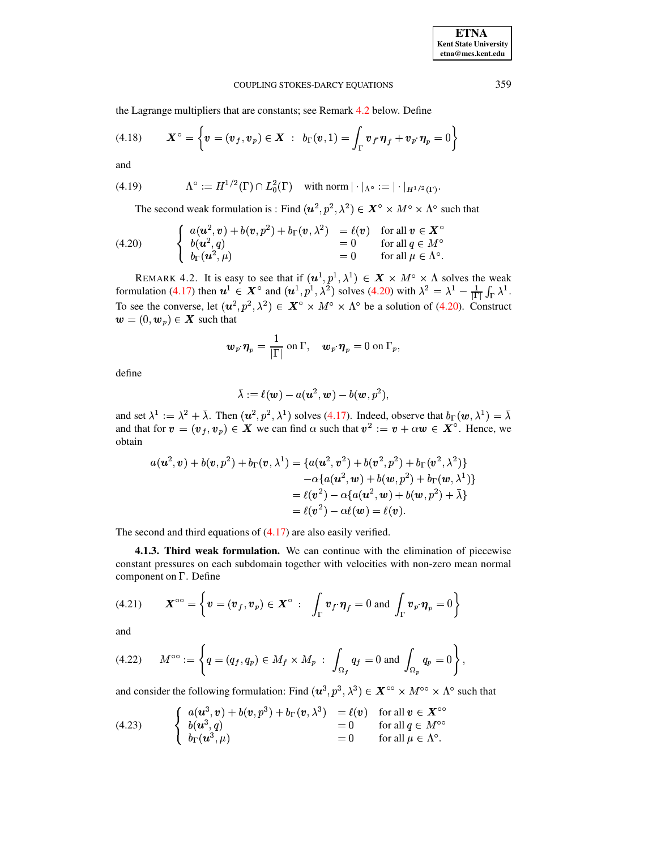the Lagrange multipliers that are constants; see Remark 4.2 below. Define

<span id="page-9-7"></span>(4.18) 
$$
\boldsymbol{X}^{\circ} = \left\{ \boldsymbol{v} = (\boldsymbol{v}_f, \boldsymbol{v}_p) \in \boldsymbol{X} : b_{\Gamma}(\boldsymbol{v}, 1) = \int_{\Gamma} \boldsymbol{v}_f \cdot \boldsymbol{\eta}_f + \boldsymbol{v}_p \cdot \boldsymbol{\eta}_p = 0 \right\}
$$

and

<span id="page-9-5"></span>(4.19) 
$$
\Lambda^{\circ} := H^{1/2}(\Gamma) \cap L_0^2(\Gamma) \quad \text{with norm } |\cdot|_{\Lambda^{\circ}} := |\cdot|_{H^{1/2}(\Gamma)}
$$

The second weak formulation is: Find  $(u^2, p^2, \lambda^2) \in X^{\circ} \times M^{\circ} \times \Lambda^{\circ}$  such that

<span id="page-9-0"></span>(4.20) 
$$
\begin{cases} a(\mathbf{u}^2, \mathbf{v}) + b(\mathbf{v}, p^2) + b_{\Gamma}(\mathbf{v}, \lambda^2) & = \ell(\mathbf{v}) & \text{for all } \mathbf{v} \in \mathbf{X}^c \\ b(\mathbf{u}^2, q) & = 0 & \text{for all } q \in M^c \\ b_{\Gamma}(\mathbf{u}^2, \mu) & = 0 & \text{for all } \mu \in \Lambda^c \end{cases}
$$

<span id="page-9-2"></span>REMARK 4.2. It is easy to see that if  $(u^1, p^1, \lambda^1) \in \mathbf{X} \times M^\circ \times \Lambda$  solves the weak<br>formulation (4.17) then  $u^1 \in \mathbf{X}^\circ$  and  $(u^1, p^1, \lambda^2)$  solves (4.20) with  $\lambda^2 = \lambda^1 - \frac{1}{|\Gamma|} \int_{\Gamma} \lambda^1$ .<br>To see the converse, l  $\mathbf{w} = (0, \mathbf{w}_p) \in \mathbf{X}$  such that

$$
\boldsymbol{w}_p \!\cdot \! \boldsymbol{\eta}_p = \frac{1}{|\Gamma|} \text{ on } \Gamma, \quad \boldsymbol{w}_p \!\cdot \! \boldsymbol{\eta}_p = 0 \text{ on } \Gamma_p,
$$

define

$$
\bar{\lambda}:=\ell(\boldsymbol{w})-a(\boldsymbol{u}^2,\boldsymbol{w})-b(\boldsymbol{w},p^2),
$$

and set  $\lambda^1 := \lambda^2 + \overline{\lambda}$ . Then  $(u^2, p^2, \lambda^1)$  solves (4.17). Indeed, observe that  $b_{\Gamma}(w, \lambda^1) = \overline{\lambda}$ and that for  $v = (v_f, v_p) \in X$  we can find  $\alpha$  such that  $v^2 := v + \alpha w \in X^{\circ}$ . Hence, we obtain

$$
a(\mathbf{u}^2, \mathbf{v}) + b(\mathbf{v}, p^2) + b_{\Gamma}(\mathbf{v}, \lambda^1) = \{a(\mathbf{u}^2, \mathbf{v}^2) + b(\mathbf{v}^2, p^2) + b_{\Gamma}(\mathbf{v}^2, \lambda^2)\}
$$
  
- $\alpha \{a(\mathbf{u}^2, \mathbf{w}) + b(\mathbf{w}, p^2) + b_{\Gamma}(\mathbf{w}, \lambda^1)\}$   
=  $\ell(\mathbf{v}^2) - \alpha \{a(\mathbf{u}^2, \mathbf{w}) + b(\mathbf{w}, p^2) + \bar{\lambda}\}$   
=  $\ell(\mathbf{v}^2) - \alpha \ell(\mathbf{w}) = \ell(\mathbf{v}).$ 

<span id="page-9-3"></span>The second and third equations of  $(4.17)$  are also easily verified.

**4.1.3. Third weak formulation.** We can continue with the elimination of piecewise constant pressures on each subdomain together with velocities with non-zero mean normal component on  $\Gamma$ . Define

<span id="page-9-4"></span>(4.21) 
$$
\mathbf{X}^{\circ\circ} = \left\{ \mathbf{v} = (\mathbf{v}_f, \mathbf{v}_p) \in \mathbf{X}^{\circ} : \int_{\Gamma} \mathbf{v}_f \cdot \mathbf{\eta}_f = 0 \text{ and } \int_{\Gamma} \mathbf{v}_p \cdot \mathbf{\eta}_p = 0 \right\}
$$

and

<span id="page-9-6"></span>
$$
(4.22) \qquad M^{\circ \circ} := \left\{ q = (q_f, q_p) \in M_f \times M_p \; : \; \int_{\Omega_f} q_f = 0 \; \text{and} \; \int_{\Omega_p} q_p = 0 \right\},
$$

and consider the following formulation: Find  $(u^3, p^3, \lambda^3) \in X^{\circ\circ} \times M^{\circ\circ} \times \Lambda^{\circ}$  such that

<span id="page-9-1"></span>(4.23) 
$$
\begin{cases} a(\mathbf{u}^3, \mathbf{v}) + b(\mathbf{v}, p^3) + b_{\Gamma}(\mathbf{v}, \lambda^3) & = \ell(\mathbf{v}) \quad \text{for all } \mathbf{v} \in \mathbf{X}^{\infty} \\ b(\mathbf{u}^3, q) & = 0 \quad \text{for all } q \in M^{\infty} \\ b_{\Gamma}(\mathbf{u}^3, \mu) & = 0 \quad \text{for all } \mu \in \Lambda^{\circ}. \end{cases}
$$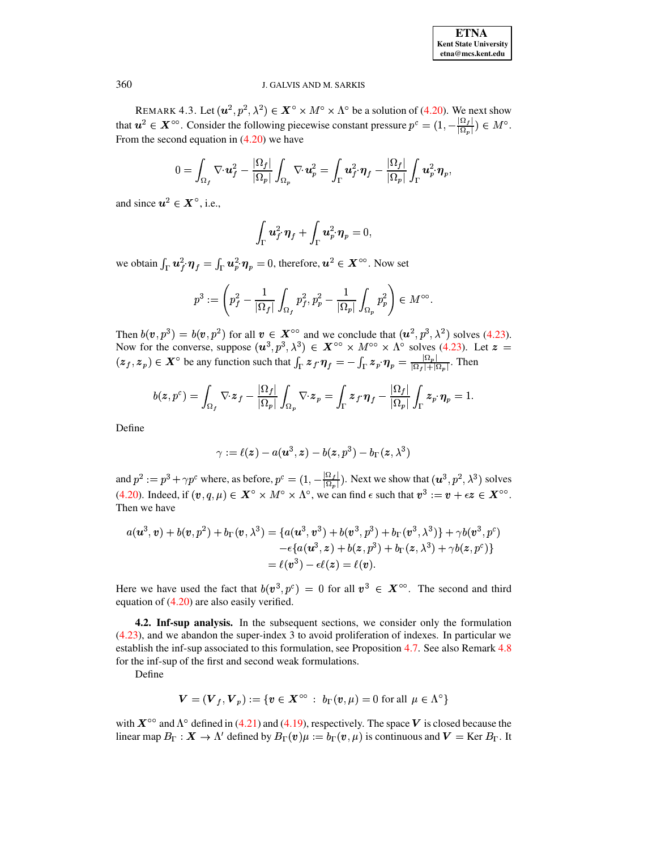<span id="page-10-0"></span>REMARK 4.3. Let  $(u^2, p^2, \lambda^2) \in X^{\circ} \times M^{\circ} \times \Lambda^{\circ}$  be a solution of (4.20). We next show that  $u^2 \in X^{\circ\circ}$ . Consider the following piecewise constant pressure  $p^c = (1, -\frac{|\Omega_f|}{|\Omega_p|}) \in M^{\circ}$ . From the second equation in  $(4.20)$  we have

$$
0 = \int_{\Omega_f} \nabla \cdot \boldsymbol{u}_f^2 - \frac{|\Omega_f|}{|\Omega_p|} \int_{\Omega_p} \nabla \cdot \boldsymbol{u}_p^2 = \int_{\Gamma} \boldsymbol{u}_f^2 \cdot \boldsymbol{\eta}_f - \frac{|\Omega_f|}{|\Omega_p|} \int_{\Gamma} \boldsymbol{u}_p^2 \cdot \boldsymbol{\eta}_p.
$$

and since  $u^2 \in X^\circ$ , i.e.,

$$
\int_{\Gamma} \boldsymbol{u}_f^2 \cdot \boldsymbol{\eta}_f + \int_{\Gamma} \boldsymbol{u}_p^2 \cdot \boldsymbol{\eta}_p = 0,
$$

we obtain  $\int_{\Gamma} u_f^2 \cdot \eta_f = \int_{\Gamma} u_p^2 \cdot \eta_p = 0$ , therefore,  $u^2 \in X^{\infty}$ . Now set

$$
p^3:=\left(p_f^2-\frac{1}{|\Omega_f|}\int_{\Omega_f}p_f^2, p_p^2-\frac{1}{|\Omega_p|}\int_{\Omega_p}p_p^2\right)\in M^{\circ\circ}.
$$

Then  $b(v, p^3) = b(v, p^2)$  for all  $v \in X^{\circ\circ}$  and we conclude that  $(u^2, p^3, \lambda^2)$  solves (4.23). Now for the converse, suppose  $(u^3, p^3, \lambda^3) \in X^{\circ\circ} \times M^{\circ\circ} \times \Lambda^{\circ}$  solves (4.23). Let  $z =$  $(z_f, z_p) \in X^{\circ}$  be any function such that  $\int_{\Gamma} z_f \eta_f = -\int_{\Gamma} z_p \eta_p = \frac{|\Omega_p|}{|\Omega_f| + |\Omega_p|}$ . Then

$$
b(\boldsymbol{z},p^c) = \int_{\Omega_f} \nabla \cdot \boldsymbol{z}_f - \frac{|\Omega_f|}{|\Omega_p|} \int_{\Omega_p} \nabla \cdot \boldsymbol{z}_p = \int_{\Gamma} \boldsymbol{z}_f \cdot \boldsymbol{\eta}_f - \frac{|\Omega_f|}{|\Omega_p|} \int_{\Gamma} \boldsymbol{z}_p \cdot \boldsymbol{\eta}_p = 1.
$$

Define

$$
\gamma:=\ell(\boldsymbol{z})-a(\boldsymbol{u}^3,\boldsymbol{z})-b(\boldsymbol{z},p^3)-b_\Gamma(\boldsymbol{z},\lambda^3)
$$

and  $p^2 := p^3 + \gamma p^c$  where, as before,  $p^c = (1, -\frac{|\Omega_f|}{|\Omega_p|})$ . Next we show that  $(u^3, p^2, \lambda^3)$  solves (4.20). Indeed, if  $(v, q, \mu) \in X^{\circ} \times M^{\circ} \times \Lambda^{\circ}$ , we can find  $\epsilon$  such that  $v^3 := v + \epsilon z \in X^{\circ\circ}$ . Then we have

$$
a(\boldsymbol{u}^3, \boldsymbol{v}) + b(\boldsymbol{v}, p^2) + b_\Gamma(\boldsymbol{v}, \lambda^3) = \{a(\boldsymbol{u}^3, \boldsymbol{v}^3) + b(\boldsymbol{v}^3, p^3) + b_\Gamma(\boldsymbol{v}^3, \lambda^3)\} + \gamma b(\boldsymbol{v}^3, p^c) - \epsilon \{a(\boldsymbol{u}^3, \boldsymbol{z}) + b(\boldsymbol{z}, p^3) + b_\Gamma(\boldsymbol{z}, \lambda^3) + \gamma b(\boldsymbol{z}, p^c)\} = \ell(\boldsymbol{v}^3) - \epsilon \ell(\boldsymbol{z}) = \ell(\boldsymbol{v}).
$$

Here we have used the fact that  $b(v^3, p^c) = 0$  for all  $v^3 \in X^{\infty}$ . The second and third equation of  $(4.20)$  are also easily verified.

<span id="page-10-1"></span>**4.2. Inf-sup analysis.** In the subsequent sections, we consider only the formulation  $(4.23)$ , and we abandon the super-index 3 to avoid proliferation of indexes. In particular we establish the inf-sup associated to this formulation, see Proposition 4.7. See also Remark 4.8 for the inf-sup of the first and second weak formulations.

Define

$$
\boldsymbol{V}=(\boldsymbol{V}_f, \boldsymbol{V}_p):=\{\boldsymbol{v}\in \boldsymbol{X}^{\circ\circ} \ : \ \boldsymbol{b}_\Gamma(\boldsymbol{v},\mu)=0 \text{ for all } \mu\in \Lambda^{\circ}\}
$$

with  $X^{\circ\circ}$  and  $\Lambda^{\circ}$  defined in (4.21) and (4.19), respectively. The space V is closed because the linear map  $B_{\Gamma}: X \to \Lambda'$  defined by  $B_{\Gamma}(v)\mu := b_{\Gamma}(v,\mu)$  is continuous and  $V = \text{Ker } B_{\Gamma}$ . It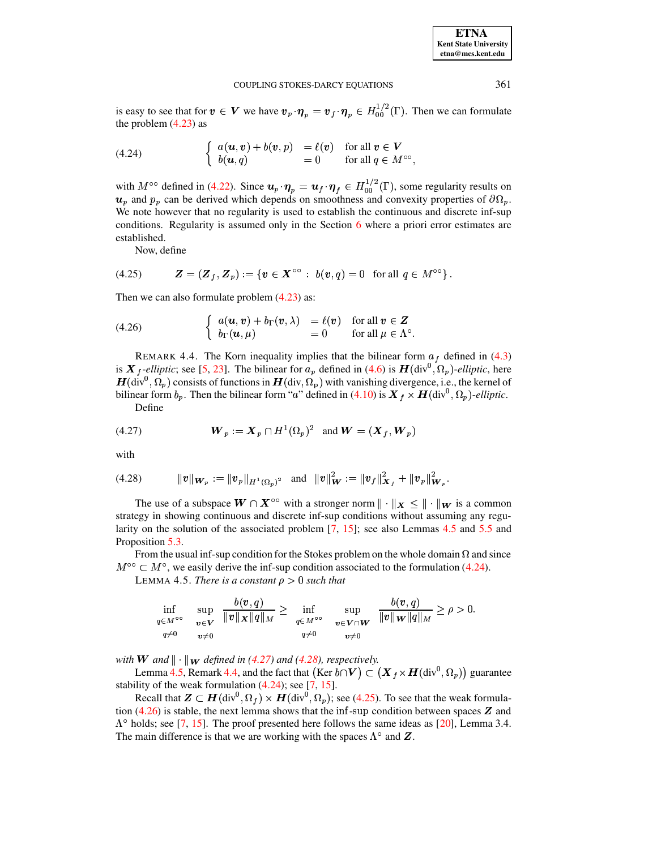is easy to see that for  $v \in V$  we have  $v_p \cdot \eta_p = v_f \cdot \eta_p \in H_{00}^{1/2}(\Gamma)$ . Then we can formulate the problem  $(4.23)$  as

<span id="page-11-1"></span>(4.24) 
$$
\begin{cases} a(\boldsymbol{u},\boldsymbol{v}) + b(\boldsymbol{v},p) = \ell(\boldsymbol{v}) & \text{for all } \boldsymbol{v} \in \boldsymbol{V} \\ b(\boldsymbol{u},q) = 0 & \text{for all } q \in M^{\infty}, \end{cases}
$$

with  $M^{\circ\circ}$  defined in (4.22). Since  $u_p \cdot \eta_p = u_f \cdot \eta_f \in H_{00}^{1/2}(\Gamma)$ , some regularity results on  $u_p$  and  $p_p$  can be derived which depends on smoothness and convexity properties of  $\partial \Omega_p$ . We note however that no regularity is used to establish the continuous and discrete inf-sup conditions. Regularity is assumed only in the Section  $6$  where a priori error estimates are established.

Now, define

<span id="page-11-5"></span>(4.25) 
$$
\mathbf{Z} = (\mathbf{Z}_f, \mathbf{Z}_p) := \{ \mathbf{v} \in \mathbf{X}^{\infty} : b(\mathbf{v}, q) = 0 \text{ for all } q \in M^{\infty} \}.
$$

Then we can also formulate problem  $(4.23)$  as:

<span id="page-11-6"></span>(4.26) 
$$
\begin{cases} a(\boldsymbol{u}, \boldsymbol{v}) + b_{\Gamma}(\boldsymbol{v}, \lambda) & = \ell(\boldsymbol{v}) \quad \text{for all } \boldsymbol{v} \in \mathbf{Z} \\ b_{\Gamma}(\boldsymbol{u}, \mu) & = 0 \quad \text{for all } \mu \in \Lambda^{\circ} . \end{cases}
$$

<span id="page-11-4"></span>REMARK 4.4. The Korn inequality implies that the bilinear form  $a_f$  defined in (4.3) is  $\mathbf{X}_f$ -elliptic; see [5, 23]. The bilinear for  $a_p$  defined in (4.6) is  $\mathbf{H}(\text{div}^0, \Omega_p)$ -elliptic, here  $H(\text{div}^0, \Omega_p)$  consists of functions in  $H(\text{div}, \Omega_p)$  with vanishing divergence, i.e., the kernel of bilinear form  $b_p$ . Then the bilinear form "a" defined in (4.10) is  $X_f \times H(\text{div}^0, \Omega_p)$ -elliptic. Define

<span id="page-11-2"></span>

with

<span id="page-11-3"></span>
$$
(4.28) \t\t ||v||_{\mathbf{W}_p} := ||v_p||_{H^1(\Omega_p)^2} \t and ||v||_{\mathbf{W}}^2 := ||v_f||_{\mathbf{X}_f}^2 + ||v_p||_{\mathbf{W}_p}^2.
$$

The use of a subspace  $W \cap X^{\circ\circ}$  with a stronger norm  $\|\cdot\|_X \le \|\cdot\|_W$  is a common strategy in showing continuous and discrete inf-sup conditions without assuming any regularity on the solution of the associated problem  $[7, 15]$ ; see also Lemmas 4.5 and 5.5 and Proposition 5.3.

<span id="page-11-0"></span>From the usual inf-sup condition for the Stokes problem on the whole domain  $\Omega$  and since  $M^{\circ\circ} \subset M^{\circ}$ , we easily derive the inf-sup condition associated to the formulation (4.24).

LEMMA 4.5. There is a constant  $\rho > 0$  such that

<span id="page-11-7"></span>
$$
\inf_{\substack{q\in M^{\circ\circ}\\ q\neq 0}}\;\;\sup_{\substack{\boldsymbol{v}\in \boldsymbol{V}\\ \boldsymbol{v}\neq 0}}\frac{b(\boldsymbol{v},q)}{\|\boldsymbol{v}\|_{\boldsymbol{X}}\|q\|_{M}}\geq \;\;\inf_{\substack{q\in M^{\circ\circ}\\ \boldsymbol{v}\in \boldsymbol{V}\cap \boldsymbol{W}}}\;\;\sup_{\substack{\boldsymbol{v}\in \boldsymbol{V}\cap \boldsymbol{W}\\ \boldsymbol{v}\neq 0}}\frac{b(\boldsymbol{v},q)}{\|\boldsymbol{v}\|_{\boldsymbol{W}}\|q\|_{M}}\geq \rho>0.
$$

with **W** and  $\|\cdot\|_W$  defined in (4.27) and (4.28), respectively.

Lemma 4.5, Remark 4.4, and the fact that (Ker  $b \cap V$ )  $\subset (X_f \times H(\text{div}^0, \Omega_p))$  guarantee stability of the weak formulation  $(4.24)$ ; see [7, 15].

Recall that  $\mathbf{Z} \subset \mathbf{H}(\text{div}^0, \Omega_f) \times \mathbf{H}(\text{div}^0, \Omega_p)$ ; see (4.25). To see that the weak formulation  $(4.26)$  is stable, the next lemma shows that the inf-sup condition between spaces  $Z$  and  $\Lambda^{\circ}$  holds; see [7, 15]. The proof presented here follows the same ideas as [20], Lemma 3.4. The main difference is that we are working with the spaces  $\Lambda^{\circ}$  and  $\mathbf{Z}$ .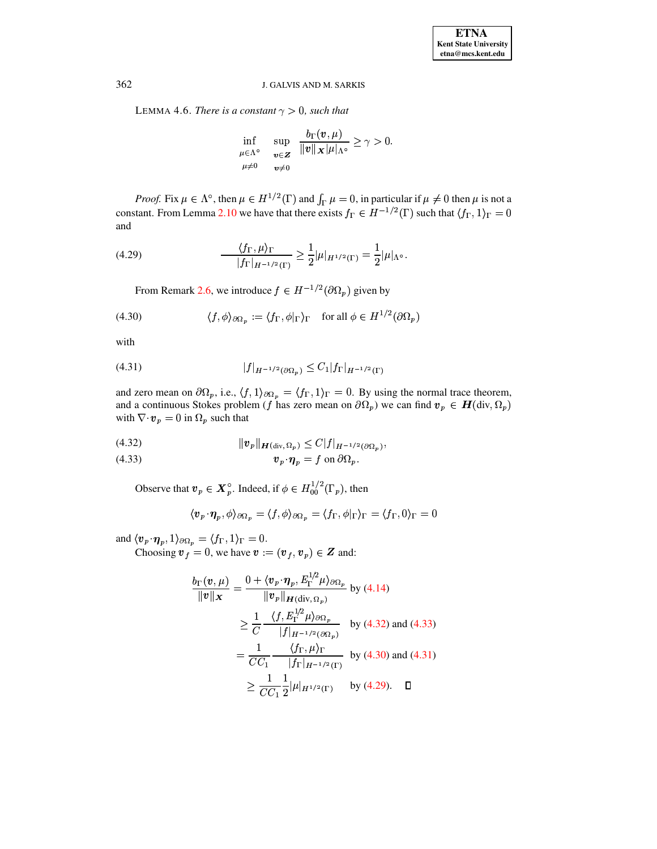LEMMA 4.6. There is a constant  $\gamma > 0$ , such that

$$
\inf_{\mu \in \Lambda^{\circ}} \quad \sup_{\mathbf{v} \in \mathbf{Z}} \quad \frac{b_{\Gamma}(\mathbf{v}, \mu)}{\|\mathbf{v}\|_{\mathbf{X}} \|\mu\|_{\Lambda^{\circ}}} \ge \gamma > 0.
$$

*Proof.* Fix  $\mu \in \Lambda^{\circ}$ , then  $\mu \in H^{1/2}(\Gamma)$  and  $\int_{\Gamma} \mu = 0$ , in particular if  $\mu \neq 0$  then  $\mu$  is not a constant. From Lemma 2.10 we have that there exists  $f_{\Gamma} \in H^{-1/2}(\Gamma)$  such that  $\langle f_{\Gamma}, 1 \rangle_{\Gamma} = 0$ and

<span id="page-12-3"></span>(4.29) 
$$
\frac{\langle f_{\Gamma}, \mu \rangle_{\Gamma}}{|f_{\Gamma}|_{H^{-1/2}(\Gamma)}} \geq \frac{1}{2} |\mu|_{H^{1/2}(\Gamma)} = \frac{1}{2} |\mu|_{\Lambda^{\circ}}.
$$

From Remark 2.6, we introduce  $f \in H^{-1/2}(\partial \Omega_p)$  given by

<span id="page-12-1"></span>(4.30) 
$$
\langle f, \phi \rangle_{\partial \Omega_p} := \langle f_{\Gamma}, \phi |_{\Gamma} \rangle_{\Gamma} \quad \text{for all } \phi \in H^{1/2}(\partial \Omega_p)
$$

with

<span id="page-12-2"></span>
$$
(4.31) \t\t |f|_{H^{-1/2}(\partial \Omega_p)} \le C_1 |f_{\Gamma}|_{H^{-1/2}(\Gamma)}
$$

and zero mean on  $\partial\Omega_p$ , i.e.,  $\langle f, 1\rangle_{\partial\Omega_p} = \langle f_{\Gamma}, 1\rangle_{\Gamma} = 0$ . By using the normal trace theorem, and a continuous Stokes problem (f has zero mean on  $\partial \Omega_p$ ) we can find  $v_p \in H(\text{div}, \Omega_p)$ with  $\nabla \cdot \mathbf{v}_p = 0$  in  $\Omega_p$  such that

<span id="page-12-0"></span>
$$
(4.32) \t\t\t ||\boldsymbol{v}_p||_{\boldsymbol{H}(\text{div}, \Omega_p)} \leq C |f|_{H^{-1/2}(\partial \Omega_p)},
$$

Observe that  $v_p \in \mathbf{X}_p^{\circ}$ . Indeed, if  $\phi \in H_{00}^{1/2}(\Gamma_p)$ , then

$$
\langle \boldsymbol{v}_p\!\cdot\!\boldsymbol{\eta}_p, \phi \rangle_{\partial\Omega_p} = \langle f, \phi \rangle_{\partial\Omega_p} = \langle f_\Gamma, \phi|_\Gamma \rangle_\Gamma = \langle f_\Gamma, 0 \rangle_\Gamma = 0
$$

and  $\langle v_p \cdot \eta_p, 1 \rangle_{\partial \Omega_p} = \langle f_{\Gamma}, 1 \rangle_{\Gamma} = 0$ .<br>Choosing  $v_f = 0$ , we have  $v := (v_f, v_p) \in Z$  and:

$$
\frac{b_{\Gamma}(\boldsymbol{v}, \mu)}{\|\boldsymbol{v}\|_{\boldsymbol{X}}} = \frac{0 + \langle \boldsymbol{v}_p \cdot \boldsymbol{\eta}_p, E_{\Gamma}^{1/2} \mu \rangle_{\partial \Omega_p}}{\|\boldsymbol{v}_p\|_{\boldsymbol{H}(\text{div}, \Omega_p)}} \text{ by (4.14)}
$$
\n
$$
\geq \frac{1}{C} \frac{\langle f, E_{\Gamma}^{1/2} \mu \rangle_{\partial \Omega_p}}{|f|_{\boldsymbol{H}^{-1/2}(\partial \Omega_p)}} \text{ by (4.32) and (4.33)}
$$
\n
$$
= \frac{1}{CC_1} \frac{\langle f_{\Gamma}, \mu \rangle_{\Gamma}}{|f_{\Gamma}|_{\boldsymbol{H}^{-1/2}(\Gamma)}} \text{ by (4.30) and (4.31)}
$$
\n
$$
\geq \frac{1}{CC_1} \frac{1}{2} |\mu|_{\boldsymbol{H}^{1/2}(\Gamma)} \text{ by (4.29). } \square
$$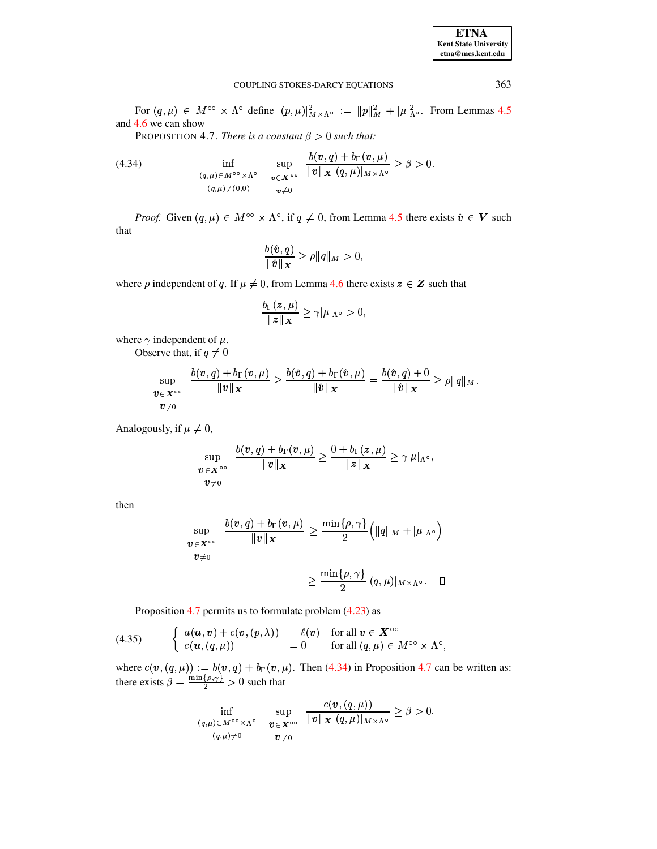<span id="page-13-0"></span>For  $(q,\mu) \in M^{\circ\circ} \times \Lambda^{\circ}$  define  $|(p,\mu)|^2_{M\times\Lambda^{\circ}} := ||p||^2_M + |\mu|^2_{\Lambda^{\circ}}$ . From Lemmas 4.5 and 4.6 we can show

PROPOSITION 4.7. There is a constant  $\beta > 0$  such that:

<span id="page-13-1"></span>(4.34) 
$$
\inf_{\substack{(q,\mu)\in M^{\circ\circ}\times\Lambda^{\circ} \\ (q,\mu)\neq(0,0)}} \sup_{\substack{\mathbf{v}\in\mathbf{X}^{\circ\circ} \\ \mathbf{v}\neq 0}} \frac{b(\mathbf{v},q)+b_{\Gamma}(\mathbf{v},\mu)}{\|\mathbf{v}\|_{\mathbf{X}}|(q,\mu)|_{M\times\Lambda^{\circ}}} \geq \beta > 0.
$$

*Proof.* Given  $(q, \mu) \in M^{\infty} \times \Lambda^{\circ}$ , if  $q \neq 0$ , from Lemma 4.5 there exists  $\hat{v} \in V$  such that

$$
\frac{b(\hat{\boldsymbol{v}},q)}{\|\hat{\boldsymbol{v}}\|_{\boldsymbol{X}}} \ge \rho \|q\|_M > 0,
$$

where  $\rho$  independent of q. If  $\mu \neq 0$ , from Lemma 4.6 there exists  $z \in Z$  such that

$$
\frac{b_{\Gamma}(z,\mu)}{\|z\|_{X}} \geq \gamma |\mu|_{\Lambda^{\circ}} > 0,
$$

where  $\gamma$  independent of  $\mu$ .

Observe that, if  $q \neq 0$ 

$$
\sup_{\substack{\boldsymbol{v}\in\mathbf{X}^{\circ\circ}}} \frac{b(\boldsymbol{v},q)+b_{\Gamma}(\boldsymbol{v},\mu)}{\|\boldsymbol{v}\|_{\mathbf{X}}}\geq \frac{b(\hat{\boldsymbol{v}},q)+b_{\Gamma}(\hat{\boldsymbol{v}},\mu)}{\|\hat{\boldsymbol{v}}\|_{\mathbf{X}}}=\frac{b(\hat{\boldsymbol{v}},q)+0}{\|\hat{\boldsymbol{v}}\|_{\mathbf{X}}}\geq \rho\|q\|_{M}.
$$

Analogously, if  $\mu \neq 0$ ,

$$
\sup_{\substack{\boldsymbol{v}\in\boldsymbol{X}^{\circ\circ} \\ \boldsymbol{v}\neq 0}}\frac{b(\boldsymbol{v},q)+b_\Gamma(\boldsymbol{v},\mu)}{\|\boldsymbol{v}\|_{\boldsymbol{X}}}\geq \frac{0+b_\Gamma(\boldsymbol{z},\mu)}{\|\boldsymbol{z}\|_{\boldsymbol{X}}}\geq \gamma|\mu|_{\Lambda^\circ},
$$

then

$$
\sup_{\substack{\boldsymbol{v}\in\boldsymbol{X}^{\circ\circ} \\ \boldsymbol{v}\neq 0}}\frac{b(\boldsymbol{v},q)+b_{\Gamma}(\boldsymbol{v},\mu)}{\|\boldsymbol{v}\|_{\boldsymbol{X}}}\geq \frac{\min\{\rho,\gamma\}}{2}\Big(\|q\|_{M}+|\mu|_{\Lambda^{\circ}}\Big)\\ \geq \frac{\min\{\rho,\gamma\}}{2}|(q,\mu)|_{M\times\Lambda^{\circ}}.\quad \ \Box
$$

Proposition 4.7 permits us to formulate problem 
$$
(4.23)
$$
 as

<span id="page-13-2"></span>(4.35) 
$$
\begin{cases} a(\boldsymbol{u}, \boldsymbol{v}) + c(\boldsymbol{v}, (p, \lambda)) = \ell(\boldsymbol{v}) & \text{for all } \boldsymbol{v} \in \boldsymbol{X}^{\infty} \\ c(\boldsymbol{u}, (q, \mu)) = 0 & \text{for all } (q, \mu) \in M^{\infty} \times \Lambda^{\infty} \end{cases}
$$

where  $c(\mathbf{v}, (q, \mu)) := b(\mathbf{v}, q) + b_{\Gamma}(\mathbf{v}, \mu)$ . Then (4.34) in Proposition 4.7 can be written as: there exists  $\beta = \frac{\min\{\rho, \gamma\}}{2} > 0$  such that

$$
\inf_{\substack{(q,\mu)\in M^{\circ\circ}\times\Lambda^{\circ}}} \sup_{\substack{\boldsymbol{v}\in\boldsymbol{X}^{\circ\circ}}} \frac{c(\boldsymbol{v},(q,\mu))}{\|\boldsymbol{v}\|_{\boldsymbol{X}}|(q,\mu)|_{M\times\Lambda^{\circ}}} \geq \beta > 0.
$$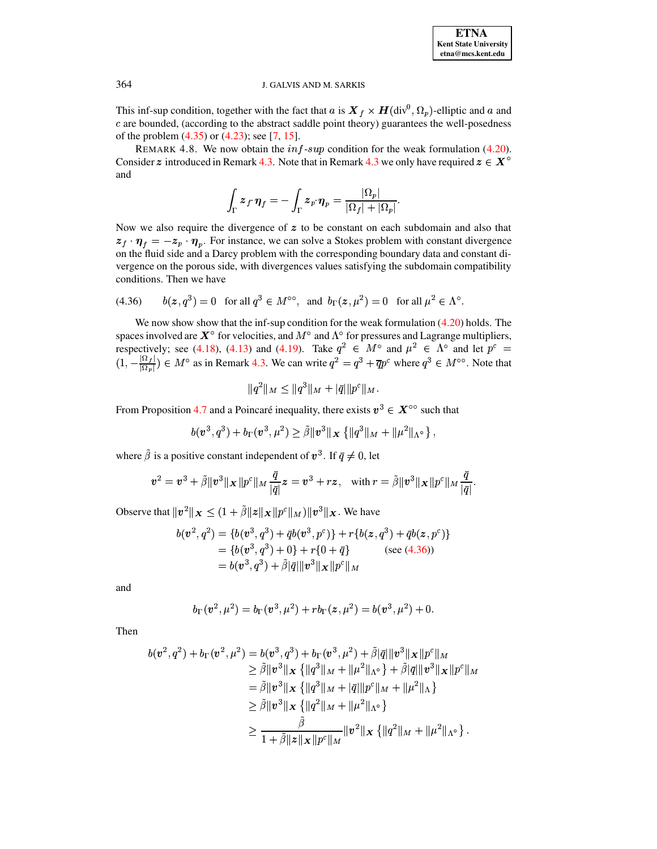This inf-sup condition, together with the fact that a is  $X_f \times H(\text{div}^0, \Omega_p)$ -elliptic and a and c are bounded, (according to the abstract saddle point theory) guarantees the well-posedness of the problem  $(4.35)$  or  $(4.23)$ ; see [7, 15].

<span id="page-14-0"></span>REMARK 4.8. We now obtain the  $inf-sup$  condition for the weak formulation (4.20). Consider z introduced in Remark 4.3. Note that in Remark 4.3 we only have required  $z \in X^{\circ}$ and

$$
\int_{\Gamma} \bm{z}_f{\boldsymbol{\cdot}} \bm{\eta}_f = -\int_{\Gamma} \bm{z}_p{\boldsymbol{\cdot}} \bm{\eta}_p = \frac{|\Omega_p|}{|\Omega_f| + |\Omega_p|}.
$$

Now we also require the divergence of  $z$  to be constant on each subdomain and also that  $z_f \cdot \eta_f = -z_p \cdot \eta_p$ . For instance, we can solve a Stokes problem with constant divergence on the fluid side and a Darcy problem with the corresponding boundary data and constant divergence on the porous side, with divergences values satisfying the subdomain compatibility conditions. Then we have

<span id="page-14-1"></span>(4.36) 
$$
b(z, q^3) = 0
$$
 for all  $q^3 \in M^{\circ\circ}$ , and  $b_{\Gamma}(z, \mu^2) = 0$  for all  $\mu^2 \in \Lambda^{\circ}$ .

We now show show that the inf-sup condition for the weak formulation  $(4.20)$  holds. The spaces involved are  $X^{\circ}$  for velocities, and  $M^{\circ}$  and  $\Lambda^{\circ}$  for pressures and Lagrange multipliers, respectively; see (4.18), (4.13) and (4.19). Take  $q^2 \in M^{\circ}$  and  $\mu^2 \in \Lambda^{\circ}$  and let  $p^c =$  $(1, -\frac{|\Omega_1|}{|\Omega_2|}) \in M^\circ$  as in Remark 4.3. We can write  $q^2 = q^3 + \overline{q}p^c$  where  $q^3 \in M^{\circ\circ}$ . Note that

$$
|q^2\|_M \leq \|q^3\|_M + |\bar{q}| \|p^c\|_M
$$

From Proposition 4.7 and a Poincaré inequality, there exists  $v^3 \in X^{\circ\circ}$  such that

$$
b(\bm{v}^3, q^3) + b_{\Gamma}(\bm{v}^3, \mu^2) \geq \tilde{\beta} {\|\bm{v}^3\|_{\bm{X}} \{ \|\bm{q}^3\|_{M} + \|\mu^2\|_{\Lambda^{\circ}} \}},
$$

where  $\tilde{\beta}$  is a positive constant independent of  $v^3$ . If  $\bar{q} \neq 0$ , let

$$
\bm{v}^2 = \bm{v}^3 + \tilde{\beta} \|\bm{v}^3\|_{\bm{X}} \|\bm{p}^c\|_{M} \frac{\bar{q}}{|\bar{q}|}\bm{z} = \bm{v}^3 + r\bm{z}, \ \ \, \textrm{with}\; r = \tilde{\beta} \|\bm{v}^3\|_{\bm{X}} \|\bm{p}^c\|_{M} \frac{\bar{q}}{|\bar{q}|}.
$$

Observe that  $||v^2||_X \leq (1 + \tilde{\beta}||z||_X||p^c||_M) ||v^3||_X$ . We have

$$
b(\mathbf{v}^2, q^2) = \{b(\mathbf{v}^3, q^3) + \bar{q}b(\mathbf{v}^3, p^c)\} + r\{b(\mathbf{z}, q^3) + \bar{q}b(\mathbf{z}, p^c)\}\
$$
  
=  $\{b(\mathbf{v}^3, q^3) + 0\} + r\{0 + \bar{q}\}\$  (see (4.36))  
=  $b(\mathbf{v}^3, q^3) + \tilde{\beta}|\bar{q}||\mathbf{v}^3||\mathbf{x}||p^c||_M$ 

and

$$
b_{\Gamma}(\boldsymbol{v}^2,\mu^2)=b_{\Gamma}(\boldsymbol{v}^3,\mu^2)+rb_{\Gamma}(\boldsymbol{z},\mu^2)=b(\boldsymbol{v}^3,\mu^2)+0.
$$

Then

$$
b(\mathbf{v}^2, q^2) + b_{\Gamma}(\mathbf{v}^2, \mu^2) = b(\mathbf{v}^3, q^3) + b_{\Gamma}(\mathbf{v}^3, \mu^2) + \tilde{\beta}|\bar{q}||\mathbf{v}^3||\mathbf{x}||p^c||_M
$$
  
\n
$$
\geq \tilde{\beta}||\mathbf{v}^3||\mathbf{x} \{||q^3||_M + ||\mu^2||_{\Lambda^o}\} + \tilde{\beta}|\bar{q}||\mathbf{v}^3||\mathbf{x}||p^c||_M
$$
  
\n
$$
= \tilde{\beta}||\mathbf{v}^3||\mathbf{x} \{||q^3||_M + |\bar{q}||p^c||_M + ||\mu^2||_{\Lambda}\}
$$
  
\n
$$
\geq \tilde{\beta}||\mathbf{v}^3||\mathbf{x} \{||q^2||_M + ||\mu^2||_{\Lambda^o}\}
$$
  
\n
$$
\geq \frac{\tilde{\beta}}{1 + \tilde{\beta}||\mathbf{z}||\mathbf{x}||p^c||_M}||\mathbf{v}^2||\mathbf{x} \{||q^2||_M + ||\mu^2||_{\Lambda^o}\}.
$$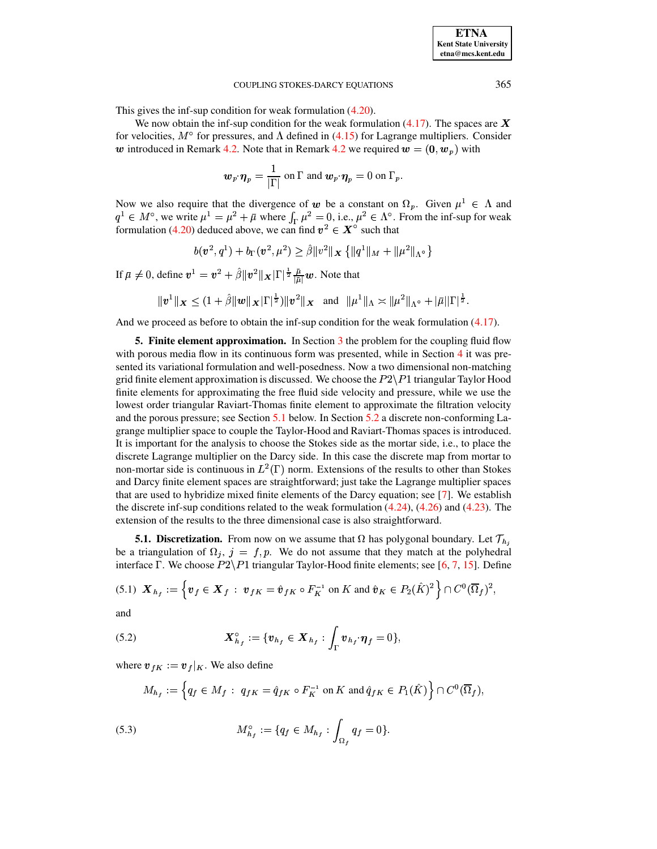This gives the inf-sup condition for weak formulation  $(4.20)$ .

We now obtain the inf-sup condition for the weak formulation  $(4.17)$ . The spaces are X for velocities,  $M^{\circ}$  for pressures, and  $\Lambda$  defined in (4.15) for Lagrange multipliers. Consider w introduced in Remark 4.2. Note that in Remark 4.2 we required  $w = (0, w_p)$  with

$$
\boldsymbol{w}_p \!\cdot \! \boldsymbol{\eta}_p = \frac{1}{|\Gamma|} \text{ on } \Gamma \text{ and } \boldsymbol{w}_p \!\cdot \! \boldsymbol{\eta}_p = 0 \text{ on } \Gamma_p.
$$

Now we also require that the divergence of w be a constant on  $\Omega_p$ . Given  $\mu^1 \in \Lambda$  and  $q^1 \in M^{\circ}$ , we write  $\mu^1 = \mu^2 + \bar{\mu}$  where  $\int_{\Gamma} \mu^2 = 0$ , i.e.,  $\mu^2 \in \Lambda^{\circ}$ . From the inf-sup for weak formulation (4.20) deduced above, we can find  $v^2 \in X^{\circ}$  such that

$$
b(\mathbf{v}^2, q^1) + b_{\Gamma}(\mathbf{v}^2, \mu^2) \ge \hat{\beta} \|v^2\|_{\mathbf{X}} \left\{ \|q^1\|_{M} + \|\mu^2\|_{\Lambda^{\circ}} \right\}
$$

If  $\bar{\mu} \neq 0$ , define  $v^1 = v^2 + \hat{\beta} ||v^2||_{\mathbf{X}} |\Gamma|^{\frac{1}{2}} \frac{\bar{\mu}}{|\bar{\mu}|} w$ . Note that

$$
\|\bm{v}^{1}\|_{\bm{X}} \leq (1+\hat{\beta} \|\bm{w}\|_{\bm{X}} |\Gamma|^{\frac{1}{2}}) \|\bm{v}^{2}\|_{\bm{X}} \text{ and } \|\mu^{1}\|_{\Lambda} \approx \|\mu^{2}\|_{\Lambda^{\circ}} + |\bar{\mu}| |\Gamma|^{\frac{1}{2}}.
$$

<span id="page-15-0"></span>And we proceed as before to obtain the inf-sup condition for the weak formulation  $(4.17)$ .

5. Finite element approximation. In Section  $\overline{3}$  the problem for the coupling fluid flow with porous media flow in its continuous form was presented, while in Section  $4$  it was presented its variational formulation and well-posedness. Now a two dimensional non-matching grid finite element approximation is discussed. We choose the  $P2\P1$  triangular Taylor Hood finite elements for approximating the free fluid side velocity and pressure, while we use the lowest order triangular Raviart-Thomas finite element to approximate the filtration velocity and the porous pressure; see Section 5.1 below. In Section 5.2 a discrete non-conforming Lagrange multiplier space to couple the Taylor-Hood and Raviart-Thomas spaces is introduced. It is important for the analysis to choose the Stokes side as the mortar side, i.e., to place the discrete Lagrange multiplier on the Darcy side. In this case the discrete map from mortar to non-mortar side is continuous in  $L^2(\Gamma)$  norm. Extensions of the results to other than Stokes and Darcy finite element spaces are straightforward; just take the Lagrange multiplier spaces that are used to hybridize mixed finite elements of the Darcy equation; see [7]. We establish the discrete inf-sup conditions related to the weak formulation  $(4.24)$ ,  $(4.26)$  and  $(4.23)$ . The extension of the results to the three dimensional case is also straightforward.

<span id="page-15-1"></span>**5.1. Discretization.** From now on we assume that  $\Omega$  has polygonal boundary. Let  $\mathcal{T}_{h_i}$ be a triangulation of  $\Omega_j$ ,  $j = f, p$ . We do not assume that they match at the polyhedral interface  $\Gamma$ . We choose  $P2\P1$  triangular Taylor-Hood finite elements; see [6, 7, 15]. Define

<span id="page-15-4"></span>
$$
(5.1) \quad \boldsymbol{X}_{h_f} := \left\{ \boldsymbol{v}_f \in \boldsymbol{X}_f : \ \boldsymbol{v}_{fK} = \hat{\boldsymbol{v}}_{fK} \circ F_K^{-1} \text{ on } K \text{ and } \hat{\boldsymbol{v}}_K \in P_2(\hat{K})^2 \right\} \cap C^0(\overline{\Omega}_f)^2,
$$

and

<span id="page-15-2"></span>(5.2) 
$$
\boldsymbol{X}_{h_f}^{\circ} := \{ \boldsymbol{v}_{h_f} \in \boldsymbol{X}_{h_f} : \int_{\Gamma} \boldsymbol{v}_{h_f} \cdot \boldsymbol{\eta}_f = 0 \},
$$

where  $v_{fK} := v_f |_{K}$ . We also define

$$
M_{h_f} := \left\{ q_f \in M_f \; : \; q_{fK} = \hat{q}_{fK} \circ F_K^{-1} \text{ on } K \text{ and } \hat{q}_{fK} \in P_1(\hat{K}) \right\} \cap C^0(\overline{\Omega}_f),
$$

<span id="page-15-3"></span>(5.3) 
$$
M_{h_f}^{\circ} := \{q_f \in M_{h_f} : \int_{\Omega_f} q_f = 0 \}.
$$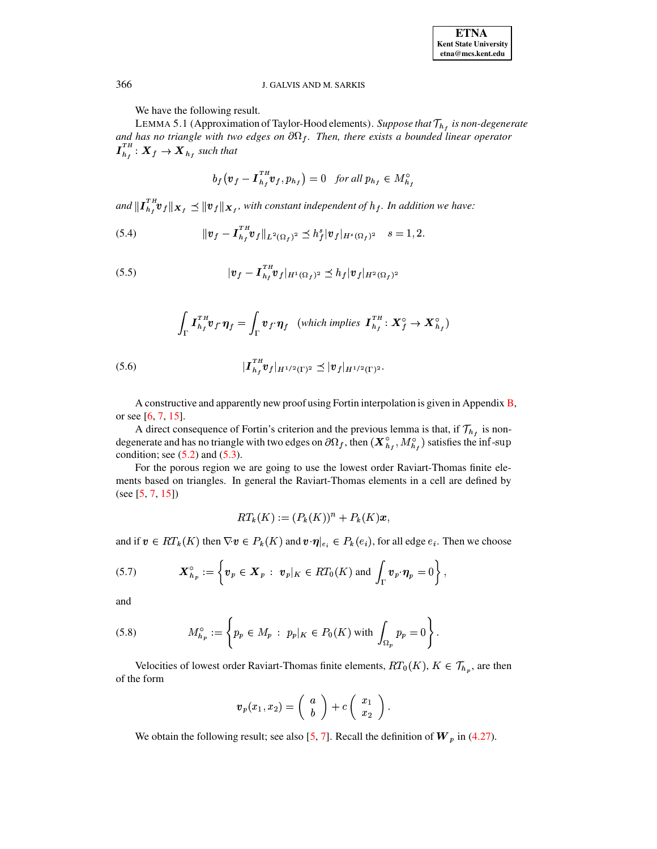We have the following result.

<span id="page-16-2"></span>LEMMA 5.1 (Approximation of Taylor-Hood elements). Suppose that  $\mathcal{T}_{h_f}$  is non-degenerate and has no triangle with two edges on  $\partial\Omega_f$ . Then, there exists a bounded linear operator  $I_{h_f}^{TH}: \mathbf{X}_f \rightarrow \mathbf{X}_{h_f}$  such that

$$
b_f\left(\mathbf{v}_f-\boldsymbol{I}_{h_f}^{^TH}\mathbf{v}_f,p_{h_f}\right)=0\quad \textit{for all }p_{h_f}\in M_{h_f}^{\circ}
$$

and  $\|\mathbf{I}_{h}^{T_H} \mathbf{v}_f\|_{\mathbf{X}_f} \preceq \|\mathbf{v}_f\|_{\mathbf{X}_f}$ , with constant independent of  $h_f$ . In addition we have:

<span id="page-16-6"></span>(5.4) 
$$
\|v_f - \mathbf{I}_{h_f}^{TH} v_f\|_{L^2(\Omega_f)^2} \preceq h_f^s |v_f|_{H^s(\Omega_f)^2} \quad s = 1, 2
$$

<span id="page-16-4"></span>(5.5) 
$$
|v_f - I_{h_f}^{TH} v_f|_{H^1(\Omega_f)^2} \leq h_f |v_f|_{H^2(\Omega_f)^2}
$$

(5.6) 
$$
\int_{\Gamma} \mathbf{I}_{h_f}^{TH} \mathbf{v}_f \cdot \pmb{\eta}_f = \int_{\Gamma} \mathbf{v}_f \cdot \pmb{\eta}_f \quad (\text{which implies } \mathbf{I}_{h_f}^{TH} : \mathbf{X}_f^{\circ} \to \mathbf{X}_{h_f}^{\circ})
$$

$$
|\mathbf{I}_{h_f}^{TH} \mathbf{v}_f|_{H^{1/2}(\Gamma)^2} \leq |\mathbf{v}_f|_{H^{1/2}(\Gamma)^2}.
$$

<span id="page-16-5"></span>A constructive and apparently new proof using Fortin interpolation is given in Appendix B, or see  $[6, 7, 15]$ .

A direct consequence of Fortin's criterion and the previous lemma is that, if  $\mathcal{T}_{h_f}$  is nondegenerate and has no triangle with two edges on  $\partial\Omega_f$ , then  $(\mathbf{X}_{h_f}^{\circ}, M_{h_f}^{\circ})$  satisfies the inf-sup condition; see  $(5.2)$  and  $(5.3)$ .

For the porous region we are going to use the lowest order Raviart-Thomas finite elements based on triangles. In general the Raviart-Thomas elements in a cell are defined by  $(see [5, 7, 15])$ 

$$
RT_k(K) := (P_k(K))^n + P_k(K)x,
$$

and if  $v \in RT_k(K)$  then  $\nabla v \in P_k(K)$  and  $v \cdot \eta|_{e_i} \in P_k(e_i)$ , for all edge  $e_i$ . Then we choose

<span id="page-16-0"></span>(5.7) 
$$
\boldsymbol{X}_{h_p}^{\circ} := \left\{ \boldsymbol{v}_p \in \boldsymbol{X}_p : \boldsymbol{v}_p|_K \in RT_0(K) \text{ and } \int_{\Gamma} \boldsymbol{v}_p \cdot \boldsymbol{\eta}_p = 0 \right\},
$$

and

<span id="page-16-1"></span>(5.8) 
$$
M_{h_p}^{\circ} := \left\{ p_p \in M_p : \ p_p|_K \in P_0(K) \text{ with } \int_{\Omega_p} p_p = 0 \right\}
$$

Velocities of lowest order Raviart-Thomas finite elements,  $RT_0(K)$ ,  $K \in \mathcal{T}_{h_p}$ , are then of the form

<span id="page-16-3"></span>
$$
\boldsymbol{v}_p(x_1,x_2) = \left(\begin{array}{c} a \\ b \end{array}\right) + c \left(\begin{array}{c} x_1 \\ x_2 \end{array}\right)
$$

We obtain the following result; see also [5, 7]. Recall the definition of  $W_p$  in (4.27).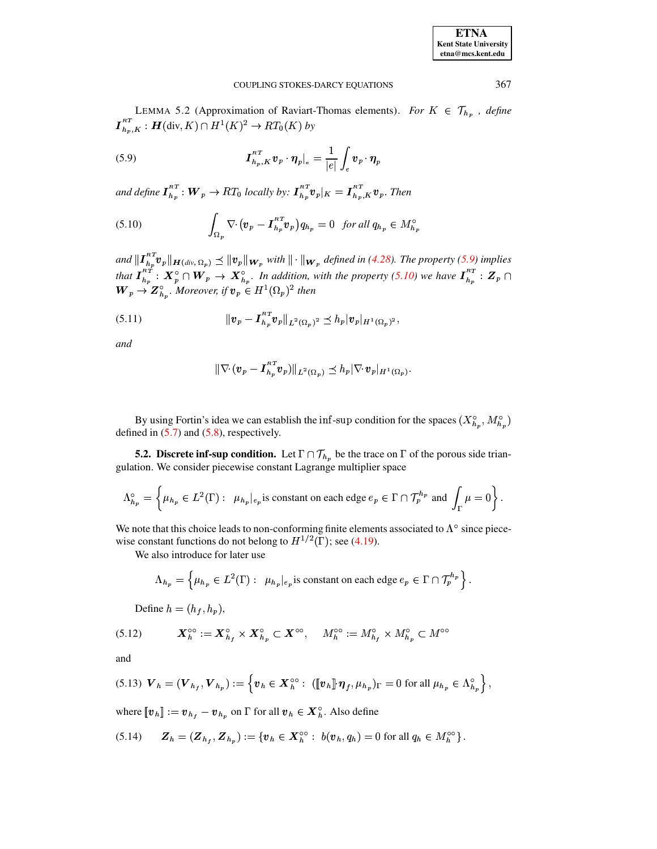LEMMA 5.2 (Approximation of Raviart-Thomas elements). For  $K \in \mathcal{T}_{h_p}$ , define  $I_{h_p,K}^{RT}$ :  $\mathbf{H}(\text{div}, K) \cap H^1(K)^2 \to RT_0(K)$  by

<span id="page-17-1"></span>(5.9) 
$$
\boldsymbol{I}_{h_p,K}^{RT} \boldsymbol{v}_p \cdot \boldsymbol{\eta}_p \big|_{e} = \frac{1}{|e|} \int_e \boldsymbol{v}_p \cdot \boldsymbol{\eta}_p
$$

and define  $I_{h_p}^{RT}$ :  $W_p \to RT_0$  locally by:  $I_{h_p}^{RT} v_p|_K = I_{h_p,K}^{RT} v_p$ . Then

<span id="page-17-2"></span>(5.10) 
$$
\int_{\Omega_p} \nabla \cdot (\boldsymbol{v}_p - \boldsymbol{I}_{h_p}^{RT} \boldsymbol{v}_p) q_{h_p} = 0 \text{ for all } q_{h_p} \in M_{h_p}^{\circ}
$$

and  $||\boldsymbol{I}_{h_p}^{RT} \boldsymbol{v}_p||_{\boldsymbol{H}(div,\Omega_p)} \preceq ||\boldsymbol{v}_p||_{\boldsymbol{W}_p}$  with  $||\cdot||_{\boldsymbol{W}_p}$  defined in (4.28). The property (5.9) implies that  $I_{h_p}^{RT}: X_p^{\circ} \cap W_p \to X_{h_p}^{\circ}$ . In addition, with the property (5.10) we have  $I_{h_p}^{RT}: Z_p \cap W_p \to Z_{h_p}^{\circ}$ . Moreover, if  $v_p \in H^1(\Omega_p)^2$  then

<span id="page-17-6"></span>(5.11) 
$$
\|v_p - I_{h_p}^{RT} v_p\|_{L^2(\Omega_p)^2} \leq h_p |v_p|_{H^1(\Omega_p)^2},
$$

and

$$
\|\nabla \cdot (\boldsymbol{v}_p - \boldsymbol{I}_{h_p}^{RT} \boldsymbol{v}_p)\|_{L^2(\Omega_p)} \preceq h_p |\nabla \cdot \boldsymbol{v}_p|_{H^1(\Omega_p)}.
$$

By using Fortin's idea we can establish the inf-sup condition for the spaces  $(X_{h_n}^{\circ}, M_{h_n}^{\circ})$ defined in  $(5.7)$  and  $(5.8)$ , respectively.

<span id="page-17-0"></span>**5.2.** Discrete inf-sup condition. Let  $\Gamma \cap \mathcal{T}_{h_p}$  be the trace on  $\Gamma$  of the porous side triangulation. We consider piecewise constant Lagrange multiplier space

$$
\Lambda_{h_p}^{\circ} = \left\{ \mu_{h_p} \in L^2(\Gamma) : \ \mu_{h_p}|_{e_p} \text{ is constant on each edge } e_p \in \Gamma \cap \mathcal{T}_p^{h_p} \text{ and } \int_{\Gamma} \mu = 0 \right\}.
$$

We note that this choice leads to non-conforming finite elements associated to  $\Lambda^{\circ}$  since piecewise constant functions do not belong to  $H^{1/2}(\Gamma)$ ; see (4.19).

We also introduce for later use

$$
\Lambda_{h_p} = \left\{ \mu_{h_p} \in L^2(\Gamma) : \ \mu_{h_p}|_{e_p} \text{ is constant on each edge } e_p \in \Gamma \cap \mathcal{T}_p^{h_p} \right\}
$$

Define  $h = (h_f, h_p)$ ,

<span id="page-17-4"></span>

and

<span id="page-17-3"></span>
$$
(5.13) \ \boldsymbol{V}_h = (\boldsymbol{V}_{h_f}, \boldsymbol{V}_{h_p}) := \left\{ \boldsymbol{v}_h \in \boldsymbol{X}_h^{\infty} : \ ([\![\boldsymbol{v}_h]\!] \cdot \boldsymbol{\eta}_f, \mu_{h_p})_{\Gamma} = 0 \text{ for all } \mu_{h_p} \in \Lambda_{h_p}^{\infty} \right\},
$$

where  $[\![v_h]\!]:=v_{h_f}-v_{h_p}$  on  $\Gamma$  for all  $v_h \in X_h^{\circ}$ . Also define

<span id="page-17-5"></span>
$$
(5.14) \qquad \mathbf{Z}_h = (\mathbf{Z}_{h_f}, \mathbf{Z}_{h_p}) := \{ \boldsymbol{v}_h \in \mathbf{X}_h^{\infty} : \ b(\boldsymbol{v}_h, q_h) = 0 \text{ for all } q_h \in M_h^{\infty} \}
$$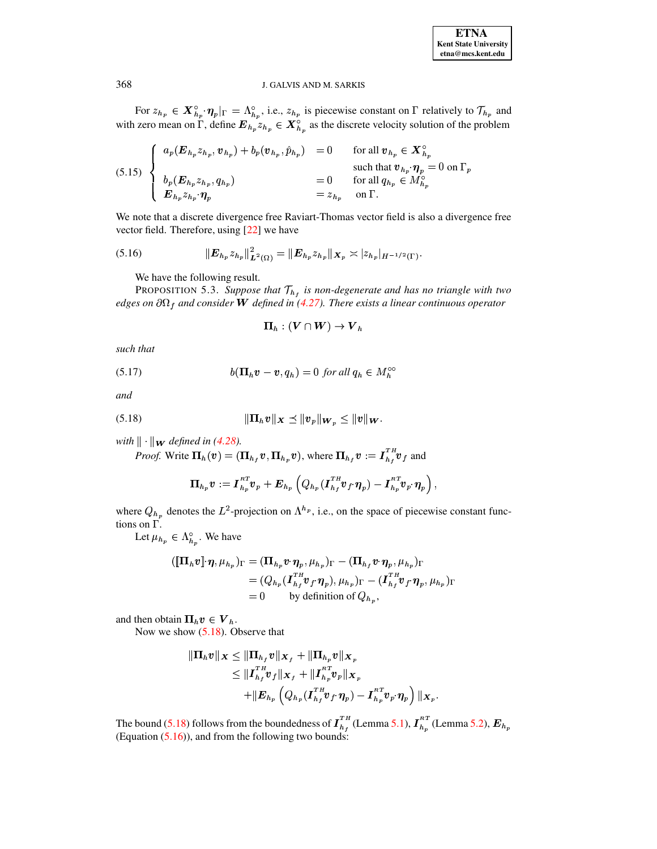For  $z_{h_p} \in \mathbf{X}_{h_p}^{\circ} \cdot \eta_p|_{\Gamma} = \Lambda_{h_p}^{\circ}$ , i.e.,  $z_{h_p}$  is piecewise constant on  $\Gamma$  relatively to  $\mathcal{T}_{h_p}$  and with zero mean on  $\Gamma$ , define  $\mathbf{E}_{h_p} z_{h_p} \in \mathbf{X}_{h_p}^{\circ}$  as the discrete velocity solution of  $\hat{h}_n$  as the discrete velocity solution of the problem

<span id="page-18-3"></span>(5.15) 
$$
\begin{cases}\n a_p(E_{h_p}z_{h_p}, v_{h_p}) + b_p(v_{h_p}, \hat{p}_{h_p}) = 0 & \text{for all } v_{h_p} \in X_{h_p}^{\circ} \\
 b_p(E_{h_p}z_{h_p}, q_{h_p}) = 0 & \text{for all } q_{h_p} \in X_{h_p}^{\circ} \\
 E_{h_p}z_{h_p} \cdot \eta_p = 0 & \text{for all } q_{h_p} \in M_{h_p}^{\circ} \\
 E_{h_p}z_{h_p} \cdot \eta_p = z_{h_p} & \text{on } \Gamma.\n\end{cases}
$$

We note that a discrete divergence free Raviart-Thomas vector field is also a divergence free vector field. Therefore, using [\[22\]](#page-29-24) we have

<span id="page-18-2"></span>(5.16) 
$$
\|E_{h_p} z_{h_p}\|_{\mathbf{L}^2(\Omega)}^2 = \|E_{h_p} z_{h_p}\|_{\mathbf{X}_p} \asymp |z_{h_p}|_{H^{-1/2}(\Gamma)}.
$$

<span id="page-18-0"></span>We have the following result.

PROPOSITION 5.3. Suppose that  $T_{h}$  is non-degenerate and has no triangle with two  $edges$  *on*  $\partial\Omega_f$  and consider **W** defined in [\(4.27\)](#page-11-2). There exists a linear continuous operator

$$
\boldsymbol{\Pi}_h: (\boldsymbol{V} \cap \boldsymbol{W}) \to \boldsymbol{V}_h
$$

*such that*

<span id="page-18-4"></span>(5.17)  $b(\mathbf{\Pi}_h \boldsymbol{v} - \boldsymbol{v}, q_h) = 0$  for all  $q_h \in M_h^{\circ\circ}$ 

*and*

$$
\|\Pi_h v\|_{\boldsymbol{X}} \preceq \|v_p\|_{\boldsymbol{W}_p} \leq \|v\|_{\boldsymbol{W}}.
$$

*with*  $\|\cdot\|$ *w defined in* [\(4.28\)](#page-11-3)*.* 

<span id="page-18-1"></span>*Proof.* Write  $\Pi_h(v) = (\Pi_{h_f} v, \Pi_{h_p} v)$ , where  $\Pi_{h_f} v := I_h^{f''} v_f$  and

$$
\boldsymbol{\Pi}_{h_p} \boldsymbol{v} := \boldsymbol{I}_{h_p}^{_{RT}} \boldsymbol{v}_p + \boldsymbol{E}_{h_p} \left( Q_{h_p} (\boldsymbol{I}_{h_f}^{^{TH}} \boldsymbol{v}_f \!\cdot \! \boldsymbol{\eta}_p) - \boldsymbol{I}_{h_p}^{^{RT}} \boldsymbol{v}_p \!\cdot \! \boldsymbol{\eta}_p \right),
$$

where  $Q_{h_n}$  denotes the  $L^2$ -projection on  $\Lambda^{h_p}$ , i.e., on the space of piecewise constant functions on  $\Gamma$ .

Let  $\mu_{h_p} \in \Lambda_{h_p}^{\circ}$ . We have

$$
\begin{aligned} (\llbracket \Pi_h v \rrbracket \cdot \pmb{\eta}, \mu_{h_p})_{\Gamma} &= (\Pi_{h_p} v \cdot \pmb{\eta}_p, \mu_{h_p})_{\Gamma} - (\Pi_{h_f} v \cdot \pmb{\eta}_p, \mu_{h_p})_{\Gamma} \\ &= (Q_{h_p}(\boldsymbol{I}_{h_f}^{\mathrm{T}H} \boldsymbol{v}_f \cdot \pmb{\eta}_p), \mu_{h_p})_{\Gamma} - (\boldsymbol{I}_{h_f}^{\mathrm{T}H} \boldsymbol{v}_f \cdot \pmb{\eta}_p, \mu_{h_p})_{\Gamma} \\ &= 0 \qquad \text{by definition of } Q_{h_p}, \end{aligned}
$$

and then obtain  $\mathbf{\Pi}_h \boldsymbol{v} \in \boldsymbol{V}_h$ .

Now we show  $(5.18)$ . Observe that

$$
\begin{aligned} \|\Pi_h v\|_{\bm{X}} &\leq \|\Pi_{h_f} v\|_{\bm{X}_f} + \|\Pi_{h_p} v\|_{\bm{X}_p} \\ &\leq \|{I}^{\mathrm{\scriptscriptstyle TA}}_{h_f} v_f\|_{\bm{X}_f} + \|{I}^{\mathrm{\scriptscriptstyle RT}}_{h_p} v_p\|_{\bm{X}_p} \\ &\quad + \|E_{h_p} \left(Q_{h_p}({I}^{\mathrm{\scriptscriptstyle TA}}_{h_f} v_f\cdot \pmb{\eta}_p) - {I}^{\mathrm{\scriptscriptstyle RT}}_{h_p} v_p\cdot \pmb{\eta}_p\right)\|_{\bm{X}_p}. \end{aligned}
$$

The bound [\(5.18\)](#page-18-1) follows from the boundedness of  $I_{h}^*$  (Lemma [5.1\)](#page-16-2),  $I_{h}^*$  (Lemma [5.2\)](#page-16-3),  $E_{h_v}$ (Equation  $(5.16)$ ), and from the following two bounds: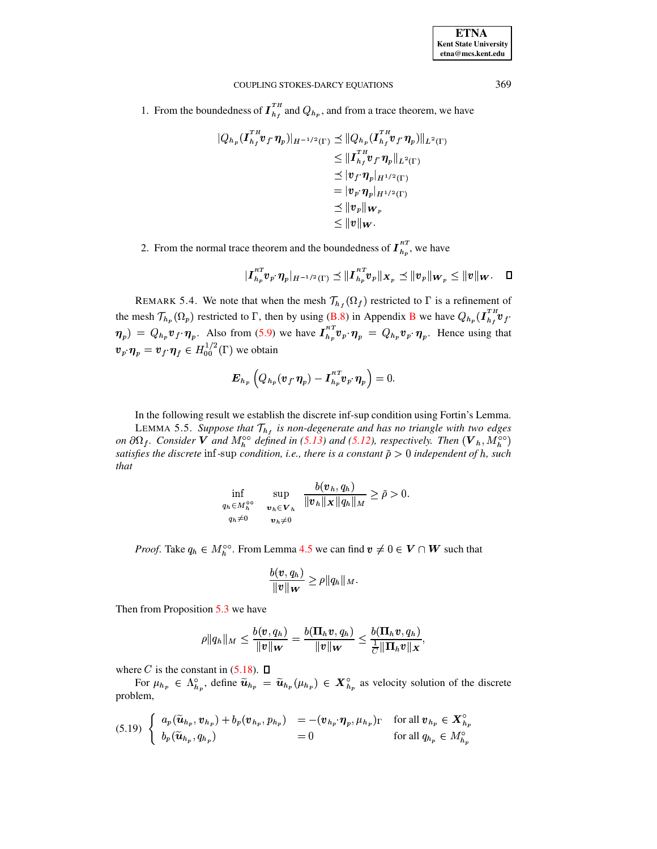| <b>ETNA</b>                  |
|------------------------------|
| <b>Kent State University</b> |
| etna@mcs.kent.edu            |

1. From the boundedness of  $I_{h_t}^{TH}$  and  $Q_{h_p}$ , and from a trace theorem, we have

$$
|Q_{h_p}(I_{h_f}^{TH}v_f \cdot \eta_p)|_{H^{-1/2}(\Gamma)} \preceq ||Q_{h_p}(I_{h_f}^{TH}v_f \cdot \eta_p)||_{L^2(\Gamma)}
$$
  
\n
$$
\leq ||I_{h_f}^{TH}v_f \cdot \eta_p||_{L^2(\Gamma)}
$$
  
\n
$$
\leq |v_f \cdot \eta_p|_{H^{1/2}(\Gamma)}
$$
  
\n
$$
= |v_p \cdot \eta_p|_{H^{1/2}(\Gamma)}
$$
  
\n
$$
\leq ||v_v||_{W_p}
$$
  
\n
$$
\leq ||v||_{W}.
$$

2. From the normal trace theorem and the boundedness of  $I_{h_p}^{RT}$ , we have

$$
\vert I_{h_p}^{RT} v_{p^\ast}\eta_p\vert_{H^{-1/2}(\Gamma)}\preceq \Vert I_{h_p}^{RT} v_p\Vert_{\mathbf{X}_p}\preceq \Vert v_p\Vert_{\mathbf{W}_p}\leq \Vert v\Vert_{\mathbf{W}}.\quad \ \ \Box
$$

<span id="page-19-2"></span>REMARK 5.4. We note that when the mesh  $\mathcal{T}_{h_f}(\Omega_f)$  restricted to  $\Gamma$  is a refinement of the mesh  $\mathcal{T}_{h_p}(\Omega_p)$  restricted to  $\Gamma$ , then by using (B.8) in Appendix B we have  $Q_{h_p}(\mathbf{I}_{h_f}^{TH} \mathbf{v}_f \cdot$  $\eta_p$ ) =  $Q_{h_p} v_f \cdot \eta_p$ . Also from (5.9) we have  $I_{h_p}^{RT} v_p \cdot \eta_p = Q_{h_p} v_p \cdot \eta_p$ . Hence using that  $\mathbf{v}_p \cdot \mathbf{\eta}_p = \mathbf{v}_f \cdot \mathbf{\eta}_f \in H_{00}^{1/2}(\Gamma)$  we obtain

<span id="page-19-0"></span>
$$
\boldsymbol{E}_{h_p}\left(Q_{h_p}(\boldsymbol{v}_f\!\cdot\!\boldsymbol{\eta}_p)-\boldsymbol{I}_{h_p}^{RT}\boldsymbol{v}_p\!\cdot\!\boldsymbol{\eta}_p\right)=0.
$$

In the following result we establish the discrete inf-sup condition using Fortin's Lemma. LEMMA 5.5. Suppose that  $\mathcal{T}_{h_f}$  is non-degenerate and has no triangle with two edges on  $\partial\Omega_f$ . Consider V and  $M_h^{\infty}$  defined in (5.13) and (5.12), respectively. Then  $(V_h, M_h^{\infty})$ satisfies the discrete inf-sup condition, i.e., there is a constant  $\tilde{\rho} > 0$  independent of h, such that

$$
\inf_{\substack{q_h \in M_h^{\circ\circ} \\ q_h \neq 0}} \quad \sup_{\substack{v_h \in \mathbf{V}_h \\ v_h \neq 0}} \frac{b(v_h, q_h)}{\|v_h\|_{\mathbf{X}} \|q_h\|_{M}} \ge \tilde{\rho} > 0.
$$

*Proof.* Take  $q_h \in M_h^{\infty}$ . From Lemma 4.5 we can find  $v \neq 0 \in V \cap W$  such that

$$
\frac{b(\boldsymbol{v},q_h)}{\|\boldsymbol{v}\|_{\boldsymbol{W}}}\geq\rho\|q_h\|_M
$$

Then from Proposition  $5.3$  we have

$$
\rho \|q_h\|_M \leq \frac{b(\boldsymbol{v},q_h)}{\|\boldsymbol{v}\|_{\boldsymbol{W}}} = \frac{b(\boldsymbol{\Pi}_h \boldsymbol{v},q_h)}{\|\boldsymbol{v}\|_{\boldsymbol{W}}} \leq \frac{b(\boldsymbol{\Pi}_h \boldsymbol{v},q_h)}{\frac{1}{C}\|\boldsymbol{\Pi}_h \boldsymbol{v}\|_{\boldsymbol{X}}}
$$

where C is the constant in  $(5.18)$ .  $\Box$ 

For  $\mu_{h_p} \in \Lambda_{h_p}^{\circ}$ , define  $\widetilde{u}_{h_p} = \widetilde{u}_{h_p}(\mu_{h_p}) \in X_{h_p}^{\circ}$  as velocity solution of the discrete problem,

<span id="page-19-1"></span>
$$
(5.19) \left\{ \begin{array}{ll} a_p(\widetilde{\boldsymbol{u}}_{h_p}, \boldsymbol{v}_{h_p}) + b_p(\boldsymbol{v}_{h_p}, p_{h_p}) = -( \boldsymbol{v}_{h_p} \cdot \boldsymbol{\eta}_p, \mu_{h_p})_{\Gamma} & \text{for all } \boldsymbol{v}_{h_p} \in \boldsymbol{X}_{h_p}^{\circ} \\ b_p(\widetilde{\boldsymbol{u}}_{h_p}, q_{h_p}) = 0 & \text{for all } q_{h_p} \in M_{h_p}^{\circ} \end{array} \right.
$$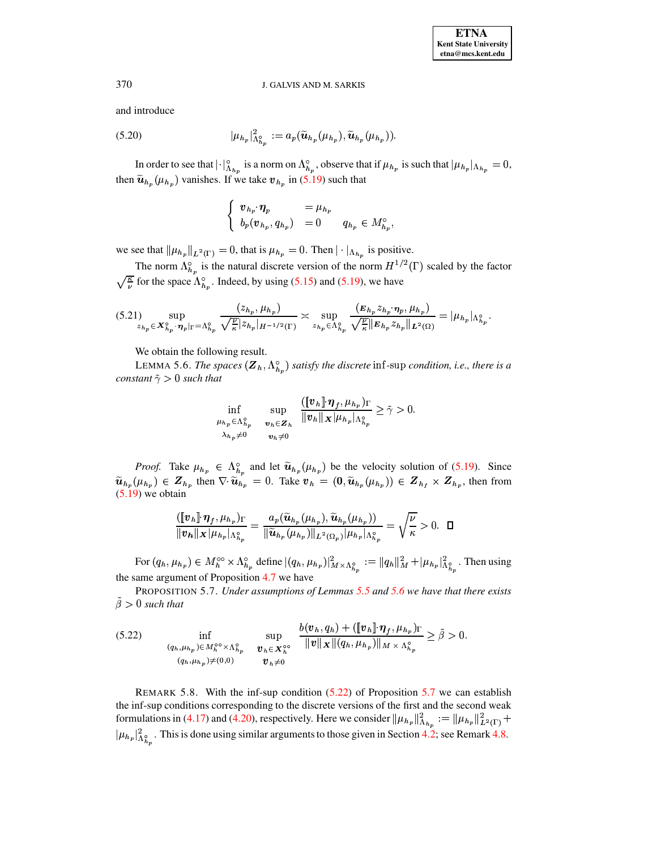and introduce

<span id="page-20-3"></span>
$$
(5.20) \t\t\t |\mu_{h_p}|_{\Lambda_{h_n}^{\circ}}^2 := a_p(\widetilde{u}_{h_p}(\mu_{h_p}), \widetilde{u}_{h_p}(\mu_{h_p})).
$$

In order to see that  $||\cdot||_{A_{h}}^{\circ}$  is a norm on  $\Lambda_{h_n}^{\circ}$ , observe that if  $\mu_{h_n}$  is such that  $|\mu_{h_n}|_{A_{h_n}} = 0$ , then  $\tilde{u}_{h_p}(\mu_{h_p})$  vanishes. If we take  $v_{h_p}$  in [\(5.19\)](#page-19-1) such that

$$
\begin{cases} v_{h_p} \cdot \eta_p = \mu_{h_p} \\ b_p(v_{h_p}, q_{h_p}) = 0 \qquad q_{h_p} \in M_{h_p}^{\circ}, \end{cases}
$$

we see that  $\|\mu_{h_n}\|_{L^2(\Gamma)} = 0$ , that is  $\mu_{h_n} = 0$ . Then  $|\cdot|_{\Lambda_{h_n}}$  is positive.

The norm  $\Lambda_{h_n}^{\circ}$  is the natural discrete version of the norm  $H^{1/2}(\Gamma)$  scaled by the factor  $\sqrt{\frac{\kappa}{\mu}}$  for the space  $\Lambda_{h_n}^{\circ}$ . Indeed, by using [\(5.15\)](#page-18-3) and [\(5.19\)](#page-19-1), we have

<span id="page-20-4"></span>
$$
(5.21) \sup_{z_{h_p} \in \mathbf{X}_{h_p}^{\circ}} \sup_{\boldsymbol{\gamma}_p |_{\Gamma} = \Lambda_{h_p}^{\circ}} \frac{(z_{h_p}, \mu_{h_p})}{\sqrt{\frac{\nu}{\kappa}} |z_{h_p}|_{H^{-1/2}(\Gamma)}} \approx \sup_{z_{h_p} \in \Lambda_{h_p}^{\circ}} \frac{(E_{h_p} z_{h_p}, \boldsymbol{\eta}_p, \mu_{h_p})}{\sqrt{\frac{\nu}{\kappa}} ||E_{h_p} z_{h_p}||_{L^2(\Omega)}} = |\mu_{h_p}|_{\Lambda_{h_p}^{\circ}}.
$$

We obtain the following result.

LEMMA 5.6. *The spaces*  $(\mathbf{Z}_h, \Lambda_h)$  *satisfy the discrete* inf-sup *condition, i.e., there is a constant*  $\tilde{\gamma} > 0$  *such that* 

<span id="page-20-1"></span>
$$
\inf_{\mu_{h_p}\in\Lambda_{h_p}^\circ\atop\lambda_{h_p}\neq 0}\sup_{\substack{\boldsymbol{v}_h\in\boldsymbol{Z}_h\\ \boldsymbol{v}_h\neq 0}}\frac{([\![\boldsymbol{v}_h]\!],\boldsymbol{\eta}_f,\mu_{h_p})_{\Gamma}}{||\boldsymbol{v}_h||_{\boldsymbol{X}}||\mu_{h_p}||_{\Lambda_{h_p}^\circ}}\geq \tilde{\gamma}>0.
$$

*Proof.* Take  $\mu_{h_p} \in \Lambda_{h_p}^{\circ}$  and let  $\tilde{u}_{h_p}(\mu_{h_p})$  be the velocity solution of [\(5.19\)](#page-19-1). Since  $\tilde{u}_{h_n}(\mu_{h_n}) \in Z_{h_n}$  then  $\nabla \cdot \tilde{u}_{h_n} = 0$ . Take  $v_h = (0, \tilde{u}_{h_n}(\mu_{h_n})) \in Z_{h_i} \times Z_{h_n}$ , then from  $(5.19)$  we obtain

$$
\frac{([\![v_h]\!]\cdot \eta_f, \mu_{h_p})_{\Gamma}}{||v_h||_{\mathbf{X}}|\mu_{h_p}|\Lambda_{h_p}^{\circ}} = \frac{a_p(\widetilde{u}_{h_p}(\mu_{h_p}), \widetilde{u}_{h_p}(\mu_{h_p}))}{\|\widetilde{u}_{h_p}(\mu_{h_p})\|_{L^2(\Omega_p)}|\mu_{h_p}|\Lambda_{h_p}^{\circ}} = \sqrt{\frac{\nu}{\kappa}} > 0. \quad \Box
$$

For  $(q_h, \mu_{h_n}) \in M_h^{\infty} \times \Lambda_h^{\circ}$  define  $|(q_h, \mu_{h_n})|^2_{M \times \Lambda_v^{\circ}}$  :  $= ||q_h||_M^2 + |\mu_{h_n}|^2_{\Lambda_v^{\circ}}$ . Then using the same argument of Proposition [4.7](#page-13-0) we have

<span id="page-20-0"></span>PROPOSITION 5.7. *Under assumptions of Lemmas [5.5](#page-19-0) and [5.6](#page-20-1) we have that there exists*  $\beta > 0$  *such that* 

<span id="page-20-2"></span>
$$
(5.22) \quad \inf_{\substack{(q_h,\mu_{h_p})\in M_h^{\circ\circ}\times\Lambda_{h_p}^{\circ} \\ (q_h,\mu_{h_p})\neq(0,0)}}\quad \sup_{\bm{v}_h\in\mathbf{X}_h^{\circ\circ}}\frac{b(\bm{v}_h,q_h)+(\llbracket\bm{v}_h\rrbracket\cdot\bm{\eta}_f,\mu_{h_p})_{\Gamma}}{\|\bm{v}\|_{\mathbf{X}}\|(q_h,\mu_{h_p})\|_{M\times\Lambda_{h_p}^{\circ}}} \geq \tilde{\beta} > 0.
$$

REMARK 5.8. With the inf-sup condition [\(5.22\)](#page-20-2) of Proposition [5.7](#page-20-0) we can establish the inf-sup conditions corresponding to the discrete versions of the first and the second weak formulations in [\(4.17\)](#page-8-0) and [\(4.20\)](#page-9-0), respectively. Here we consider  $\|\mu_{h_n}\|_{\Lambda_h}^2 := \|\mu_{h_n}\|_{L^2(\Gamma)}^2 +$  $|\mu_{h_p}|^2_{\Lambda_p}$ . This is done using similar arguments to those given in Section [4.2;](#page-10-1) see Remark [4.8.](#page-14-0)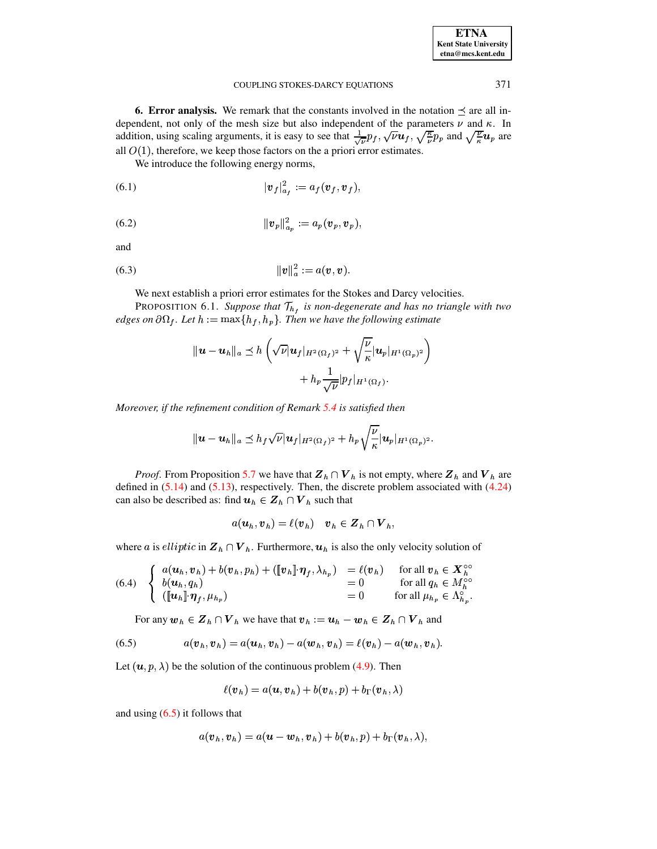| <b>ETNA</b>           |
|-----------------------|
| Kent State University |
| etna@mcs.kent.edu     |

371

#### COUPLING STOKES-DARCY EQUATIONS

<span id="page-21-0"></span>**6. Error analysis.** We remark that the constants involved in the notation  $\preceq$  are all independent, not only of the mesh size but also independent of the parameters  $\nu$  and  $\kappa$ . In addition, using scaling arguments, it is easy to see that  $\frac{1}{\sqrt{\nu}} p_f$ ,  $\sqrt{\nu} u_f$ ,  $\sqrt{\frac{\kappa}{\nu}} p_p$  and  $\sqrt{\frac{\nu}{\kappa}} u_p$  are all  $O(1)$ , therefore, we keep those factors on the a priori error estimates.

<span id="page-21-4"></span>We introduce the following energy norms,

$$
|\boldsymbol{v}_f|_{a_f}^2 := a_f(\boldsymbol{v}_f, \boldsymbol{v}_f),
$$

<span id="page-21-5"></span>(6.2) 
$$
||\bm{v}_p||_{a_p}^2 := a_p(\bm{v}_p, \bm{v}_p)
$$

and

(6.3) 
$$
||v||_a^2 := a(v, v).
$$

<span id="page-21-6"></span>We next establish a priori error estimates for the Stokes and Darcy velocities.

<span id="page-21-2"></span>PROPOSITION 6.1. Suppose that  $\mathcal{T}_{h}$ , is non-degenerate and has no triangle with two edges on  $\partial\Omega_f$ . Let  $h := \max\{h_f, h_p\}$ . Then we have the following estimate

$$
\|\boldsymbol{u}-\boldsymbol{u}_h\|_a \preceq h\left(\sqrt{\nu}|\boldsymbol{u}_f|_{H^2(\Omega_f)^2}+\sqrt{\frac{\nu}{\kappa}}|\boldsymbol{u}_p|_{H^1(\Omega_p)^2}\right) + h_p \frac{1}{\sqrt{\nu}}|p_f|_{H^1(\Omega_f)}.
$$

Moreover, if the refinement condition of Remark  $5.4$  is satisfied then

$$
\|\bm{u}-\bm{u}_h\|_a\preceq h_f\sqrt{\nu}|\bm{u}_f|_{H^2(\Omega_f)^2}+h_p\sqrt{\frac{\nu}{\kappa}}|\bm{u}_p|_{H^1(\Omega_p)^2}.
$$

*Proof.* From Proposition 5.7 we have that  $Z_h \cap V_h$  is not empty, where  $Z_h$  and  $V_h$  are defined in  $(5.14)$  and  $(5.13)$ , respectively. Then, the discrete problem associated with  $(4.24)$ can also be described as: find  $u_h \in Z_h \cap V_h$  such that

$$
a(\boldsymbol{u}_h, \boldsymbol{v}_h) = \ell(\boldsymbol{v}_h) \quad \boldsymbol{v}_h \in \boldsymbol{Z}_h \cap \boldsymbol{V}_h,
$$

where a is elliptic in  $\mathbf{Z}_h \cap \mathbf{V}_h$ . Furthermore,  $\mathbf{u}_h$  is also the only velocity solution of

<span id="page-21-3"></span>(6.4) 
$$
\begin{cases} a(\boldsymbol{u}_h, \boldsymbol{v}_h) + b(\boldsymbol{v}_h, p_h) + (\llbracket \boldsymbol{v}_h \rrbracket \boldsymbol{\eta}_f, \lambda_{h_p}) & = \ell(\boldsymbol{v}_h) & \text{for all } \boldsymbol{v}_h \in \mathbf{X}_h^{\circ\circ} \\ b(\boldsymbol{u}_h, q_h) & = 0 & \text{for all } q_h \in M_h^{\circ\circ} \\ (\llbracket \boldsymbol{u}_h \rrbracket \boldsymbol{\eta}_f, \mu_{h_p}) & = 0 & \text{for all } \mu_{h_p} \in \Lambda_{h_p}^{\circ} . \end{cases}
$$

For any  $w_h \in Z_h \cap V_h$  we have that  $v_h := u_h - w_h \in Z_h \cap V_h$  and

<span id="page-21-1"></span>(6.5) 
$$
a(\boldsymbol{v}_h, \boldsymbol{v}_h) = a(\boldsymbol{u}_h, \boldsymbol{v}_h) - a(\boldsymbol{w}_h, \boldsymbol{v}_h) = \ell(\boldsymbol{v}_h) - a(\boldsymbol{w}_h, \boldsymbol{v}_h).
$$

Let  $(u, p, \lambda)$  be the solution of the continuous problem (4.9). Then

$$
\ell(\boldsymbol{v}_h) = a(\boldsymbol{u}, \boldsymbol{v}_h) + b(\boldsymbol{v}_h, p) + b_{\Gamma}(\boldsymbol{v}_h, \lambda)
$$

and using  $(6.5)$  it follows that

$$
a(\boldsymbol{v}_h, \boldsymbol{v}_h) = a(\boldsymbol{u} - \boldsymbol{w}_h, \boldsymbol{v}_h) + b(\boldsymbol{v}_h, p) + b_{\Gamma}(\boldsymbol{v}_h, \lambda),
$$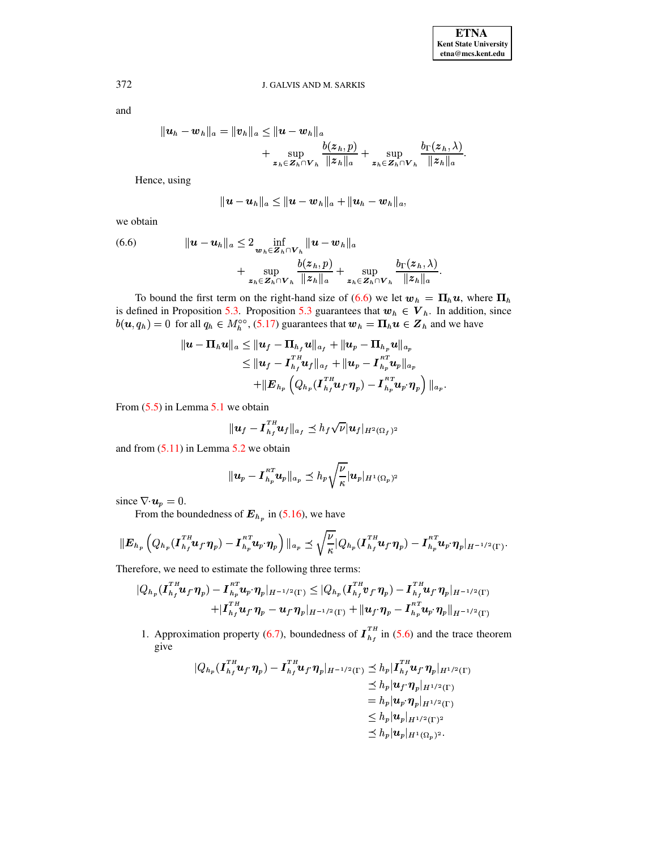and

$$
||u_h - w_h||_a = ||v_h||_a \le ||u - w_h||_a
$$
  
+ 
$$
\sup_{z_h \in Z_h \cap V_h} \frac{b(z_h, p)}{||z_h||_a} + \sup_{z_h \in Z_h \cap V_h} \frac{b_{\Gamma}(z_h, \lambda)}{||z_h||_a}.
$$

Hence, using

$$
\|\bm{u}-\bm{u}_h\|_a\leq \|\bm{u}-\bm{w}_h\|_a+\|\bm{u}_h-\bm{w}_h\|_a,
$$

we obtain

<span id="page-22-0"></span>(6.6) 
$$
\|u - u_h\|_a \leq 2 \inf_{\substack{\boldsymbol{w}_h \in \mathbf{Z}_h \cap \mathbf{V}_h}} \|u - w_h\|_a + \sup_{\substack{\boldsymbol{z}_h \in \mathbf{Z}_h \cap \mathbf{V}_h}} \frac{b(\boldsymbol{z}_h, p)}{\|\boldsymbol{z}_h\|_a} + \sup_{\substack{\boldsymbol{z}_h \in \mathbf{Z}_h \cap \mathbf{V}_h}} \frac{b_\Gamma(\boldsymbol{z}_h, \lambda)}{\|\boldsymbol{z}_h\|_a}.
$$

To bound the first term on the right-hand size of (6.6) we let  $w_h = \prod_h u$ , where  $\Pi_h$ is defined in Proposition 5.3. Proposition 5.3 guarantees that  $w_h \in V_h$ . In addition, since  $b(\mathbf{u}, q_h) = 0$  for all  $q_h \in M_h^{\infty}$ , (5.17) guarantees that  $\mathbf{w}_h = \prod_h \mathbf{u} \in \mathbf{Z}_h$  and we have

$$
\begin{aligned} |u-\Pi_hu\|_a & \le \|u_f-\Pi_{h_f}u\|_{a_f}+\|u_p-\Pi_{h_p}u\|_{a_p} \\ & \le \|u_f-I_{h_f}^{TH}u_f\|_{a_f}+\|u_p-I_{h_p}^{RT}u_p\|_{a_p} \\ & \qquad +\|E_{h_p}\left(Q_{h_p}(I_{h_f}^{TH}u_f\cdot\eta_p)-I_{h_p}^{RT}u_p\cdot\eta_p\right)\|_{a_p} \end{aligned}
$$

From  $(5.5)$  in Lemma 5.1 we obtain

$$
\|\boldsymbol{u}_f-\boldsymbol{I}_{h_f}^{TH}\boldsymbol{u}_f\|_{a_f}\leq h_f\sqrt{\nu}|\boldsymbol{u}_f|_{H^2(\Omega_f)^2}
$$

and from  $(5.11)$  in Lemma 5.2 we obtain

$$
\|\pmb{u}_p-\pmb{I}_{h_p}^{RT}\pmb{u}_p\|_{a_p}\preceq h_p\sqrt{\frac{\nu}{\kappa}}|\pmb{u}_p|_{H^1(\Omega_p)^2}
$$

since  $\nabla \cdot \mathbf{u}_p = 0$ .

From the boundedness of  $E_{h_p}$  in (5.16), we have

$$
\|\boldsymbol{E}_{h_p}\left(Q_{h_p}(\boldsymbol{I}_{h_f}^{TH}\boldsymbol{u}_f\boldsymbol{\eta}_p)-\boldsymbol{I}_{h_p}^{RT}\boldsymbol{u}_p\boldsymbol{\eta}_p\right)\|_{a_p}\preceq \sqrt{\frac{\nu}{\kappa}}|Q_{h_p}(\boldsymbol{I}_{h_f}^{TH}\boldsymbol{u}_f\boldsymbol{\eta}_p)-\boldsymbol{I}_{h_p}^{RT}\boldsymbol{u}_p\boldsymbol{\eta}_p|_{H^{-1/2}(\Gamma)}.
$$

Therefore, we need to estimate the following three terms:

$$
|Q_{h_p}(\boldsymbol{I}_{h_f}^{TH}\boldsymbol{u}_f\cdot\boldsymbol{\eta}_p)-\boldsymbol{I}_{h_p}^{RT}\boldsymbol{u}_p\cdot\boldsymbol{\eta}_p|_{H^{-1/2}(\Gamma)}\leq |Q_{h_p}(\boldsymbol{I}_{h_f}^{TH}\boldsymbol{v}_f\cdot\boldsymbol{\eta}_p)-\boldsymbol{I}_{h_f}^{TH}\boldsymbol{u}_f\cdot\boldsymbol{\eta}_p|_{H^{-1/2}(\Gamma)}\\+|\boldsymbol{I}_{h_f}^{TH}\boldsymbol{u}_f\cdot\boldsymbol{\eta}_p-\boldsymbol{u}_f\cdot\boldsymbol{\eta}_p|_{H^{-1/2}(\Gamma)}+\|\boldsymbol{u}_f\cdot\boldsymbol{\eta}_p-\boldsymbol{I}_{h_p}^{RT}\boldsymbol{u}_p\cdot\boldsymbol{\eta}_p\|_{H^{-1/2}(\Gamma)}
$$

1. Approximation property (6.7), boundedness of  $I_{h_f}^{TH}$  in (5.6) and the trace theorem give

$$
|Q_{h_p}(I_{h_f}^{TH}u_f \cdot \eta_p) - I_{h_f}^{TH}u_f \cdot \eta_p|_{H^{-1/2}(\Gamma)} \preceq h_p |I_{h_f}^{TH}u_f \cdot \eta_p|_{H^{1/2}(\Gamma)}
$$
  
\n
$$
\preceq h_p |u_f \cdot \eta_p|_{H^{1/2}(\Gamma)}
$$
  
\n
$$
= h_p |u_p \cdot \eta_p|_{H^{1/2}(\Gamma)}
$$
  
\n
$$
\leq h_p |u_p|_{H^{1/2}(\Gamma)^2}
$$
  
\n
$$
\preceq h_p |u_p|_{H^1(\Omega_p)^2}.
$$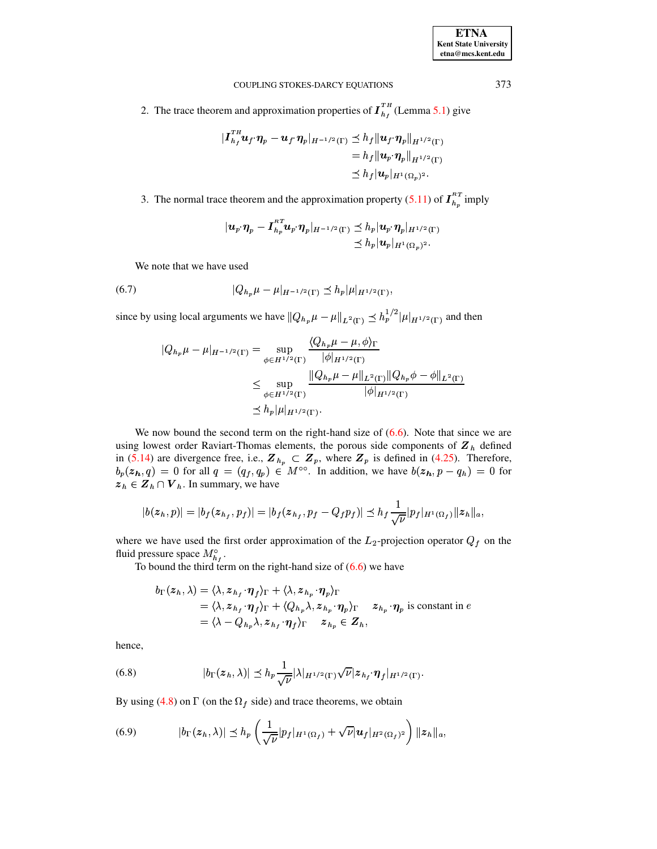| <b>ETNA</b>                  |
|------------------------------|
| <b>Kent State University</b> |
| etna@mcs.kent.edu            |

2. The trace theorem and approximation properties of  $I_{h}^{TH}$  (Lemma 5.1) give

$$
\begin{aligned} \|\boldsymbol{I}_{h_f}^{TH}\boldsymbol{u}_f \cdot \boldsymbol{\eta}_p - \boldsymbol{u}_f \cdot \boldsymbol{\eta}_p\|_{H^{-1/2}(\Gamma)} &\leq h_f \|\boldsymbol{u}_f \cdot \boldsymbol{\eta}_p\|_{H^{1/2}(\Gamma)} \\ &= h_f \|\boldsymbol{u}_p \cdot \boldsymbol{\eta}_p\|_{H^{1/2}(\Gamma)} \\ &\leq h_f \|\boldsymbol{u}_p\|_{H^1(\Omega_p)^2} .\end{aligned}
$$

3. The normal trace theorem and the approximation property (5.11) of  $I_{h_p}^{RT}$  imply

$$
\begin{aligned} |\boldsymbol{u}_p\cdot\boldsymbol{\eta}_p-\boldsymbol{I}_{h_p}^{RT}\boldsymbol{u}_p\cdot\boldsymbol{\eta}_p|_{H^{-1/2}(\Gamma)} &\preceq h_p|\boldsymbol{u}_p\cdot\boldsymbol{\eta}_p|_{H^{1/2}(\Gamma)}\\ &\preceq h_p|\boldsymbol{u}_p|_{H^1(\Omega_p)^2}.\end{aligned}
$$

<span id="page-23-0"></span>We note that we have used

(6.7) 
$$
|Q_{h_p}\mu - \mu|_{H^{-1/2}(\Gamma)} \leq h_p |\mu|_{H^{1/2}(\Gamma)},
$$

since by using local arguments we have  $||Q_{h_p}\mu - \mu||_{L^2(\Gamma)} \leq h_p^{1/2}|\mu|_{H^{1/2}(\Gamma)}$  and then

$$
|Q_{h_p}\mu - \mu|_{H^{-1/2}(\Gamma)} = \sup_{\phi \in H^{1/2}(\Gamma)} \frac{\langle Q_{h_p}\mu - \mu, \phi \rangle_{\Gamma}}{|\phi|_{H^{1/2}(\Gamma)}} \leq \sup_{\phi \in H^{1/2}(\Gamma)} \frac{\|Q_{h_p}\mu - \mu\|_{L^2(\Gamma)}\|Q_{h_p}\phi - \phi\|_{L^2(\Gamma)}}{|\phi|_{H^{1/2}(\Gamma)}} \n\leq h_p |\mu|_{H^{1/2}(\Gamma)}.
$$

We now bound the second term on the right-hand size of  $(6.6)$ . Note that since we are using lowest order Raviart-Thomas elements, the porous side components of  $Z_h$  defined in (5.14) are divergence free, i.e.,  $\mathbf{Z}_{h_p} \subset \mathbf{Z}_p$ , where  $\mathbf{Z}_p$  is defined in (4.25). Therefore,  $b_p(z_h, q) = 0$  for all  $q = (q_f, q_p) \in M^{\infty}$ . In addition, we have  $b(z_h, p - q_h) = 0$  for  $z_h \in \mathbf{Z}_h \cap \mathbf{V}_h$ . In summary, we have

$$
|b(z_h, p)| = |b_f(z_{h_f}, p_f)| = |b_f(z_{h_f}, p_f - Q_f p_f)| \leq h_f \frac{1}{\sqrt{\nu}} |p_f|_{H^1(\Omega_f)} ||z_h||_a.
$$

where we have used the first order approximation of the  $L_2$ -projection operator  $Q_f$  on the fluid pressure space  $M_{h_f}^{\circ}$ .

To bound the third term on the right-hand size of  $(6.6)$  we have

$$
b_{\Gamma}(z_h, \lambda) = \langle \lambda, z_{h_f} \cdot \eta_f \rangle_{\Gamma} + \langle \lambda, z_{h_p} \cdot \eta_p \rangle_{\Gamma}
$$
  
=  $\langle \lambda, z_{h_f} \cdot \eta_f \rangle_{\Gamma} + \langle Q_{h_p} \lambda, z_{h_p} \cdot \eta_p \rangle_{\Gamma}$   $z_{h_p} \cdot \eta_p$  is constant in  $e$   
=  $\langle \lambda - Q_{h_p} \lambda, z_{h_f} \cdot \eta_f \rangle_{\Gamma}$   $z_{h_p} \in Z_h$ ,

hence,

<span id="page-23-1"></span>(6.8) 
$$
|b_{\Gamma}(z_h,\lambda)| \leq h_p \frac{1}{\sqrt{\nu}} |\lambda|_{H^{1/2}(\Gamma)} \sqrt{\nu} |z_{h_f} \cdot \eta_f|_{H^{1/2}(\Gamma)}
$$

By using (4.8) on  $\Gamma$  (on the  $\Omega_f$  side) and trace theorems, we obtain

<span id="page-23-2"></span>(6.9) 
$$
|b_{\Gamma}(z_h,\lambda)| \leq h_p \left(\frac{1}{\sqrt{\nu}}|p_f|_{H^1(\Omega_f)} + \sqrt{\nu}|u_f|_{H^2(\Omega_f)^2}\right) ||z_h||_a,
$$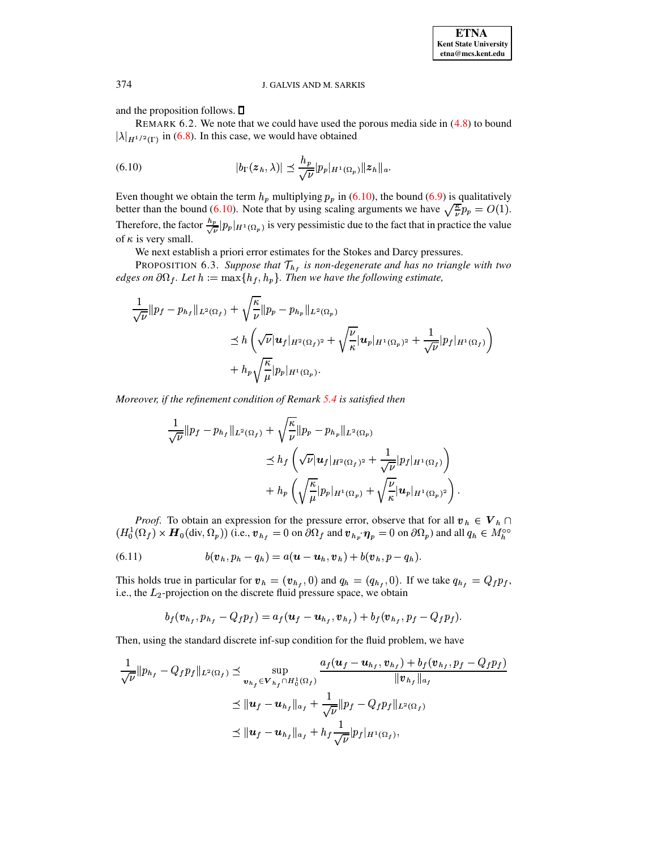and the proposition follows.  $\Box$ 

REMARK 6.2. We note that we could have used the porous media side in  $(4.8)$  to bound  $|\lambda|_{H^{1/2}(\Gamma)}$  in (6.8). In this case, we would have obtained

<span id="page-24-0"></span>(6.10) 
$$
|b_{\Gamma}(z_h,\lambda)| \leq \frac{h_p}{\sqrt{\nu}}|p_p|_{H^1(\Omega_p)}||z_h||_a.
$$

Even thought we obtain the term  $h_p$  multiplying  $p_p$  in (6.10), the bound (6.9) is qualitatively better than the bound (6.10). Note that by using scaling arguments we have  $\sqrt{\frac{\kappa}{\nu}} p_p = O(1)$ . Therefore, the factor  $\frac{h_p}{\sqrt{\nu}}|p_p|_{H^1(\Omega_p)}$  is very pessimistic due to the fact that in practice the value of  $\kappa$  is very small.

<span id="page-24-1"></span>We next establish a priori error estimates for the Stokes and Darcy pressures.

PROPOSITION 6.3. Suppose that  $\mathcal{T}_{h_f}$  is non-degenerate and has no triangle with two edges on  $\partial\Omega_f$ . Let  $h := \max\{h_f, h_p\}$ . Then we have the following estimate,

$$
\frac{1}{\sqrt{\nu}}\|p_f - p_{h_f}\|_{L^2(\Omega_f)} + \sqrt{\frac{\kappa}{\nu}}\|p_p - p_{h_p}\|_{L^2(\Omega_p)}\n\n&\leq h \left(\sqrt{\nu}|\mathbf{u}_f|_{H^2(\Omega_f)^2} + \sqrt{\frac{\nu}{\kappa}}|\mathbf{u}_p|_{H^1(\Omega_p)^2} + \frac{1}{\sqrt{\nu}}|p_f|_{H^1(\Omega_f)}\right)\n\n&+ h_p \sqrt{\frac{\kappa}{\mu}}|p_p|_{H^1(\Omega_p)}.
$$

Moreover, if the refinement condition of Remark 5.4 is satisfied then

$$
\frac{1}{\sqrt{\nu}}\|p_f - p_{h_f}\|_{L^2(\Omega_f)} + \sqrt{\frac{\kappa}{\nu}}\|p_p - p_{h_p}\|_{L^2(\Omega_p)}\n\n\le h_f \left(\sqrt{\nu}|\mathbf{u}_f|_{H^2(\Omega_f)^2} + \frac{1}{\sqrt{\nu}}|p_f|_{H^1(\Omega_f)}\right) + h_p \left(\sqrt{\frac{\kappa}{\mu}}|p_p|_{H^1(\Omega_p)} + \sqrt{\frac{\nu}{\kappa}}|\mathbf{u}_p|_{H^1(\Omega_p)^2}\right).
$$

*Proof.* To obtain an expression for the pressure error, observe that for all  $v_h \in V_h \cap$  $(H_0^1(\Omega_f) \times H_0(\text{div}, \Omega_p))$  (i.e.,  $\mathbf{v}_{h_f} = 0$  on  $\partial \Omega_f$  and  $\mathbf{v}_{h_p} \cdot \eta_p = 0$  on  $\partial \Omega_p$ ) and all  $q_h \in M_h^{\infty}$ 

(6.11) 
$$
b(\boldsymbol{v}_h, p_h - q_h) = a(\boldsymbol{u} - \boldsymbol{u}_h, \boldsymbol{v}_h) + b(\boldsymbol{v}_h, p - q_h).
$$

This holds true in particular for  $v_h = (v_{h_f}, 0)$  and  $q_h = (q_{h_f}, 0)$ . If we take  $q_{h_f} = Q_f p_f$ , i.e., the  $L_2$ -projection on the discrete fluid pressure space, we obtain

$$
b_f(\boldsymbol{v}_{h_f}, p_{h_f} - Q_f p_f) = a_f(\boldsymbol{u}_f - \boldsymbol{u}_{h_f}, \boldsymbol{v}_{h_f}) + b_f(\boldsymbol{v}_{h_f}, p_f - Q_f p_f).
$$

Then, using the standard discrete inf-sup condition for the fluid problem, we have

$$
\frac{1}{\sqrt{\nu}}\|p_{h_f} - Q_f p_f\|_{L^2(\Omega_f)} \preceq \sup_{\mathbf{v}_{h_f} \in \mathbf{V}_{h_f} \cap H_0^1(\Omega_f)} \frac{a_f(\mathbf{u}_f - \mathbf{u}_{h_f}, \mathbf{v}_{h_f}) + b_f(\mathbf{v}_{h_f}, p_f - Q_f p_f)}{\|\mathbf{v}_{h_f}\|_{a_f}} \preceq \|\mathbf{u}_f - \mathbf{u}_{h_f}\|_{a_f} + \frac{1}{\sqrt{\nu}}\|p_f - Q_f p_f\|_{L^2(\Omega_f)} \preceq \|\mathbf{u}_f - \mathbf{u}_{h_f}\|_{a_f} + h_f \frac{1}{\sqrt{\nu}}\|p_f\|_{H^1(\Omega_f)},
$$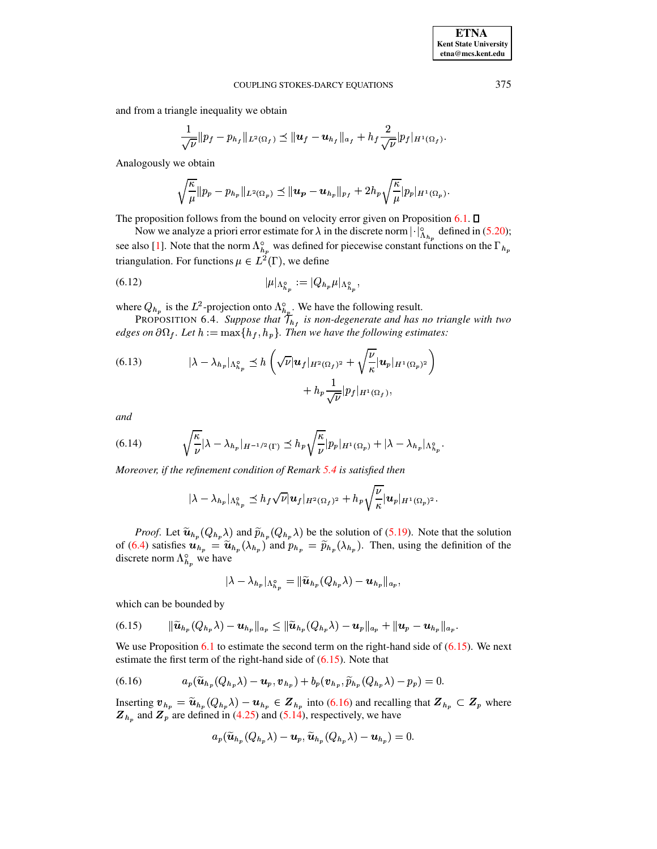and from a triangle inequality we obtain

$$
\frac{1}{\sqrt{\nu}}\|p_f-p_{h_f}\|_{L^2(\Omega_f)} \preceq \|u_f-u_{h_f}\|_{a_f} + h_f \frac{2}{\sqrt{\nu}}|p_f|_{H^1(\Omega_f)}.
$$

Analogously we obtain

$$
\sqrt{\frac{\kappa}{\mu}}\Vert p_p-p_{h_p}\Vert_{L^2(\Omega_p)}\preceq \Vert \boldsymbol{u_p}-\boldsymbol{u}_{h_p}\Vert_{p_f}+2h_p\sqrt{\frac{\kappa}{\mu}}\vert p_p\vert_{H^1(\Omega_p)}.
$$

The proposition follows from the bound on velocity error given on Proposition  $6.1$ .  $\square$ 

Now we analyze a priori error estimate for  $\lambda$  in the discrete norm  $|\cdot|_{\Lambda_{h_n}}^{\circ}$  defined in (5.20); see also [1]. Note that the norm  $\Lambda_{h_p}^{\circ}$  was defined for piecewise constant functions on the  $\Gamma_{h_p}$ triangulation. For functions  $\mu \in L^2(\Gamma)$ , we define

<span id="page-25-4"></span>(6.12) 
$$
|\mu|_{\Lambda_{h_n}^{\circ}} := |Q_{h_p}\mu|_{\Lambda_{h_n}^{\circ}},
$$

where  $Q_{h_p}$  is the  $L^2$ -projection onto  $\Lambda_{h_p}^{\circ}$ . We have the following result.<br>PROPOSITION 6.4. Suppose that  $\mathcal{T}_{h_f}$  is non-degenerate and has no triangle with two edges on  $\partial\Omega_f$ . Let  $h := \max\{h_f, h_p\}$ . Then we have the following estimates:

<span id="page-25-2"></span>(6.13) 
$$
|\lambda - \lambda_{h_p}|_{\Lambda_{h_p}^{\circ}} \preceq h \left( \sqrt{\nu} |u_f|_{H^2(\Omega_f)^2} + \sqrt{\frac{\nu}{\kappa}} |u_p|_{H^1(\Omega_p)^2} \right) + h_p \frac{1}{\sqrt{\nu}} |p_f|_{H^1(\Omega_f)},
$$

and

<span id="page-25-3"></span>(6.14) 
$$
\sqrt{\frac{\kappa}{\nu}}|\lambda - \lambda_{h_p}|_{H^{-1/2}(\Gamma)} \leq h_p \sqrt{\frac{\kappa}{\nu}}|p_p|_{H^1(\Omega_p)} + |\lambda - \lambda_{h_p}|_{\Lambda_{h_p}^{\circ}}.
$$

Moreover, if the refinement condition of Remark  $5.4$  is satisfied then

$$
|\lambda-\lambda_{h_p}|_{\Lambda_{h_p}^\circ}\preceq h_f\sqrt{\nu}|\boldsymbol{u}_f|_{H^2(\Omega_f)^2}+h_p\sqrt{\frac{\nu}{\kappa}}|\boldsymbol{u}_p|_{H^1(\Omega_p)^2}.
$$

*Proof.* Let  $\tilde{u}_{h_p}(Q_{h_p}\lambda)$  and  $\tilde{p}_{h_p}(Q_{h_p}\lambda)$  be the solution of (5.19). Note that the solution of (6.4) satisfies  $u_{h_p} = \tilde{u}_{h_p}(\lambda_{h_p})$  and  $p_{h_p} = \tilde{p}_{h_p}(\lambda_{h_p})$ . Then, using the definition of the discrete norm  $\Lambda_{h_p}^{\circ}$  we have

$$
\|\lambda-\lambda_{h_{p}}\|_{\Lambda_{h_{p}}^{\circ}}=\|\widetilde{\boldsymbol{u}}_{h_{p}}(Q_{h_{p}}\lambda)-\boldsymbol{u}_{h_{p}}\|_{a_{p}}
$$

which can be bounded by

<span id="page-25-0"></span>(6.15) 
$$
\|\widetilde{\bm{u}}_{h_p}(Q_{h_p}\lambda)-\bm{u}_{h_p}\|_{a_p}\leq \|\widetilde{\bm{u}}_{h_p}(Q_{h_p}\lambda)-\bm{u}_p\|_{a_p}+\|\bm{u}_p-\bm{u}_{h_p}\|_{a_p}.
$$

We use Proposition 6.1 to estimate the second term on the right-hand side of  $(6.15)$ . We next estimate the first term of the right-hand side of  $(6.15)$ . Note that

<span id="page-25-1"></span>(6.16) 
$$
a_p(\widetilde{\boldsymbol{u}}_{h_p}(Q_{h_p}\lambda)-\boldsymbol{u}_p,\boldsymbol{v}_{h_p})+b_p(\boldsymbol{v}_{h_p},\widetilde{p}_{h_p}(Q_{h_p}\lambda)-p_p)=0.
$$

Inserting  $v_{h_p} = \tilde{u}_{h_p}(Q_{h_p} \lambda) - u_{h_p} \in Z_{h_p}$  into (6.16) and recalling that  $Z_{h_p} \subset Z_p$  where  $\mathbf{Z}_{h_p}$  and  $\mathbf{Z}_p$  are defined in (4.25) and (5.14), respectively, we have

$$
a_p(\widetilde{\boldsymbol{u}}_{h_p}(Q_{h_p}\lambda)-\boldsymbol{u}_p,\widetilde{\boldsymbol{u}}_{h_p}(Q_{h_p}\lambda)-\boldsymbol{u}_{h_p})=0.
$$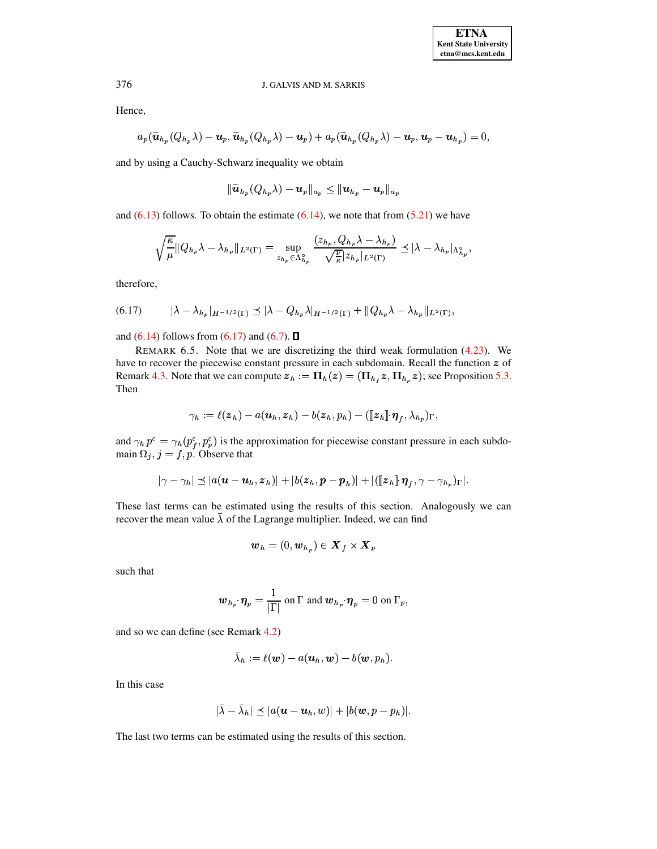Hence,

$$
a_p(\widetilde{\boldsymbol{u}}_{h_p}(Q_{h_p}\lambda)-\boldsymbol{u}_p,\widetilde{\boldsymbol{u}}_{h_p}(Q_{h_p}\lambda)-\boldsymbol{u}_p)+a_p(\widetilde{\boldsymbol{u}}_{h_p}(Q_{h_p}\lambda)-\boldsymbol{u}_p,\boldsymbol{u}_p-\boldsymbol{u}_{h_p})=0,
$$

and by using a Cauchy-Schwarz inequality we obtain

$$
\|\widetilde{\boldsymbol{u}}_{h_{\boldsymbol{p}}}(Q_{h_{\boldsymbol{p}}}\lambda)-\boldsymbol{u}_{\boldsymbol{p}}\|_{a_{\boldsymbol{p}}}\leq \|\boldsymbol{u}_{h_{\boldsymbol{p}}}-\boldsymbol{u}_{\boldsymbol{p}}\|_{a_{\boldsymbol{p}}}
$$

and  $(6.13)$  follows. To obtain the estimate  $(6.14)$ , we note that from  $(5.21)$  we have

$$
\sqrt{\frac{\kappa}{\mu}}\|Q_{h_p}\lambda-\lambda_{h_p}\|_{L^2(\Gamma)}=\sup_{{z_{h_p}\in\Lambda_{h_p}^{\circ}}}\frac{(z_{h_p},Q_{h_p}\lambda-\lambda_{h_p})}{\sqrt{\frac{\nu}{\kappa}}|z_{h_p}|_{L^2(\Gamma)}}\preceq |\lambda-\lambda_{h_p}|_{\Lambda_{h_p}^{\circ}},
$$

therefore,

<span id="page-26-0"></span>(6.17) 
$$
|\lambda - \lambda_{h_p}|_{H^{-1/2}(\Gamma)} \leq |\lambda - Q_{h_p} \lambda|_{H^{-1/2}(\Gamma)} + ||Q_{h_p} \lambda - \lambda_{h_p}||_{L^2(\Gamma)},
$$

and  $(6.14)$  follows from  $(6.17)$  and  $(6.7)$ .  $\Box$ 

REMARK 6.5. Note that we are discretizing the third weak formulation [\(4.23\)](#page-9-1). We have to recover the piecewise constant pressure in each subdomain. Recall the function  $z$  of Remark [4.3.](#page-10-0) Note that we can compute  $z_h := \Pi_h(z) = (\Pi_{h_f} z, \Pi_{h_p} z)$ ; see Proposition [5.3.](#page-18-0) Then

$$
\gamma_h := \ell(\boldsymbol{z}_h) - a(\boldsymbol{u}_h,\boldsymbol{z}_h) - b(\boldsymbol{z}_h,p_h) - (\llbracket \boldsymbol{z}_h \rrbracket\!\cdot\! \boldsymbol{\eta}_f, \lambda_{h_p})_\Gamma,
$$

and  $\gamma_h p^c = \gamma_h (p_f^c, p_p^c)$  is the approximation for piecewise constant pressure in each subdomain  $\Omega_j$ ,  $j = f, p$ . Observe that

$$
|\gamma-\gamma_h|\preceq |a(\boldsymbol{u}-\boldsymbol{u}_h,\boldsymbol{z}_h)|+|b(\boldsymbol{z}_h,\boldsymbol{p}-\boldsymbol{p}_h)|+|([\![\boldsymbol{z}_h]\!]\!\cdot\!\boldsymbol{\eta}_f,\gamma-\gamma_{h_p})_\Gamma|.
$$

These last terms can be estimated using the results of this section. Analogously we can <sup>ø</sup> recover the mean value  $\lambda$  of the Lagrange multiplier. Indeed, we can find

$$
\boldsymbol{w}_h = (0, \boldsymbol{w}_{h_p}) \in \boldsymbol{X}_f \times \boldsymbol{X}_p
$$

such that

$$
\boldsymbol{w}_{h_p}\!\cdot\!\boldsymbol{\eta}_p = \frac{1}{|\Gamma|} \text{ on } \Gamma \text{ and } \boldsymbol{w}_{h_p}\!\cdot\!\boldsymbol{\eta}_p = 0 \text{ on } \Gamma_p,
$$

and so we can define (see Remark [4.2\)](#page-9-2)

$$
\lambda_h:=\ell(\boldsymbol w)-a(\boldsymbol u_h,\boldsymbol w)-b(\boldsymbol w,p_h).
$$

In this case

$$
|\bar{\lambda}-\bar{\lambda}_h|\preceq |a(\boldsymbol{u}-\boldsymbol{u}_h,w)|+|b(\boldsymbol{w},p-p_h)|.
$$

The last two terms can be estimated using the results of this section.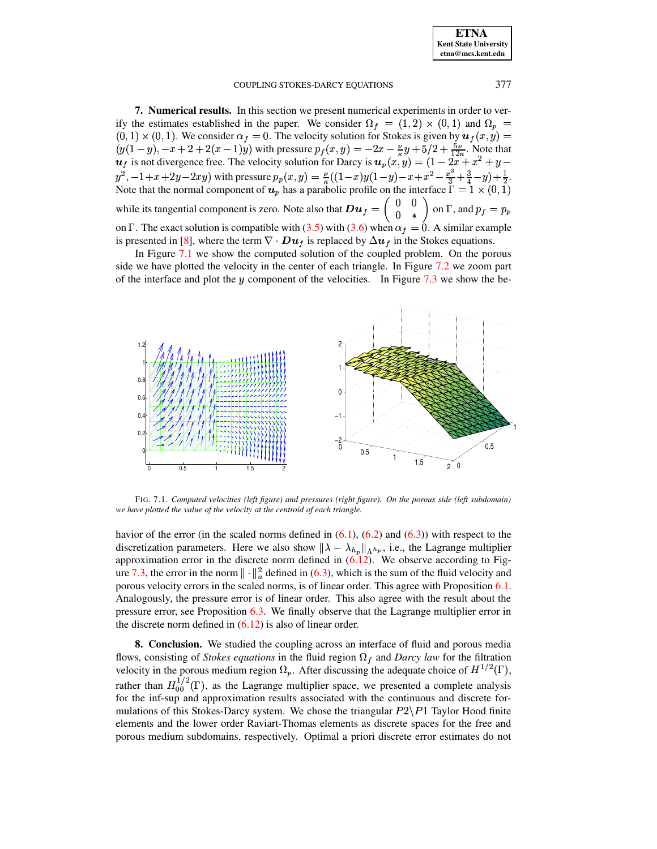| <b>ETNA</b>                  |
|------------------------------|
| <b>Kent State University</b> |
| etna@mcs.kent.edu            |

<span id="page-27-0"></span>7. Numerical results. In this section we present numerical experiments in order to verify the estimates established in the paper. We consider  $\Omega_f = (1,2) \times (0,1)$  and  $\Omega_p =$  $(0,1) \times (0,1)$ . We consider  $\alpha_f = 0$ . The velocity solution for Stokes is given by  $u_f(x, y) =$  $(y(1-y), -x+2+2(x-1)y)$  with pressure  $p_f(x, y) = -2x - \frac{y}{6}y + \frac{5}{2}y + \frac{5y}{126}$ . Note that  $u_f$  is not divergence free. The velocity solution for Darcy is  $u_p(x, y) = (1 - 2x + x^2 + y - x)$  $y^2$ ,  $-1+x+2y-2xy$ ) with pressure  $p_p(x, y) = \frac{p}{\kappa}((1-x)y(1-y)-x+x^2-\frac{x^3}{3}+\frac{3}{4}-y)+\frac{1}{2}$ .<br>Note that the normal component of  $u_p$  has a parabolic profile on the interface  $\Gamma = 1 \times (0, 1)$ while its tangential component is zero. Note also that  $D u_f = \begin{pmatrix} 0 & 0 \\ 0 & * \end{pmatrix}$  on  $\Gamma$ , and  $p_f = p_p$ on  $\Gamma$ . The exact solution is compatible with (3.5) with (3.6) when  $\alpha_f = 0$ . A similar example is presented in [8], where the term  $\nabla \cdot D u_f$  is replaced by  $\Delta u_f$  in the Stokes equations.

In Figure 7.1 we show the computed solution of the coupled problem. On the porous side we have plotted the velocity in the center of each triangle. In Figure 7.2 we zoom part of the interface and plot the y component of the velocities. In Figure 7.3 we show the be-



<span id="page-27-2"></span>FIG. 7.1. Computed velocities (left figure) and pressures (right figure). On the porous side (left subdomain) we have plotted the value of the velocity at the centroid of each triangle.

havior of the error (in the scaled norms defined in  $(6.1)$ ,  $(6.2)$  and  $(6.3)$ ) with respect to the discretization parameters. Here we also show  $\|\lambda - \lambda_{h_p}\|_{\Lambda^{h_p}}$ , i.e., the Lagrange multiplier approximation error in the discrete norm defined in  $(6.12)$ . We observe according to Figure 7.3, the error in the norm  $\|\cdot\|^2$  defined in (6.3), which is the sum of the fluid velocity and porous velocity errors in the scaled norms, is of linear order. This agree with Proposition 6.1. Analogously, the pressure error is of linear order. This also agree with the result about the pressure error, see Proposition 6.3. We finally observe that the Lagrange multiplier error in the discrete norm defined in  $(6.12)$  is also of linear order.

<span id="page-27-1"></span>**8. Conclusion.** We studied the coupling across an interface of fluid and porous media flows, consisting of *Stokes equations* in the fluid region  $\Omega_f$  and *Darcy law* for the filtration velocity in the porous medium region  $\Omega_p$ . After discussing the adequate choice of  $H^{1/2}(\Gamma)$ , rather than  $H_{00}^{1/2}(\Gamma)$ , as the Lagrange multiplier space, we presented a complete analysis for the inf-sup and approximation results associated with the continuous and discrete formulations of this Stokes-Darcy system. We chose the triangular  $P2\P1$  Taylor Hood finite elements and the lower order Raviart-Thomas elements as discrete spaces for the free and porous medium subdomains, respectively. Optimal a priori discrete error estimates do not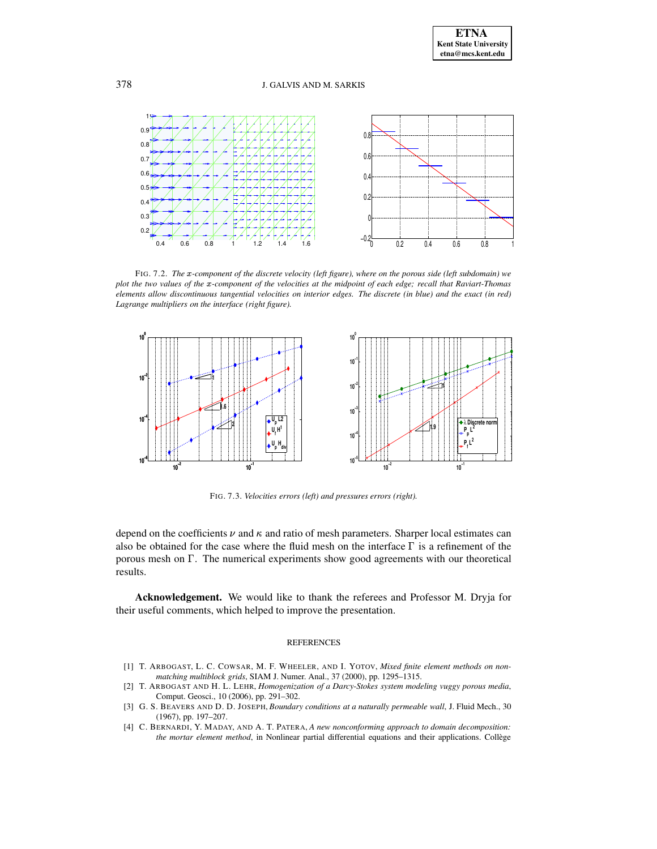

<span id="page-28-4"></span>FIG. 7.2. *The* ®*-component of the discrete velocity (left figure), where on the porous side (left subdomain) we* plot the two values of the x-component of the velocities at the midpoint of each edge; recall that Raviart-Thomas elements allow discontinuous tangential velocities on interior edges. The discrete (in blue) and the exact (in red) *Lagrange multipliers on the interface (right figure).*



<span id="page-28-5"></span>FIG. 7.3. *Velocities errors (left) and pressures errors (right).*

depend on the coefficients  $\nu$  and  $\kappa$  and ratio of mesh parameters. Sharper local estimates can also be obtained for the case where the fluid mesh on the interface  $\Gamma$  is a refinement of the porous mesh on  $\Gamma$ . The numerical experiments show good agreements with our theoretical results.

**Acknowledgement.** We would like to thank the referees and Professor M. Dryja for their useful comments, which helped to improve the presentation.

# REFERENCES

- <span id="page-28-3"></span>[1] T. ARBOGAST, L. C. COWSAR, M. F. WHEELER, AND I. YOTOV, *Mixed finite element methods on nonmatching multiblock grids*, SIAM J. Numer. Anal., 37 (2000), pp. 1295–1315.
- <span id="page-28-1"></span>[2] T. ARBOGAST AND H. L. LEHR, *Homogenization of a Darcy-Stokes system modeling vuggy porous media*, Comput. Geosci., 10 (2006), pp. 291–302.
- <span id="page-28-0"></span>[3] G. S. BEAVERS AND D. D. JOSEPH, *Boundary conditions at a naturally permeable wall*, J. Fluid Mech., 30 (1967), pp. 197–207.
- <span id="page-28-2"></span>[4] C. BERNARDI, Y. MADAY, AND A. T. PATERA, *A new nonconforming approach to domain decomposition: the mortar element method*, in Nonlinear partial differential equations and their applications. College `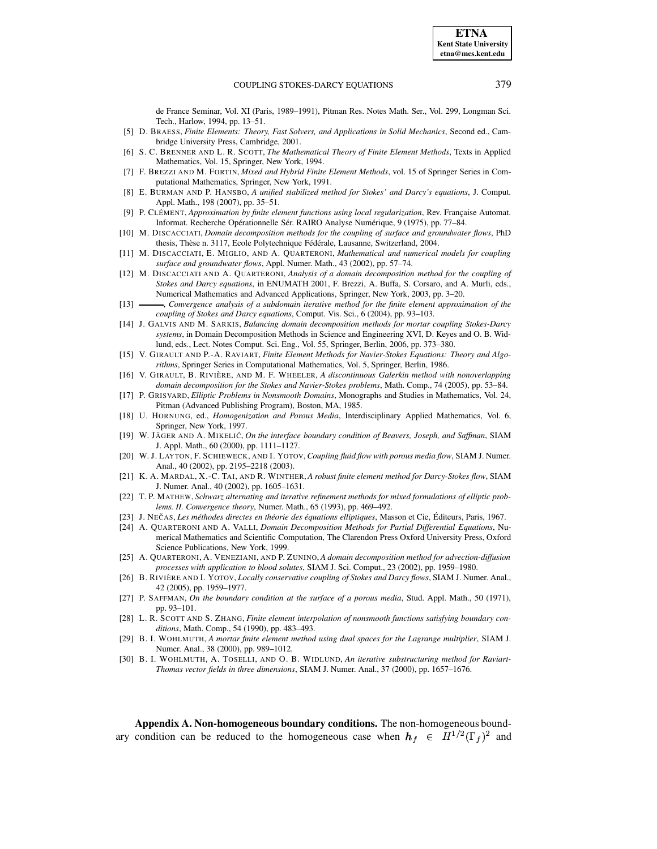de France Seminar, Vol. XI (Paris, 1989–1991), Pitman Res. Notes Math. Ser., Vol. 299, Longman Sci. Tech., Harlow, 1994, pp. 13–51.

- <span id="page-29-20"></span>[5] D. BRAESS, *Finite Elements: Theory, Fast Solvers, and Applications in Solid Mechanics*, Second ed., Cambridge University Press, Cambridge, 2001.
- <span id="page-29-23"></span>[6] S. C. BRENNER AND L. R. SCOTT, *The Mathematical Theory of Finite Element Methods*, Texts in Applied Mathematics, Vol. 15, Springer, New York, 1994.
- <span id="page-29-21"></span>[7] F. BREZZI AND M. FORTIN, *Mixed and Hybrid Finite Element Methods*, vol. 15 of Springer Series in Computational Mathematics, Springer, New York, 1991.
- <span id="page-29-2"></span>[8] E. BURMAN AND P. HANSBO, *A unified stabilized method for Stokes' and Darcy's equations*, J. Comput. Appl. Math., 198 (2007), pp. 35–51.
- <span id="page-29-25"></span>[9] P. CLÉMENT, *Approximation by finite element functions using local regularization, Rev. Française Automat.* Informat. Recherche Opérationnelle Sér. RAIRO Analyse Numérique, 9 (1975), pp. 77-84.
- <span id="page-29-6"></span>[10] M. DISCACCIATI, *Domain decomposition methods for the coupling of surface and groundwater flows*, PhD thesis, Thèse n. 3117, Ecole Polytechnique Fédérale, Lausanne, Switzerland, 2004.
- <span id="page-29-7"></span>[11] M. DISCACCIATI, E. MIGLIO, AND A. QUARTERONI, *Mathematical and numerical models for coupling surface and groundwater flows*, Appl. Numer. Math., 43 (2002), pp. 57–74.
- <span id="page-29-11"></span>[12] M. DISCACCIATI AND A. QUARTERONI, *Analysis of a domain decomposition method for the coupling of Stokes and Darcy equations*, in ENUMATH 2001, F. Brezzi, A. Buffa, S. Corsaro, and A. Murli, eds., Numerical Mathematics and Advanced Applications, Springer, New York, 2003, pp. 3–20.
- <span id="page-29-3"></span>[13] , *Convergence analysis of a subdomain iterative method for the finite element approximation of the coupling of Stokes and Darcy equations*, Comput. Vis. Sci., 6 (2004), pp. 93–103.
- <span id="page-29-12"></span>[14] J. GALVIS AND M. SARKIS, *Balancing domain decomposition methods for mortar coupling Stokes-Darcy systems*, in Domain Decomposition Methods in Science and Engineering XVI, D. Keyes and O. B. Widlund, eds., Lect. Notes Comput. Sci. Eng., Vol. 55, Springer, Berlin, 2006, pp. 373–380.
- <span id="page-29-22"></span><span id="page-29-9"></span>[15] V. GIRAULT AND P.-A. RAVIART, *Finite Element Methods for Navier-Stokes Equations: Theory and Algorithms*, Springer Series in Computational Mathematics, Vol. 5, Springer, Berlin, 1986.
- [16] V. GIRAULT, B. RIVIÈRE, AND M. F. WHEELER, *A discontinuous Galerkin method with nonoverlapping domain decomposition for the Stokes and Navier-Stokes problems*, Math. Comp., 74 (2005), pp. 53–84.
- <span id="page-29-18"></span>[17] P. GRISVARD, *Elliptic Problems in Nonsmooth Domains*, Monographs and Studies in Mathematics, Vol. 24, Pitman (Advanced Publishing Program), Boston, MA, 1985.
- <span id="page-29-16"></span>[18] U. HORNUNG, ed., *Homogenization and Porous Media*, Interdisciplinary Applied Mathematics, Vol. 6, Springer, New York, 1997.
- <span id="page-29-0"></span>[19] W. JA¨ GER AND A. MIKELIC´, *On the interface boundary condition of Beavers, Joseph, and Saffman*, SIAM J. Appl. Math., 60 (2000), pp. 1111–1127.
- <span id="page-29-4"></span>[20] W. J. LAYTON, F. SCHIEWECK, AND I. YOTOV, *Coupling fluid flow with porous media flow*, SIAM J. Numer. Anal., 40 (2002), pp. 2195–2218 (2003).
- <span id="page-29-13"></span>[21] K. A. MARDAL, X.-C. TAI, AND R. WINTHER, *A robust finite element method for Darcy-Stokes flow*, SIAM J. Numer. Anal., 40 (2002), pp. 1605–1631.
- <span id="page-29-24"></span>[22] T. P. MATHEW, *Schwarz alternating and iterative refinement methods for mixed formulations of elliptic problems. II. Convergence theory*, Numer. Math., 65 (1993), pp. 469–492.
- <span id="page-29-19"></span><span id="page-29-10"></span>[23] J. NECˇ AS, *Les methodes ´ directes en theorie ´ des equations ´ elliptiques*, Masson et Cie, Editeurs, ´ Paris, 1967.
- [24] A. QUARTERONI AND A. VALLI, *Domain Decomposition Methods for Partial Differential Equations*, Numerical Mathematics and Scientific Computation, The Clarendon Press Oxford University Press, Oxford Science Publications, New York, 1999.
- <span id="page-29-8"></span>[25] A. QUARTERONI, A. VENEZIANI, AND P. ZUNINO, *A domain decomposition method for advection-diffusion processes with application to blood solutes*, SIAM J. Sci. Comput., 23 (2002), pp. 1959–1980.
- <span id="page-29-5"></span>[26] B. RIVIÈRE AND I. YOTOV, *Locally conservative coupling of Stokes and Darcy flows*, SIAM J. Numer. Anal., 42 (2005), pp. 1959–1977.
- <span id="page-29-1"></span>[27] P. SAFFMAN, *On the boundary condition at the surface of a porous media*, Stud. Appl. Math., 50 (1971), pp. 93–101.
- <span id="page-29-26"></span>[28] L. R. SCOTT AND S. ZHANG, *Finite element interpolation of nonsmooth functions satisfying boundary conditions*, Math. Comp., 54 (1990), pp. 483–493.
- <span id="page-29-14"></span>[29] B. I. WOHLMUTH, *A mortar finite element method using dual spaces for the Lagrange multiplier*, SIAM J. Numer. Anal., 38 (2000), pp. 989–1012.
- <span id="page-29-17"></span><span id="page-29-15"></span>[30] B. I. WOHLMUTH, A. TOSELLI, AND O. B. WIDLUND, *An iterative substructuring method for Raviart-Thomas vector fields in three dimensions*, SIAM J. Numer. Anal., 37 (2000), pp. 1657–1676.

**Appendix A. Non-homogeneous boundary conditions.** The non-homogeneous boundary condition can be reduced to the homogeneous case when  $h_f \in H^{1/2}(\Gamma_f)^2$  and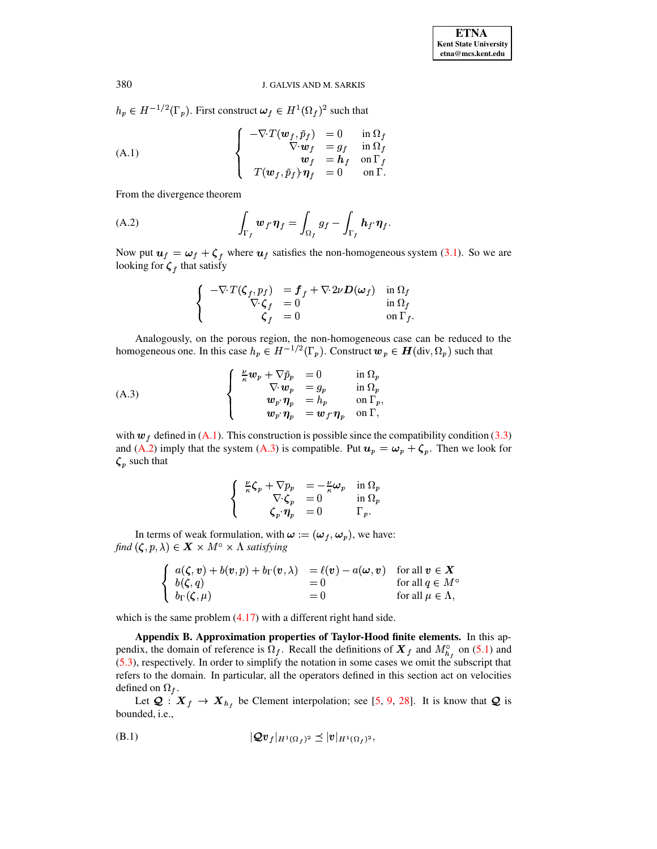$h_p \in H^{-1/2}(\Gamma_p)$ . First construct  $\omega_f \in H^1(\Omega_f)^2$  such that

<span id="page-30-1"></span>(A.1)  

$$
\begin{cases}\n-\nabla \cdot T(\boldsymbol{w}_f, \tilde{p}_f) = 0 & \text{in } \Omega_f \\
\nabla \cdot \boldsymbol{w}_f = g_f & \text{in } \Omega_f \\
\boldsymbol{w}_f = \boldsymbol{h}_f & \text{on } \Gamma_f \\
T(\boldsymbol{w}_f, \tilde{p}_f) \cdot \boldsymbol{\eta}_f = 0 & \text{on } \Gamma.\n\end{cases}
$$

From the divergence theorem

<span id="page-30-2"></span>(A.2) 
$$
\int_{\Gamma_f} w_f \cdot \eta_f = \int_{\Omega_f} g_f - \int_{\Gamma_f} h_f \cdot \eta_f.
$$

Now put  $u_f = \omega_f + \zeta_f$  where  $u_f$  satisfies the non-homogeneous system (3.1). So we are looking for  $\zeta_f$  that satisfy

$$
\begin{cases}\n-\nabla \cdot T(\zeta_f, p_f) &= f_f + \nabla \cdot 2\nu D(\omega_f) & \text{in } \Omega_f \\
\nabla \cdot \zeta_f &= 0 & \text{in } \Omega_f \\
\zeta_f &= 0 & \text{on } \Gamma_f\n\end{cases}
$$

Analogously, on the porous region, the non-homogeneous case can be reduced to the homogeneous one. In this case  $h_p \in H^{-1/2}(\Gamma_p)$ . Construct  $w_p \in H(\text{div}, \Omega_p)$  such that

<span id="page-30-3"></span>(A.3)  

$$
\begin{cases}\n\frac{\nu}{\kappa}\mathbf{w}_p + \nabla \tilde{p}_p = 0 & \text{in } \Omega_p \\
\nabla \cdot \mathbf{w}_p = g_p & \text{in } \Omega_p \\
\mathbf{w}_p \cdot \eta_p = h_p & \text{on } \Gamma_p, \\
\mathbf{w}_p \cdot \eta_p = \mathbf{w}_f \cdot \eta_p & \text{on } \Gamma,\n\end{cases}
$$

with  $w_f$  defined in (A.1). This construction is possible since the compatibility condition (3.3) and (A.2) imply that the system (A.3) is compatible. Put  $u_p = \omega_p + \zeta_p$ . Then we look for  $\zeta_p$  such that

$$
\left\{\begin{array}{rcl}\frac{\nu}{\kappa}\zeta_p+\nabla p_p&=-\frac{\nu}{\kappa}\omega_p&\text{in }\Omega_p\\ \nabla\cdot\zeta_p&=0&\text{in }\Omega_p\\ \zeta_p\cdot\pmb{\eta}_p&=0&\Gamma_p.\end{array}\right.
$$

In terms of weak formulation, with  $\omega := (\omega_f, \omega_p)$ , we have: find  $(\zeta, p, \lambda) \in \mathbf{X} \times M^{\circ} \times \Lambda$  satisfying

$$
\begin{cases}\n a(\zeta, v) + b(v, p) + b_{\Gamma}(v, \lambda) & = \ell(v) - a(\omega, v) & \text{for all } v \in X \\
 b(\zeta, q) & = 0 & \text{for all } q \in M^c \\
 b_{\Gamma}(\zeta, \mu) & = 0 & \text{for all } \mu \in \Lambda,\n\end{cases}
$$

<span id="page-30-0"></span>which is the same problem  $(4.17)$  with a different right hand side.

Appendix B. Approximation properties of Taylor-Hood finite elements. In this appendix, the domain of reference is  $\Omega_f$ . Recall the definitions of  $\mathbf{X}_f$  and  $M_{h_f}^{\circ}$  on (5.1) and  $(5.3)$ , respectively. In order to simplify the notation in some cases we omit the subscript that refers to the domain. In particular, all the operators defined in this section act on velocities defined on  $\Omega_f$ .

Let  $Q: X_f \to X_{h_f}$  be Clement interpolation; see [5, 9, 28]. It is know that Q is bounded, i.e.,

<span id="page-30-4"></span>
$$
|\mathcal{Q}v_f|_{H^1(\Omega_f)^2} \preceq |v|_{H^1(\Omega_f)^2},
$$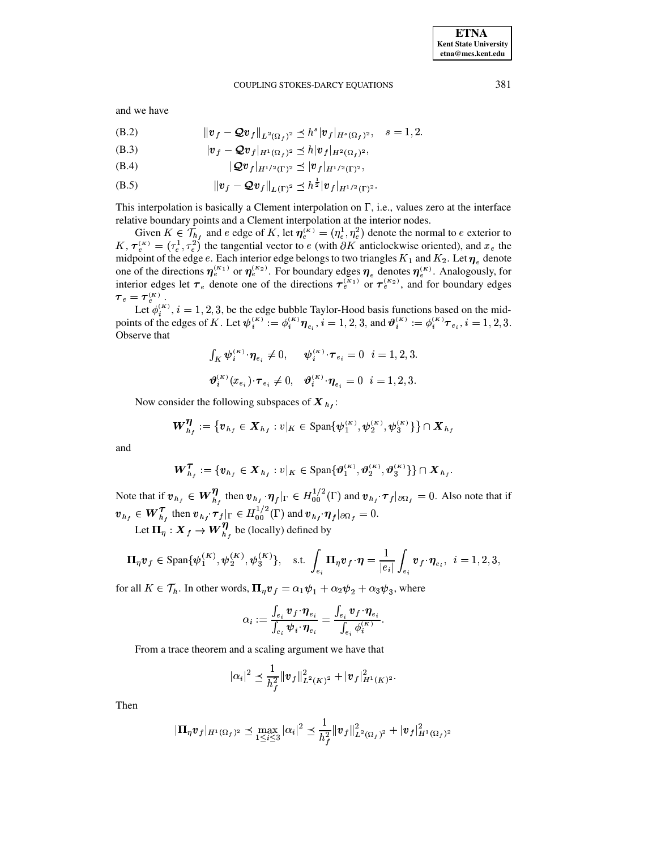and we have

<span id="page-31-0"></span>(B.2) 
$$
\|v_f - Qv_f\|_{L^2(\Omega_f)^2} \le h^s |v_f|_{H^s(\Omega_f)^2}, \quad s = 1, 2.
$$

$$
(B.3) \t\t |v_f - \mathcal{Q}v_f|_{H^1(\Omega_f)^2} \preceq h|v_f|_{H^2(\Omega_f)^2},
$$

$$
(B.4) \t\t |Qv_f|_{H^{1/2}(\Gamma)^2} \preceq |v_f|_{H^{1/2}(\Gamma)^2},
$$

(B.5) 
$$
\|v_f - Qv_f\|_{L(\Gamma)^2} \leq h^{\frac{1}{2}} |v_f|_{H^{1/2}(\Gamma)^2}.
$$

This interpolation is basically a Clement interpolation on  $\Gamma$ , i.e., values zero at the interface relative boundary points and a Clement interpolation at the interior nodes.

Given  $K \in \mathcal{T}_{h_f}$  and  $e$  edge of  $K$ , let  $\eta_e^{(K)} = (\eta_e^1, \eta_e^2)$  denote the normal to  $e$  exterior to  $K$ ,  $\tau_e^{(K)} = (\tau_e^1, \tau_e^2)$  the tangential vector to  $e$  (with  $\partial K$  anticlockwise oriented), and  $x_e$  the midpoint of the edge e. Each interior edge belongs to two triangles  $K_1$  and  $K_2$ . Let  $\eta_e$  denote<br>one of the directions  $\eta_e^{(K_1)}$  or  $\eta_e^{(K_2)}$ . For boundary edges  $\eta_e$  denotes  $\eta_e^{(K)}$ . Analogously, for<br>interior  $\tau_e = \tau_e^{(K)}$ .

Let  $\phi_i^{(K)}$ ,  $i = 1, 2, 3$ , be the edge bubble Taylor-Hood basis functions based on the mid-<br>points of the edges of K. Let  $\psi_i^{(K)} := \phi_i^{(K)} \eta_{e_i}$ ,  $i = 1, 2, 3$ , and  $\vartheta_i^{(K)} := \phi_i^{(K)} \tau_{e_i}$ ,  $i = 1, 2, 3$ . Observe that

$$
\int_K \boldsymbol{\psi}_i^{(K)} \cdot \boldsymbol{\eta}_{e_i} \neq 0, \quad \boldsymbol{\psi}_i^{(K)} \cdot \boldsymbol{\tau}_{e_i} = 0 \quad i = 1, 2, 3.
$$

$$
\boldsymbol{\vartheta}_i^{(K)}(x_{e_i}) \cdot \boldsymbol{\tau}_{e_i} \neq 0, \quad \boldsymbol{\vartheta}_i^{(K)} \cdot \boldsymbol{\eta}_{e_i} = 0 \quad i = 1, 2, 3.
$$

Now consider the following subspaces of  $X_{h_i}$ :

$$
\bm{W}_{h_f}^{\bm{\eta}} := \{ \bm{v}_{h_f} \in \bm{X}_{h_f} : v|_K \in \text{Span}\{\psi_1^{(K)}, \psi_2^{(K)}, \psi_3^{(K)}\} \} \cap \bm{X}_{h_f}
$$

and

$$
\bm{W}_{h_f}^{\bm{\tau}} := \{\bm{v}_{h_f} \in \bm{X}_{h_f} : v|_K \in \text{Span}\{\bm{\vartheta}_1^{(K)}, \bm{\vartheta}_2^{(K)}, \bm{\vartheta}_3^{(K)}\}\} \cap \bm{X}_{h_f}
$$

Note that if  $v_{h_f} \in W_{h_f}^{\eta}$ , then  $v_{h_f} \cdot \eta_f |_{\Gamma} \in H_{00}^{1/2}(\Gamma)$  and  $v_{h_f} \cdot \tau_f |_{\partial \Omega_f} = 0$ . Also note that if  $v_{h_f} \in W_{h_f}^{\mathcal{T}}$  then  $v_{h_f} \cdot \tau_f|_{\Gamma} \in H_{00}^{1/2}(\Gamma)$  and  $v_{h_f} \cdot \eta_f|_{\partial \Omega_f} = 0$ .

Let  $\Pi_{\eta}: X_f \to W^{\eta}_{h}$ , be (locally) defined by

$$
\boldsymbol{\Pi}_{\eta}\boldsymbol{v}_{f} \in \text{Span}\{\boldsymbol{\psi}_{1}^{(K)},\boldsymbol{\psi}_{2}^{(K)},\boldsymbol{\psi}_{3}^{(K)}\}, \quad \text{s.t. } \int_{e_{i}} \boldsymbol{\Pi}_{\eta}\boldsymbol{v}_{f} \cdot \boldsymbol{\eta} = \frac{1}{|e_{i}|} \int_{e_{i}} \boldsymbol{v}_{f} \cdot \boldsymbol{\eta}_{e_{i}}, \quad i = 1, 2, 3,
$$

for all  $K \in \mathcal{T}_h$ . In other words,  $\mathbf{\Pi}_{\eta} \mathbf{v}_f = \alpha_1 \psi_1 + \alpha_2 \psi_2 + \alpha_3 \psi_3$ , where

$$
\alpha_i := \frac{\int_{e_i} \boldsymbol{v}_f \cdot \boldsymbol{\eta}_{e_i}}{\int_{e_i} \boldsymbol{\psi}_i \cdot \boldsymbol{\eta}_{e_i}} = \frac{\int_{e_i} \boldsymbol{v}_f \cdot \boldsymbol{\eta}_{e_i}}{\int_{e_i} \phi_i^{(K)}}
$$

From a trace theorem and a scaling argument we have that

$$
|\alpha_i|^2 \preceq \frac{1}{h_f^2} \|v_f\|_{L^2(K)^2}^2 + |v_f|_{H^1(K)^2}^2.
$$

Then

$$
|\mathbf{\Pi}_{\eta} \mathbf{v}_f|_{H^1(\Omega_f)^2} \preceq \max_{1 \leq i \leq 3} |\alpha_i|^2 \preceq \frac{1}{h_f^2} \|\mathbf{v}_f\|_{L^2(\Omega_f)^2}^2 + |\mathbf{v}_f|_{H^1(\Omega_f)^2}^2
$$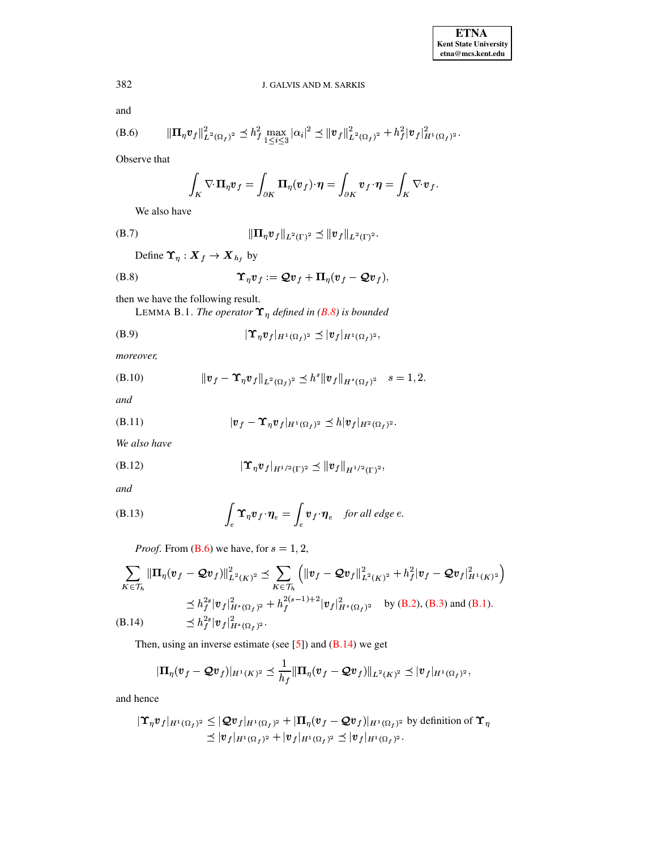and

<span id="page-32-1"></span>(B.6) 
$$
\|\Pi_{\eta} v_f\|_{L^2(\Omega_f)^2}^2 \leq h_f^2 \max_{1 \leq i \leq 3} |\alpha_i|^2 \leq \|v_f\|_{L^2(\Omega_f)^2}^2 + h_f^2 |v_f|_{H^1(\Omega_f)^2}^2.
$$

Observe that

$$
\int_K \nabla \cdot \mathbf{\Pi}_\eta \mathbf{v}_f = \int_{\partial K} \mathbf{\Pi}_\eta(\mathbf{v}_f) \cdot \mathbf{\eta} = \int_{\partial K} \mathbf{v}_f \cdot \mathbf{\eta} = \int_K \nabla \cdot \mathbf{v}_f
$$

<span id="page-32-6"></span>We also have

(B.7) 
$$
\|\Pi_{\eta} v_{f}\|_{L^{2}(\Gamma)^{2}} \preceq \|v_{f}\|_{L^{2}(\Gamma)^{2}}.
$$

<span id="page-32-0"></span>Define  $\Upsilon_{\eta}: \mathbf{X}_{f} \to \mathbf{X}_{h_f}$  by

$$
\Upsilon_{\eta} v_f := \mathcal{Q} v_f + \Pi_{\eta} (v_f - \mathcal{Q} v_f),
$$

then we have the following result.

<span id="page-32-8"></span>LEMMA B.1. The operator  $\Upsilon_{\eta}$  defined in (B.8) is bounded

$$
|\Upsilon_{\eta} v_f|_{H^1(\Omega_f)^2} \preceq |v_f|_{H^1(\Omega_f)^2},
$$

moreover,

<span id="page-32-3"></span>(B.10) 
$$
\|v_f - \Upsilon_\eta v_f\|_{L^2(\Omega_f)^2} \leq h^s \|v_f\|_{H^s(\Omega_f)^2} \quad s = 1, 2.
$$

and

<span id="page-32-4"></span>
$$
(B.11) \t\t\t |v_f - \Upsilon_\eta v_f|_{H^1(\Omega_f)^2} \preceq h|v_f|_{H^2(\Omega_f)^2}.
$$

We also have

<span id="page-32-5"></span>
$$
(B.12) \t\t | \Upsilon_{\eta} v_f |_{H^{1/2}(\Gamma)^2} \preceq ||v_f||_{H^{1/2}(\Gamma)^2},
$$

and

<span id="page-32-7"></span>(B.13) 
$$
\int_{e}^{\cdot} \mathbf{\Upsilon}_{\eta} \mathbf{v}_{f} \cdot \mathbf{\eta}_{e} = \int_{e}^{\cdot} \mathbf{v}_{f} \cdot \mathbf{\eta}_{e} \quad \text{for all edge } e.
$$

*Proof.* From  $(B.6)$  we have, for  $s = 1, 2$ ,

<span id="page-32-2"></span>
$$
\sum_{K \in \mathcal{T}_h} \|\Pi_{\eta} (v_f - \mathcal{Q} v_f)\|_{L^2(K)^2}^2 \preceq \sum_{K \in \mathcal{T}_h} \left( \|v_f - \mathcal{Q} v_f\|_{L^2(K)^2}^2 + h_f^2 |v_f - \mathcal{Q} v_f|_{H^1(K)^2}^2 \right)
$$
\n
$$
\preceq h_f^{2s} |v_f|_{H^s(\Omega_f)^2}^2 + h_f^{2(s-1)+2} |v_f|_{H^s(\Omega_f)^2}^2 \quad \text{by (B.2), (B.3) and (B.1).}
$$
\n(B.14) 
$$
\preceq h_f^{2s} |v_f|_{H^s(\Omega_f)^2}^2.
$$

Then, using an inverse estimate (see  $[5]$ ) and  $(B.14)$  we get

$$
|\mathbf{\Pi}_{\eta}(\bm{v}_f - \mathcal{Q}\bm{v}_f)|_{H^1(K)^2} \preceq \frac{1}{h_f} \|\mathbf{\Pi}_{\eta}(\bm{v}_f - \mathcal{Q}\bm{v}_f)\|_{L^2(K)^2} \preceq |\bm{v}_f|_{H^1(\Omega_f)^2},
$$

and hence

$$
|\Upsilon_{\eta}v_f|_{H^1(\Omega_f)^2} \leq |\mathcal{Q}v_f|_{H^1(\Omega_f)^2} + |\Pi_{\eta}(v_f - \mathcal{Q}v_f)|_{H^1(\Omega_f)^2}
$$
 by definition of  $\Upsilon_{\eta}$   

$$
\preceq |v_f|_{H^1(\Omega_f)^2} + |v_f|_{H^1(\Omega_f)^2} \preceq |v_f|_{H^1(\Omega_f)^2}.
$$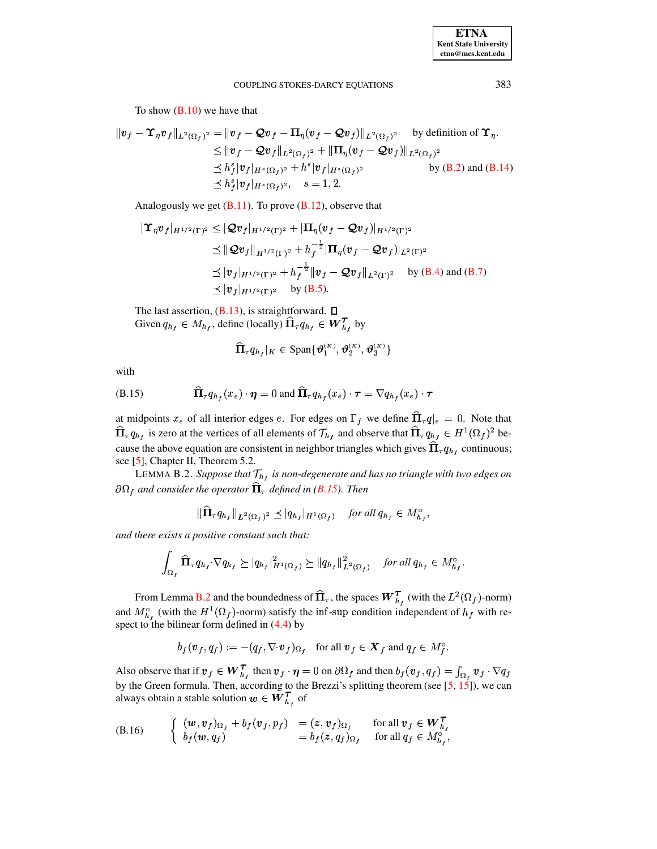To show  $(B.10)$  we have that

$$
\|v_f - \Upsilon_\eta v_f\|_{L^2(\Omega_f)^2} = \|v_f - \mathcal{Q}v_f - \Pi_\eta (v_f - \mathcal{Q}v_f)\|_{L^2(\Omega_f)^2} \quad \text{by definition of } \Upsilon_\eta.
$$
  
\n
$$
\leq \|v_f - \mathcal{Q}v_f\|_{L^2(\Omega_f)^2} + \|\Pi_\eta (v_f - \mathcal{Q}v_f)\|_{L^2(\Omega_f)^2}
$$
  
\n
$$
\leq h_f^s |v_f|_{H^s(\Omega_f)^2} + h^s |v_f|_{H^s(\Omega_f)^2} \quad \text{by (B.2) and (B.14)}
$$
  
\n
$$
\leq h_f^s |v_f|_{H^s(\Omega_f)^2}, \quad s = 1, 2.
$$

Analogously we get  $(B.11)$ . To prove  $(B.12)$ , observe that

$$
\begin{aligned}\n|\Upsilon_{\eta}v_{f}|_{H^{1/2}(\Gamma)^2} &\leq |\mathcal{Q}v_{f}|_{H^{1/2}(\Gamma)^2} + |\Pi_{\eta}(v_{f} - \mathcal{Q}v_{f})|_{H^{1/2}(\Gamma)^2} \\
&\leq \|\mathcal{Q}v_{f}\|_{H^{1/2}(\Gamma)^2} + h_{f}^{-\frac{1}{2}}|\Pi_{\eta}(v_{f} - \mathcal{Q}v_{f})|_{L^{2}(\Gamma)^2} \\
&\leq |v_{f}|_{H^{1/2}(\Gamma)^2} + h_{f}^{-\frac{1}{2}}\|v_{f} - \mathcal{Q}v_{f}\|_{L^{2}(\Gamma)^2} \quad \text{by (B.4) and (B.7)} \\
&\leq |v_{f}|_{H^{1/2}(\Gamma)^2} \quad \text{by (B.5)}.\n\end{aligned}
$$

The last assertion,  $(B.13)$ , is straightforward.  $\square$ Given  $q_{h_f} \in M_{h_f}$ , define (locally)  $\widehat{\Pi}_{\tau} q_{h_f} \in \mathbf{W}^{\mathcal{T}}_{h_f}$  by

$$
\widehat{\boldsymbol{\Pi}}_\tau \boldsymbol{q_h}_f|_K\in \text{Span}\{\boldsymbol{\vartheta}_1^{(K)},\boldsymbol{\vartheta}_2^{(K)},\boldsymbol{\vartheta}_3^{(K)}\}
$$

with

<span id="page-33-0"></span>(B.15) 
$$
\widehat{\Pi}_{\tau}q_{h_f}(x_e)\cdot\eta=0 \text{ and } \widehat{\Pi}_{\tau}q_{h_f}(x_e)\cdot\tau=\nabla q_{h_f}(x_e)\cdot\tau
$$

at midpoints  $x_e$  of all interior edges e. For edges on  $\Gamma_f$  we define  $\widehat{\Pi}_\tau q|_e = 0$ . Note that  $\widehat{\Pi}_{\tau} q_{h_f}$  is zero at the vertices of all elements of  $\mathcal{T}_{h_f}$  and observe that  $\widehat{\Pi}_{\tau} q_{h_f} \in H^1(\Omega_f)^2$  because the above equation are consistent in neighbor triangles which gives  $\hat{\Pi}_{\tau} q_{h_f}$  continuous; see [5], Chapter II, Theorem 5.2.

<span id="page-33-1"></span>LEMMA B.2. Suppose that  $\mathcal{T}_{h_f}$  is non-degenerate and has no triangle with two edges on  $\partial\Omega_f$  and consider the operator  $\widehat{\Pi}_{\tau}$  defined in (B.15). Then

$$
\|\Pi_{\tau}q_{h_f}\|_{L^2(\Omega_f)^2} \preceq |q_{h_f}|_{H^1(\Omega_f)} \quad \text{for all } q_{h_f} \in M_{h_f}^{\circ},
$$

and there exists a positive constant such that:

$$
\int_{\Omega_f} \widehat{\Pi}_{\tau} q_{h_f} \cdot \nabla q_{h_f} \succeq |q_{h_f}|_{H^1(\Omega_f)}^2 \succeq ||q_{h_f}||_{L^2(\Omega_f)}^2 \quad \text{for all } q_{h_f} \in M_{h_f}^{\circ}
$$

From Lemma B.2 and the boundedness of  $\hat{\Pi}_{\tau}$ , the spaces  $W_{h_t}^{\tau}$  (with the  $L^2(\Omega_f)$ -norm) and  $M_{h_f}^{\circ}$  (with the  $H^1(\Omega_f)$ -norm) satisfy the inf-sup condition independent of  $h_f$  with respect to the bilinear form defined in  $(4.4)$  by

$$
b_f(\boldsymbol{v}_f, q_f) := -(q_f, \nabla \cdot \boldsymbol{v}_f)_{\Omega_f} \quad \text{for all } \boldsymbol{v}_f \in \boldsymbol{X}_f \text{ and } q_f \in M_f^{\circ}
$$

Also observe that if  $v_f \in W_{h_f}^T$  then  $v_f \cdot \eta = 0$  on  $\partial \Omega_f$  and then  $b_f(v_f, q_f) = \int_{\Omega_f} v_f \cdot \nabla q_f$ by the Green formula. Then, according to the Brezzi's splitting theorem (see  $[5, 15]$ ), we can always obtain a stable solution  $w \in W_{h_f}^{\mathcal{T}}$  of

<span id="page-33-2"></span>(B.16) 
$$
\begin{cases} (w, v_f)_{\Omega_f} + b_f(v_f, p_f) = (z, v_f)_{\Omega_f} & \text{for all } v_f \in W_{h_f}^T \\ b_f(w, q_f) = b_f(z, q_f)_{\Omega_f} & \text{for all } q_f \in M_{h_f}^{\circ}, \end{cases}
$$